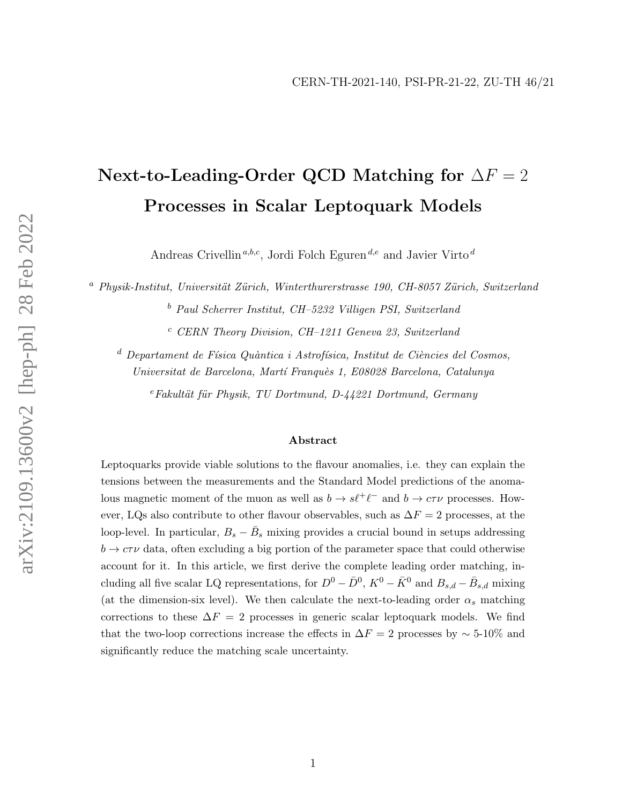# Next-to-Leading-Order QCD Matching for  $\Delta F = 2$ Processes in Scalar Leptoquark Models

Andreas Crivellin<sup>a,b,c</sup>, Jordi Folch Eguren<sup>d,e</sup> and Javier Virto<sup>d</sup>

 $a$  Physik-Institut, Universität Zürich, Winterthurerstrasse 190, CH-8057 Zürich, Switzerland

<sup>b</sup> Paul Scherrer Institut, CH–5232 Villigen PSI, Switzerland

 $c$  CERN Theory Division, CH-1211 Geneva 23, Switzerland

 $d$  Departament de Física Quàntica i Astrofísica, Institut de Ciències del Cosmos,

Universitat de Barcelona, Martí Franquès 1, E08028 Barcelona, Catalunya

 $eFakultät für Physik, TU$  Dortmund, D-44221 Dortmund, Germany

#### Abstract

Leptoquarks provide viable solutions to the flavour anomalies, i.e. they can explain the tensions between the measurements and the Standard Model predictions of the anomalous magnetic moment of the muon as well as  $b \to s\ell^+\ell^-$  and  $b \to c\tau\nu$  processes. However, LQs also contribute to other flavour observables, such as  $\Delta F = 2$  processes, at the loop-level. In particular,  $B_s - \bar{B}_s$  mixing provides a crucial bound in setups addressing  $b \to c\tau\nu$  data, often excluding a big portion of the parameter space that could otherwise account for it. In this article, we first derive the complete leading order matching, including all five scalar LQ representations, for  $D^0 - \bar{D}^0$ ,  $K^0 - \bar{K}^0$  and  $B_{s,d} - \bar{B}_{s,d}$  mixing (at the dimension-six level). We then calculate the next-to-leading order  $\alpha_s$  matching corrections to these  $\Delta F = 2$  processes in generic scalar leptoquark models. We find that the two-loop corrections increase the effects in  $\Delta F = 2$  processes by  $\sim 5{\text -}10\%$  and significantly reduce the matching scale uncertainty.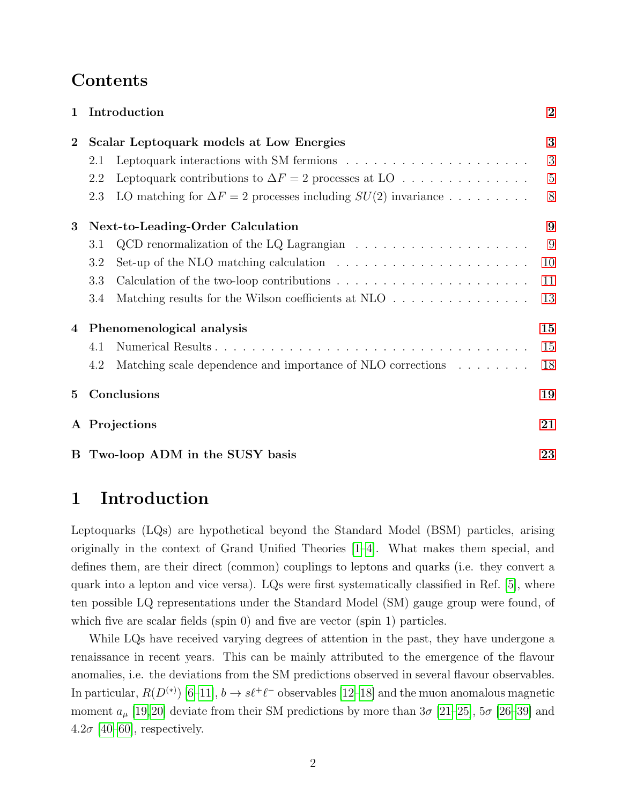## **Contents**

| $\mathbf{1}$ |                                          | Introduction                                                                                | $\overline{2}$ |
|--------------|------------------------------------------|---------------------------------------------------------------------------------------------|----------------|
| $\bf{2}$     | Scalar Leptoquark models at Low Energies |                                                                                             | 3              |
|              | 2.1                                      |                                                                                             | 3              |
|              | 2.2                                      | Leptoquark contributions to $\Delta F = 2$ processes at LO                                  | $\overline{5}$ |
|              | 2.3                                      | LO matching for $\Delta F = 2$ processes including $SU(2)$ invariance                       | 8              |
| 3            | Next-to-Leading-Order Calculation        |                                                                                             |                |
|              | 3.1                                      | QCD renormalization of the LQ Lagrangian $\ldots \ldots \ldots \ldots \ldots \ldots$        | 9              |
|              | 3.2                                      | Set-up of the NLO matching calculation $\ldots \ldots \ldots \ldots \ldots \ldots \ldots$   | 10             |
|              | 3.3                                      | Calculation of the two-loop contributions $\dots \dots \dots \dots \dots \dots \dots \dots$ | 11             |
|              | 3.4                                      | Matching results for the Wilson coefficients at NLO                                         | 13             |
| 4            | Phenomenological analysis                |                                                                                             |                |
|              | 4.1                                      |                                                                                             | 15             |
|              | 4.2                                      | Matching scale dependence and importance of NLO corrections                                 | 18             |
| 5            |                                          | Conclusions                                                                                 | 19             |
|              | A Projections                            |                                                                                             |                |
|              | B Two-loop ADM in the SUSY basis<br>23   |                                                                                             |                |

# <span id="page-1-0"></span>1 Introduction

Leptoquarks (LQs) are hypothetical beyond the Standard Model (BSM) particles, arising originally in the context of Grand Unified Theories [\[1–](#page-24-0)[4\]](#page-24-1). What makes them special, and defines them, are their direct (common) couplings to leptons and quarks (i.e. they convert a quark into a lepton and vice versa). LQs were first systematically classified in Ref. [\[5\]](#page-24-2), where ten possible LQ representations under the Standard Model (SM) gauge group were found, of which five are scalar fields (spin 0) and five are vector (spin 1) particles.

While LQs have received varying degrees of attention in the past, they have undergone a renaissance in recent years. This can be mainly attributed to the emergence of the flavour anomalies, i.e. the deviations from the SM predictions observed in several flavour observables. In particular,  $R(D^{(*)})$  [\[6–](#page-24-3)[11\]](#page-24-4),  $b \to s\ell^+\ell^-$  observables [\[12–](#page-24-5)[18\]](#page-25-0) and the muon anomalous magnetic moment  $a_{\mu}$  [\[19,](#page-25-1)[20\]](#page-25-2) deviate from their SM predictions by more than  $3\sigma$  [\[21](#page-25-3)[–25\]](#page-25-4),  $5\sigma$  [\[26](#page-26-0)[–39\]](#page-27-0) and  $4.2\sigma$  [\[40–](#page-27-1)[60\]](#page-29-0), respectively.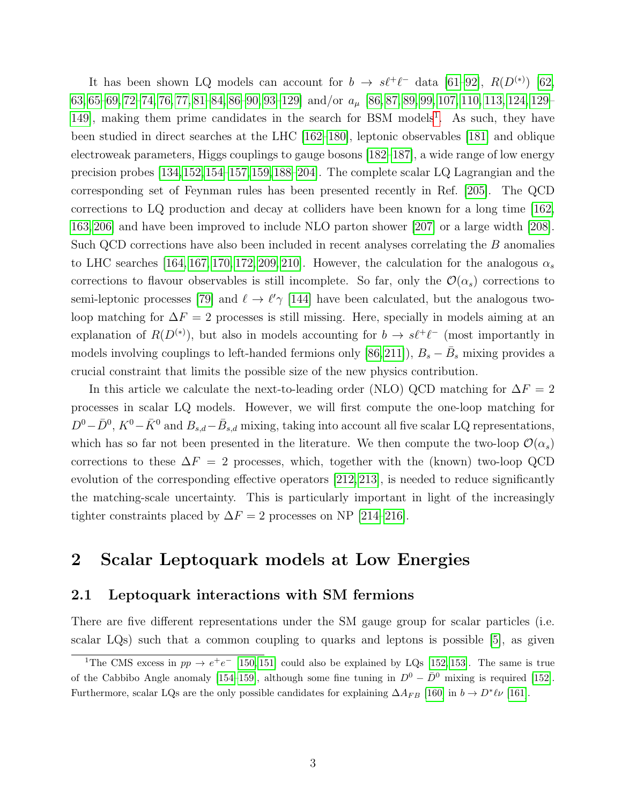It has been shown LQ models can account for  $b \to s\ell^+\ell^-$  data [\[61](#page-29-1)[–92\]](#page-31-0),  $R(D^{(*)})$  [\[62,](#page-29-2) [63,](#page-29-3) [65–](#page-29-4)[69,](#page-29-5) [72](#page-30-0)[–74,](#page-30-1) [76,](#page-30-2) [77,](#page-30-3) [81–](#page-30-4)[84,](#page-31-1) [86–](#page-31-2)[90,](#page-31-3) [93](#page-31-4)[–129\]](#page-34-0) and/or  $a_{\mu}$  [\[86,](#page-31-2) [87,](#page-31-5) [89,](#page-31-6) [99,](#page-32-0) [107,](#page-32-1) [110,](#page-33-0) [113,](#page-33-1) [124,](#page-34-1) [129–](#page-34-0) [1](#page-2-2)49, making them prime candidates in the search for BSM models<sup>1</sup>. As such, they have been studied in direct searches at the LHC [\[162](#page-37-0)[–180\]](#page-39-0), leptonic observables [\[181\]](#page-39-1) and oblique electroweak parameters, Higgs couplings to gauge bosons [\[182–](#page-39-2)[187\]](#page-39-3), a wide range of low energy precision probes [\[134,](#page-35-0)[152,](#page-36-1)[154–](#page-37-1)[157,](#page-37-2)[159,](#page-37-3)[188–](#page-39-4)[204\]](#page-41-0). The complete scalar LQ Lagrangian and the corresponding set of Feynman rules has been presented recently in Ref. [\[205\]](#page-41-1). The QCD corrections to LQ production and decay at colliders have been known for a long time [\[162,](#page-37-0) [163,](#page-37-4) [206\]](#page-41-2) and have been improved to include NLO parton shower [\[207\]](#page-41-3) or a large width [\[208\]](#page-41-4). Such QCD corrections have also been included in recent analyses correlating the B anomalies to LHC searches [\[164,](#page-37-5) [167,](#page-38-0) [170,](#page-38-1) [172,](#page-38-2) [209,](#page-41-5) [210\]](#page-41-6). However, the calculation for the analogous  $\alpha_s$ corrections to flavour observables is still incomplete. So far, only the  $\mathcal{O}(\alpha_s)$  corrections to semi-leptonic processes [\[79\]](#page-30-5) and  $\ell \to \ell' \gamma$  [\[144\]](#page-36-2) have been calculated, but the analogous twoloop matching for  $\Delta F = 2$  processes is still missing. Here, specially in models aiming at an explanation of  $R(D^{(*)})$ , but also in models accounting for  $b \to s\ell^+\ell^-$  (most importantly in models involving couplings to left-handed fermions only [\[86,](#page-31-2)[211\]](#page-41-7)),  $B_s - \bar{B}_s$  mixing provides a crucial constraint that limits the possible size of the new physics contribution.

In this article we calculate the next-to-leading order (NLO) QCD matching for  $\Delta F = 2$ processes in scalar LQ models. However, we will first compute the one-loop matching for  $D^0 - \bar{D}^0$ ,  $K^0 - \bar{K}^0$  and  $B_{s,d} - \bar{B}_{s,d}$  mixing, taking into account all five scalar LQ representations, which has so far not been presented in the literature. We then compute the two-loop  $\mathcal{O}(\alpha_s)$ corrections to these  $\Delta F = 2$  processes, which, together with the (known) two-loop QCD evolution of the corresponding effective operators [\[212,](#page-41-8) [213\]](#page-42-0), is needed to reduce significantly the matching-scale uncertainty. This is particularly important in light of the increasingly tighter constraints placed by  $\Delta F = 2$  processes on NP [\[214–](#page-42-1)[216\]](#page-42-2).

## <span id="page-2-0"></span>2 Scalar Leptoquark models at Low Energies

#### <span id="page-2-1"></span>2.1 Leptoquark interactions with SM fermions

There are five different representations under the SM gauge group for scalar particles (i.e. scalar LQs) such that a common coupling to quarks and leptons is possible [\[5\]](#page-24-2), as given

<span id="page-2-2"></span><sup>&</sup>lt;sup>1</sup>The CMS excess in  $pp \to e^+e^-$  [\[150,](#page-36-3) [151\]](#page-36-4) could also be explained by LQs [\[152,](#page-36-1) [153\]](#page-37-6). The same is true of the Cabbibo Angle anomaly [\[154](#page-37-1)[–159\]](#page-37-3), although some fine tuning in  $D^0 - \bar{D}^0$  mixing is required [\[152\]](#page-36-1). Furthermore, scalar LQs are the only possible candidates for explaining  $\Delta A_{FB}$  [\[160\]](#page-37-7) in  $b \to D^* \ell \nu$  [\[161\]](#page-37-8).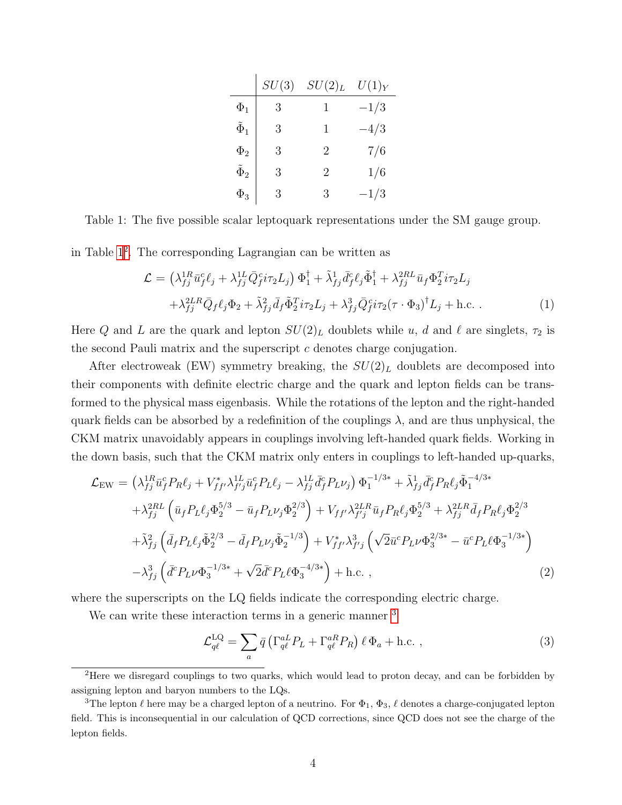|                  | SU(3) | $SU(2)_L$ | $U(1)_Y$ |
|------------------|-------|-----------|----------|
| $\Phi_1$         | 3     | 1         | $-1/3$   |
| $\tilde{\Phi}_1$ | 3     | 1         | $-4/3$   |
| $\Phi_2$         | 3     | 2         | 7/6      |
| $\tilde{\Phi}_2$ | 3     | 2         | 1/6      |
| $\Phi_3$         | 3     | 3         | $-1/3$   |

<span id="page-3-0"></span>Table 1: The five possible scalar leptoquark representations under the SM gauge group.

in Table [1](#page-3-0)[2](#page-3-1) . The corresponding Lagrangian can be written as

<span id="page-3-3"></span>
$$
\mathcal{L} = \left(\lambda_{fj}^{1R} \bar{u}_f^c \ell_j + \lambda_{fj}^{1L} \bar{Q}_f^c i\tau_2 L_j\right) \Phi_1^{\dagger} + \tilde{\lambda}_{fj}^{1} \bar{d}_f^c \ell_j \tilde{\Phi}_1^{\dagger} + \lambda_{fj}^{2RL} \bar{u}_f \Phi_2^T i\tau_2 L_j + \lambda_{fj}^{2LR} \bar{Q}_f \ell_j \Phi_2 + \tilde{\lambda}_{fj}^2 \bar{d}_f \tilde{\Phi}_2^T i\tau_2 L_j + \lambda_{fj}^3 \bar{Q}_f^c i\tau_2 (\tau \cdot \Phi_3)^{\dagger} L_j + \text{h.c.} \tag{1}
$$

Here Q and L are the quark and lepton  $SU(2)_L$  doublets while u, d and  $\ell$  are singlets,  $\tau_2$  is the second Pauli matrix and the superscript  $c$  denotes charge conjugation.

After electroweak (EW) symmetry breaking, the  $SU(2)_L$  doublets are decomposed into their components with definite electric charge and the quark and lepton fields can be transformed to the physical mass eigenbasis. While the rotations of the lepton and the right-handed quark fields can be absorbed by a redefinition of the couplings  $\lambda$ , and are thus unphysical, the CKM matrix unavoidably appears in couplings involving left-handed quark fields. Working in the down basis, such that the CKM matrix only enters in couplings to left-handed up-quarks,

$$
\mathcal{L}_{EW} = \left(\lambda_{fj}^{1R}\bar{u}_f^c P_R \ell_j + V_{ff'}^* \lambda_{f'j}^{1L}\bar{u}_f^c P_L \ell_j - \lambda_{fj}^{1L}\bar{d}_f^c P_L \nu_j\right) \Phi_1^{-1/3*} + \tilde{\lambda}_{fj}^1 \bar{d}_f^c P_R \ell_j \tilde{\Phi}_1^{-4/3*} \n+ \lambda_{fj}^{2RL} \left(\bar{u}_f P_L \ell_j \Phi_2^{5/3} - \bar{u}_f P_L \nu_j \Phi_2^{2/3}\right) + V_{ff'} \lambda_{f'j}^{2LR} \bar{u}_f P_R \ell_j \Phi_2^{5/3} + \lambda_{fj}^{2LR} \bar{d}_f P_R \ell_j \Phi_2^{2/3} \n+ \tilde{\lambda}_{fj}^2 \left(\bar{d}_f P_L \ell_j \tilde{\Phi}_2^{2/3} - \bar{d}_f P_L \nu_j \tilde{\Phi}_2^{-1/3}\right) + V_{ff'}^* \lambda_{f'j}^3 \left(\sqrt{2} \bar{u}^c P_L \nu \Phi_3^{2/3*} - \bar{u}^c P_L \ell \Phi_3^{-1/3*}\right) \n- \lambda_{fj}^3 \left(\bar{d}^c P_L \nu \Phi_3^{-1/3*} + \sqrt{2} \bar{d}^c P_L \ell \Phi_3^{-4/3*}\right) + \text{h.c.} ,
$$
\n(2)

where the superscripts on the LQ fields indicate the corresponding electric charge.

We can write these interaction terms in a generic manner <sup>[3](#page-3-2)</sup>

$$
\mathcal{L}_{q\ell}^{\text{LQ}} = \sum_{a} \bar{q} \left( \Gamma_{q\ell}^{aL} P_L + \Gamma_{q\ell}^{aR} P_R \right) \ell \Phi_a + \text{h.c.} \,, \tag{3}
$$

<span id="page-3-1"></span><sup>&</sup>lt;sup>2</sup>Here we disregard couplings to two quarks, which would lead to proton decay, and can be forbidden by assigning lepton and baryon numbers to the LQs.

<span id="page-3-2"></span><sup>&</sup>lt;sup>3</sup>The lepton  $\ell$  here may be a charged lepton of a neutrino. For  $\Phi_1$ ,  $\Phi_3$ ,  $\ell$  denotes a charge-conjugated lepton field. This is inconsequential in our calculation of QCD corrections, since QCD does not see the charge of the lepton fields.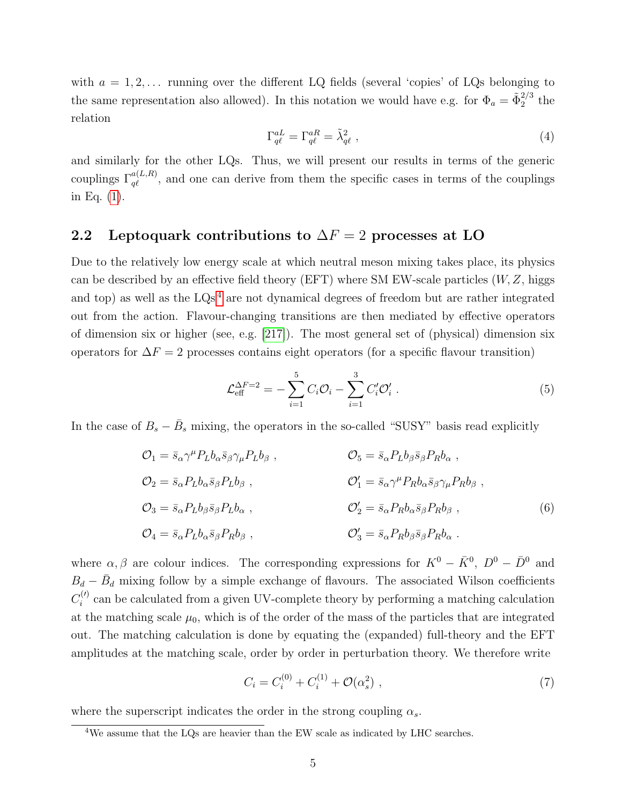with  $a = 1, 2, \ldots$  running over the different LQ fields (several 'copies' of LQs belonging to the same representation also allowed). In this notation we would have e.g. for  $\Phi_a = \tilde{\Phi}_2^{2/3}$  $_2^{2/3}$  the relation

<span id="page-4-2"></span>
$$
\Gamma_{q\ell}^{aL} = \Gamma_{q\ell}^{aR} = \tilde{\lambda}_{q\ell}^2 \tag{4}
$$

and similarly for the other LQs. Thus, we will present our results in terms of the generic couplings  $\Gamma_{q\ell}^{a(L,R)}$ , and one can derive from them the specific cases in terms of the couplings in Eq. [\(1\)](#page-3-3).

### <span id="page-4-0"></span>2.2 Leptoquark contributions to  $\Delta F = 2$  processes at LO

Due to the relatively low energy scale at which neutral meson mixing takes place, its physics can be described by an effective field theory (EFT) where SM EW-scale particles  $(W, Z, higgs)$ and top) as well as the  $LQs<sup>4</sup>$  $LQs<sup>4</sup>$  $LQs<sup>4</sup>$  are not dynamical degrees of freedom but are rather integrated out from the action. Flavour-changing transitions are then mediated by effective operators of dimension six or higher (see, e.g. [\[217\]](#page-42-3)). The most general set of (physical) dimension six operators for  $\Delta F = 2$  processes contains eight operators (for a specific flavour transition)

$$
\mathcal{L}_{\text{eff}}^{\Delta F=2} = -\sum_{i=1}^{5} C_i \mathcal{O}_i - \sum_{i=1}^{3} C'_i \mathcal{O}'_i . \qquad (5)
$$

In the case of  $B_s - \bar{B}_s$  mixing, the operators in the so-called "SUSY" basis read explicitly

$$
O_1 = \bar{s}_{\alpha} \gamma^{\mu} P_L b_{\alpha} \bar{s}_{\beta} \gamma_{\mu} P_L b_{\beta} ,
$$
  
\n
$$
O_2 = \bar{s}_{\alpha} P_L b_{\alpha} \bar{s}_{\beta} P_L b_{\beta} ,
$$
  
\n
$$
O_3 = \bar{s}_{\alpha} P_L b_{\beta} \bar{s}_{\beta} P_L b_{\alpha} ,
$$
  
\n
$$
O_4 = \bar{s}_{\alpha} P_L b_{\alpha} \bar{s}_{\beta} P_R b_{\alpha} ,
$$
  
\n
$$
O_5 = \bar{s}_{\alpha} P_L b_{\beta} \bar{s}_{\beta} P_R b_{\alpha} ,
$$
  
\n
$$
O_1' = \bar{s}_{\alpha} \gamma^{\mu} P_R b_{\alpha} \bar{s}_{\beta} \gamma_{\mu} P_R b_{\beta} ,
$$
  
\n
$$
O_2' = \bar{s}_{\alpha} P_R b_{\alpha} \bar{s}_{\beta} P_R b_{\beta} ,
$$
  
\n
$$
O_3' = \bar{s}_{\alpha} P_R b_{\beta} \bar{s}_{\beta} P_R b_{\alpha} .
$$
  
\n(6)

where  $\alpha, \beta$  are colour indices. The corresponding expressions for  $K^0 - \bar{K}^0$ ,  $D^0 - \bar{D}^0$  and  $B_d - \bar{B}_d$  mixing follow by a simple exchange of flavours. The associated Wilson coefficients  $C_i^{(\prime)}$  $i^{(1)}$  can be calculated from a given UV-complete theory by performing a matching calculation at the matching scale  $\mu_0$ , which is of the order of the mass of the particles that are integrated out. The matching calculation is done by equating the (expanded) full-theory and the EFT amplitudes at the matching scale, order by order in perturbation theory. We therefore write

$$
C_i = C_i^{(0)} + C_i^{(1)} + \mathcal{O}(\alpha_s^2) \tag{7}
$$

where the superscript indicates the order in the strong coupling  $\alpha_s$ .

<span id="page-4-1"></span><sup>&</sup>lt;sup>4</sup>We assume that the LQs are heavier than the EW scale as indicated by LHC searches.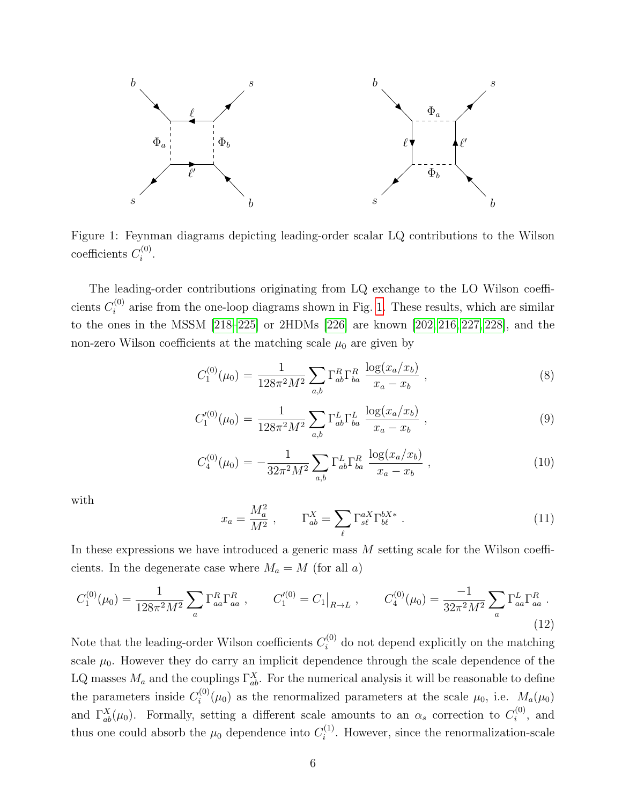

<span id="page-5-0"></span>Figure 1: Feynman diagrams depicting leading-order scalar LQ contributions to the Wilson coefficients  $C_i^{(0)}$  $\binom{0}{i}$ .

The leading-order contributions originating from LQ exchange to the LO Wilson coefficients  $C_i^{(0)}$  $i^{(0)}$  arise from the one-loop diagrams shown in Fig. [1.](#page-5-0) These results, which are similar to the ones in the MSSM [\[218](#page-42-4)[–225\]](#page-43-0) or 2HDMs [\[226\]](#page-43-1) are known [\[202,](#page-41-9) [216,](#page-42-2) [227,](#page-43-2) [228\]](#page-43-3), and the non-zero Wilson coefficients at the matching scale  $\mu_0$  are given by

<span id="page-5-1"></span>
$$
C_1^{(0)}(\mu_0) = \frac{1}{128\pi^2 M^2} \sum_{a,b} \Gamma_{ab}^R \Gamma_{ba}^R \frac{\log(x_a/x_b)}{x_a - x_b} , \qquad (8)
$$

$$
C_1^{\prime(0)}(\mu_0) = \frac{1}{128\pi^2 M^2} \sum_{a,b} \Gamma_{ab}^L \Gamma_{ba}^L \frac{\log(x_a/x_b)}{x_a - x_b} , \qquad (9)
$$

$$
C_4^{(0)}(\mu_0) = -\frac{1}{32\pi^2 M^2} \sum_{a,b} \Gamma_{ab}^L \Gamma_{ba}^R \frac{\log(x_a/x_b)}{x_a - x_b} , \qquad (10)
$$

with

$$
x_a = \frac{M_a^2}{M^2} , \qquad \Gamma_{ab}^X = \sum_{\ell} \Gamma_{s\ell}^{aX} \Gamma_{b\ell}^{bX*} . \tag{11}
$$

In these expressions we have introduced a generic mass  $M$  setting scale for the Wilson coefficients. In the degenerate case where  $M_a = M$  (for all a)

<span id="page-5-2"></span>
$$
C_1^{(0)}(\mu_0) = \frac{1}{128\pi^2 M^2} \sum_a \Gamma^R_{aa} \Gamma^R_{aa} , \qquad C_1'^{(0)} = C_1 \big|_{R \to L} , \qquad C_4^{(0)}(\mu_0) = \frac{-1}{32\pi^2 M^2} \sum_a \Gamma^L_{aa} \Gamma^R_{aa} .
$$
\n(12)

Note that the leading-order Wilson coefficients  $C_i^{(0)}$  do not depend explicitly on the matching scale  $\mu_0$ . However they do carry an implicit dependence through the scale dependence of the LQ masses  $M_a$  and the couplings  $\Gamma_{ab}^X$ . For the numerical analysis it will be reasonable to define the parameters inside  $C_i^{(0)}$  $i^{(0)}(\mu_0)$  as the renormalized parameters at the scale  $\mu_0$ , i.e.  $M_a(\mu_0)$ and  $\Gamma_{ab}^X(\mu_0)$ . Formally, setting a different scale amounts to an  $\alpha_s$  correction to  $C_i^{(0)}$  $i^{(0)}$ , and thus one could absorb the  $\mu_0$  dependence into  $C_i^{(1)}$  $i^{(1)}$ . However, since the renormalization-scale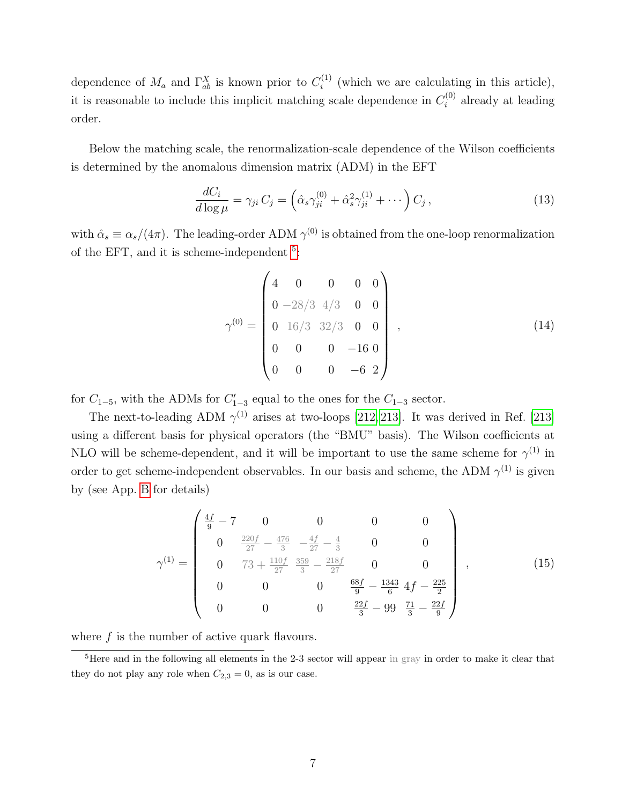dependence of  $M_a$  and  $\Gamma_{ab}^X$  is known prior to  $C_i^{(1)}$  $i^{(1)}$  (which we are calculating in this article), it is reasonable to include this implicit matching scale dependence in  $C_i^{(0)}$  $i^{(0)}$  already at leading order.

Below the matching scale, the renormalization-scale dependence of the Wilson coefficients is determined by the anomalous dimension matrix (ADM) in the EFT

<span id="page-6-1"></span>
$$
\frac{dC_i}{d\log\mu} = \gamma_{ji} C_j = \left(\hat{\alpha}_s \gamma_{ji}^{(0)} + \hat{\alpha}_s^2 \gamma_{ji}^{(1)} + \cdots\right) C_j, \qquad (13)
$$

with  $\hat{\alpha}_s \equiv \alpha_s/(4\pi)$ . The leading-order ADM  $\gamma^{(0)}$  is obtained from the one-loop renormalization of the EFT, and it is scheme-independent  $5$ :

<span id="page-6-2"></span>
$$
\gamma^{(0)} = \begin{pmatrix} 4 & 0 & 0 & 0 & 0 \\ 0 & -28/3 & 4/3 & 0 & 0 \\ 0 & 16/3 & 32/3 & 0 & 0 \\ 0 & 0 & 0 & -16 & 0 \\ 0 & 0 & 0 & -6 & 2 \end{pmatrix},
$$
(14)

for  $C_{1-5}$ , with the ADMs for  $C'_{1-3}$  equal to the ones for the  $C_{1-3}$  sector.

The next-to-leading ADM  $\gamma^{(1)}$  arises at two-loops [\[212,](#page-41-8) [213\]](#page-42-0). It was derived in Ref. [\[213\]](#page-42-0) using a different basis for physical operators (the "BMU" basis). The Wilson coefficients at NLO will be scheme-dependent, and it will be important to use the same scheme for  $\gamma^{(1)}$  in order to get scheme-independent observables. In our basis and scheme, the ADM  $\gamma^{(1)}$  is given by (see App. [B](#page-22-0) for details)

<span id="page-6-3"></span>
$$
\gamma^{(1)} = \begin{pmatrix} \frac{4f}{9} - 7 & 0 & 0 & 0 & 0\\ 0 & \frac{220f}{27} - \frac{476}{3} & -\frac{4f}{27} - \frac{4}{3} & 0 & 0\\ 0 & 73 + \frac{110f}{27} & \frac{359}{3} - \frac{218f}{27} & 0 & 0\\ 0 & 0 & 0 & \frac{68f}{9} - \frac{1343}{6} & 4f - \frac{225}{2}\\ 0 & 0 & 0 & \frac{22f}{3} - 99 & \frac{71}{3} - \frac{22f}{9} \end{pmatrix},
$$
(15)

where  $f$  is the number of active quark flavours.

<span id="page-6-0"></span><sup>5</sup>Here and in the following all elements in the 2-3 sector will appear in gray in order to make it clear that they do not play any role when  $C_{2,3} = 0$ , as is our case.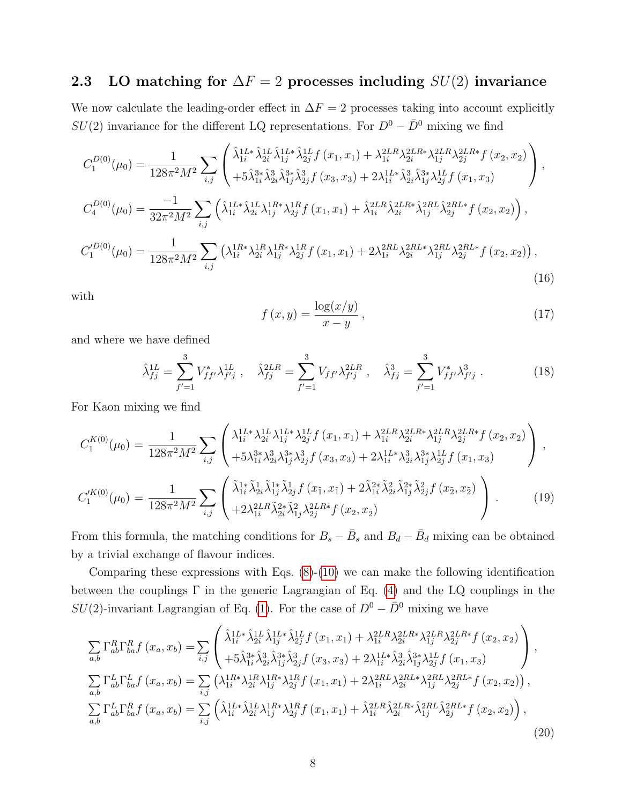### <span id="page-7-0"></span>2.3 LO matching for  $\Delta F = 2$  processes including  $SU(2)$  invariance

We now calculate the leading-order effect in  $\Delta F = 2$  processes taking into account explicitly  $SU(2)$  invariance for the different LQ representations. For  $D^0 - \bar{D}^0$  mixing we find

$$
C_{1}^{D(0)}(\mu_{0}) = \frac{1}{128\pi^{2}M^{2}} \sum_{i,j} \left( \hat{\lambda}_{1i}^{1L*} \hat{\lambda}_{2i}^{1L} \hat{\lambda}_{1j}^{1L*} \hat{\lambda}_{2j}^{1L} f (x_{1}, x_{1}) + \lambda_{1i}^{2LR} \lambda_{2i}^{2LR*} \lambda_{1j}^{2LR*} \lambda_{2j}^{2LR*} f (x_{2}, x_{2}) \right),
$$
  
\n
$$
C_{4}^{D(0)}(\mu_{0}) = \frac{-1}{32\pi^{2}M^{2}} \sum_{i,j} \left( \hat{\lambda}_{1i}^{1L*} \hat{\lambda}_{2i}^{3} \hat{\lambda}_{1j}^{3} \hat{\lambda}_{2j}^{3} f (x_{3}, x_{3}) + 2\lambda_{1i}^{1L*} \hat{\lambda}_{2i}^{3} \hat{\lambda}_{1j}^{3} \lambda_{2j}^{1L} f (x_{1}, x_{3}) \right),
$$
  
\n
$$
C_{4}^{D(0)}(\mu_{0}) = \frac{-1}{32\pi^{2}M^{2}} \sum_{i,j} \left( \hat{\lambda}_{1i}^{1L*} \hat{\lambda}_{2i}^{1L} \lambda_{1j}^{1R*} \lambda_{2j}^{1R} f (x_{1}, x_{1}) + \hat{\lambda}_{1i}^{2LR} \hat{\lambda}_{2i}^{2LR*} \hat{\lambda}_{1j}^{2RL*} f (x_{2}, x_{2}) \right),
$$
  
\n
$$
C_{1}^{D(0)}(\mu_{0}) = \frac{1}{128\pi^{2}M^{2}} \sum_{i,j} \left( \lambda_{1i}^{1R*} \lambda_{2i}^{1R} \lambda_{1j}^{1R*} \lambda_{2j}^{1R} f (x_{1}, x_{1}) + 2\lambda_{1i}^{2RL} \lambda_{2i}^{2RL*} \lambda_{1j}^{2RL*} \lambda_{2j}^{2RL*} f (x_{2}, x_{2}) \right),
$$
  
\n(16)

with

$$
f(x,y) = \frac{\log(x/y)}{x-y},\tag{17}
$$

and where we have defined

$$
\hat{\lambda}_{fj}^{1L} = \sum_{f'=1}^{3} V_{ff'}^{*} \lambda_{f'j}^{1L}, \quad \hat{\lambda}_{fj}^{2LR} = \sum_{f'=1}^{3} V_{ff'} \lambda_{f'j}^{2LR}, \quad \hat{\lambda}_{fj}^{3} = \sum_{f'=1}^{3} V_{ff'}^{*} \lambda_{f'j}^{3}.
$$
\n(18)

For Kaon mixing we find

$$
C_{1}^{K(0)}(\mu_{0}) = \frac{1}{128\pi^{2}M^{2}} \sum_{i,j} \begin{pmatrix} \lambda_{1i}^{1L*} \lambda_{2i}^{1L} \lambda_{1j}^{1L*} \lambda_{2j}^{1L} f(x_{1}, x_{1}) + \lambda_{1i}^{2LR} \lambda_{2i}^{2LR*} \lambda_{1j}^{2LR*} \lambda_{2j}^{2LR*} f(x_{2}, x_{2}) \\ + 5\lambda_{1i}^{3*} \lambda_{2i}^{3} \lambda_{1j}^{3*} \lambda_{2j}^{3} f(x_{3}, x_{3}) + 2\lambda_{1i}^{1L*} \lambda_{2i}^{3} \lambda_{1j}^{3*} \lambda_{2j}^{1L} f(x_{1}, x_{3}) \end{pmatrix},
$$
  
\n
$$
C_{1}^{K(0)}(\mu_{0}) = \frac{1}{128\pi^{2}M^{2}} \sum_{i,j} \begin{pmatrix} \tilde{\lambda}_{1i}^{1*} \tilde{\lambda}_{2i}^{1} \tilde{\lambda}_{1j}^{1*} \tilde{\lambda}_{2j}^{1} f(x_{1}, x_{1}) + 2\tilde{\lambda}_{1i}^{2*} \tilde{\lambda}_{2i}^{2} \tilde{\lambda}_{1j}^{2*} \tilde{\lambda}_{2j}^{2} f(x_{2}, x_{2}) \\ + 2\lambda_{1i}^{2LR} \tilde{\lambda}_{2i}^{2*} \tilde{\lambda}_{1j}^{2} \lambda_{2j}^{2LR*} f(x_{2}, x_{2}) \end{pmatrix}.
$$
 (19)

From this formula, the matching conditions for  $B_s - \bar{B}_s$  and  $B_d - \bar{B}_d$  mixing can be obtained by a trivial exchange of flavour indices.

Comparing these expressions with Eqs.  $(8)-(10)$  $(8)-(10)$  we can make the following identification between the couplings Γ in the generic Lagrangian of Eq. [\(4\)](#page-4-2) and the LQ couplings in the  $SU(2)$ -invariant Lagrangian of Eq. [\(1\)](#page-3-3). For the case of  $D^0 - \bar{D}^0$  mixing we have

$$
\sum_{a,b} \Gamma_{ab}^{R} \Gamma_{ba}^{R} f (x_{a}, x_{b}) = \sum_{i,j} \begin{pmatrix} \hat{\lambda}_{1i}^{1L*} \hat{\lambda}_{2i}^{1L} \hat{\lambda}_{1j}^{1L*} \hat{\lambda}_{2j}^{1L} f (x_{1}, x_{1}) + \lambda_{1i}^{2LR} \lambda_{2i}^{2LR*} \lambda_{1j}^{2LR*} \lambda_{2j}^{2LR*} f (x_{2}, x_{2}) \\ + 5 \hat{\lambda}_{1i}^{3*} \hat{\lambda}_{2i}^{3} \hat{\lambda}_{1j}^{3*} \hat{\lambda}_{2j}^{3} f (x_{3}, x_{3}) + 2 \lambda_{1i}^{1L*} \hat{\lambda}_{2i}^{3} \hat{\lambda}_{1j}^{3*} \lambda_{2j}^{1L} f (x_{1}, x_{3}) \end{pmatrix},
$$
  
\n
$$
\sum_{a,b} \Gamma_{ab}^{L} \Gamma_{ba}^{L} f (x_{a}, x_{b}) = \sum_{i,j} (\lambda_{1i}^{1R*} \lambda_{2i}^{1R} \lambda_{1j}^{1R*} \lambda_{2j}^{1R} f (x_{1}, x_{1}) + 2 \lambda_{1i}^{2RL} \lambda_{2i}^{2RL*} \lambda_{1j}^{2RL*} \lambda_{2j}^{2RL*} f (x_{2}, x_{2})),
$$
  
\n
$$
\sum_{a,b} \Gamma_{ab}^{L} \Gamma_{ba}^{R} f (x_{a}, x_{b}) = \sum_{i,j} (\hat{\lambda}_{1i}^{1L*} \hat{\lambda}_{2i}^{1L} \lambda_{1j}^{1R*} \lambda_{2j}^{1R} f (x_{1}, x_{1}) + \hat{\lambda}_{1i}^{2LR} \hat{\lambda}_{2i}^{2LR*} \hat{\lambda}_{1j}^{2RL*} f (x_{2}, x_{2})),
$$
  
\n(20)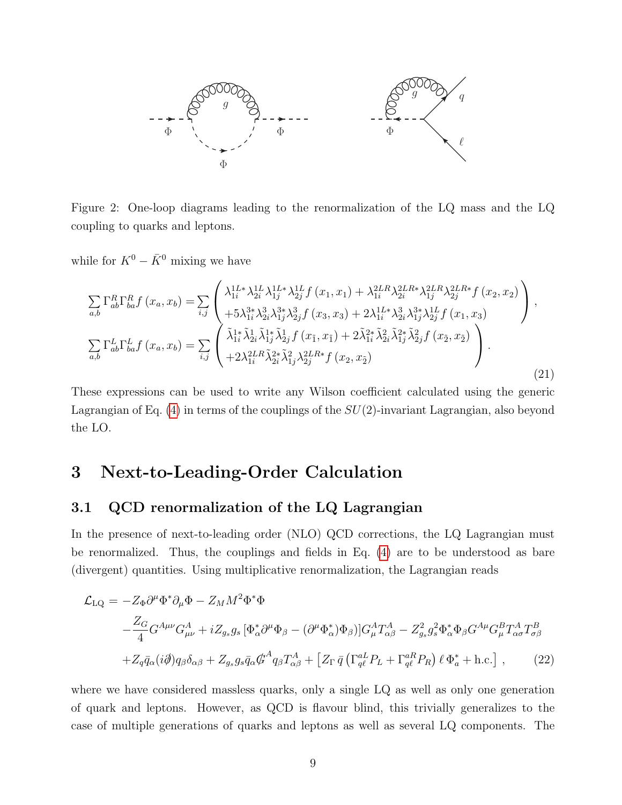

<span id="page-8-2"></span> $\begin{bmatrix} 1 & 1 \\ 1 & 1 \end{bmatrix}$   $\begin{bmatrix} 1 & 1 \\ 1 & 1 \end{bmatrix}$   $\begin{bmatrix} 1 & 1 \\ 1 & 1 \end{bmatrix}$   $\begin{bmatrix} 1 & 1 \\ 1 & 1 \end{bmatrix}$ coupling to quarks and leptons. Figure 2: One-loop diagrams leading to the renormalization of the LQ mass and the LQ

while for  $K^0 - \bar{K}^0$  mixing we have

$$
\sum_{a,b} \Gamma_{ab}^{R} \Gamma_{ba}^{R} f (x_{a}, x_{b}) = \sum_{i,j} \begin{pmatrix} \lambda_{1i}^{1L*} \lambda_{2i}^{1L} \lambda_{1j}^{1L*} \lambda_{2j}^{1L} f (x_{1}, x_{1}) + \lambda_{1i}^{2LR} \lambda_{2i}^{2LR*} \lambda_{1j}^{2LR*} \lambda_{2j}^{2LR*} f (x_{2}, x_{2}) \\ + 5 \lambda_{1i}^{3*} \lambda_{2i}^{3} \lambda_{1j}^{3*} \lambda_{2j}^{3} f (x_{3}, x_{3}) + 2 \lambda_{1i}^{1L*} \lambda_{2i}^{3} \lambda_{1j}^{3*} \lambda_{2j}^{1L} f (x_{1}, x_{3}) \end{pmatrix},
$$
\n
$$
\sum_{a,b} \Gamma_{ab}^{L} \Gamma_{ba}^{L} f (x_{a}, x_{b}) = \sum_{i,j} \begin{pmatrix} \tilde{\lambda}_{1i}^{1*} \tilde{\lambda}_{2i}^{1*} \tilde{\lambda}_{1j}^{1*} \tilde{\lambda}_{2j}^{1} f (x_{\tilde{1}}, x_{\tilde{1}}) + 2 \tilde{\lambda}_{1i}^{2*} \tilde{\lambda}_{2i}^{2} \tilde{\lambda}_{1j}^{2*} \tilde{\lambda}_{2j}^{2} f (x_{\tilde{2}}, x_{\tilde{2}}) \\ + 2 \lambda_{1i}^{2LR} \tilde{\lambda}_{2i}^{2*} \tilde{\lambda}_{1j}^{2} \lambda_{2j}^{2LR*} f (x_{2}, x_{\tilde{2}}) \end{pmatrix}.
$$
\n(21)

These expressions can be used to write any Wilson coefficient calculated using the generic Lagrangian of Eq.  $(4)$  in terms of the couplings of the  $SU(2)$ -invariant Lagrangian, also beyond the LO.

# <span id="page-8-0"></span>3 Next-to-Leading-Order Calculation

### <span id="page-8-1"></span>3.1 QCD renormalization of the LQ Lagrangian

In the presence of next-to-leading order (NLO) QCD corrections, the LQ Lagrangian must be renormalized. Thus, the couplings and fields in Eq. [\(4\)](#page-4-2) are to be understood as bare (divergent) quantities. Using multiplicative renormalization, the Lagrangian reads

$$
\mathcal{L}_{LQ} = -Z_{\Phi}\partial^{\mu}\Phi^{*}\partial_{\mu}\Phi - Z_{M}M^{2}\Phi^{*}\Phi
$$
  

$$
-\frac{Z_{G}}{4}G^{A\mu\nu}G_{\mu\nu}^{A} + iZ_{g_{s}}g_{s}[\Phi_{\alpha}^{*}\partial^{\mu}\Phi_{\beta} - (\partial^{\mu}\Phi_{\alpha}^{*})\Phi_{\beta}][G_{\mu}^{A}T_{\alpha\beta}^{A} - Z_{g_{s}}^{2}g_{s}^{2}\Phi_{\alpha}^{*}\Phi_{\beta}G^{A\mu}G_{\mu}^{B}T_{\alpha\sigma}^{A}T_{\sigma\beta}^{B}
$$
  

$$
+Z_{q}\bar{q}_{\alpha}(i\partial)q_{\beta}\delta_{\alpha\beta} + Z_{g_{s}}g_{s}\bar{q}_{\alpha}\mathcal{G}^{A}_{\alpha}q_{\beta}T_{\alpha\beta}^{A} + [Z_{\Gamma}\bar{q}\left(\Gamma_{q\ell}^{a}P_{L} + \Gamma_{q\ell}^{a}P_{R}\right)\ell\Phi_{a}^{*} + \text{h.c.}], \qquad (22)
$$

where we have considered massless quarks, only a single LQ as well as only one generation of quark and leptons. However, as QCD is flavour blind, this trivially generalizes to the case of multiple generations of quarks and leptons as well as several LQ components. The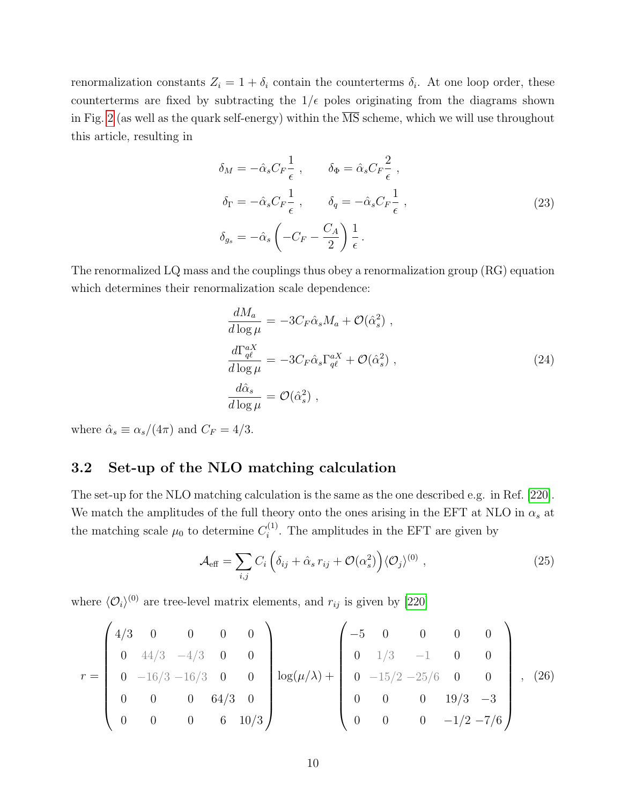renormalization constants  $Z_i = 1 + \delta_i$  contain the counterterms  $\delta_i$ . At one loop order, these counterterms are fixed by subtracting the  $1/\epsilon$  poles originating from the diagrams shown in Fig. [2](#page-8-2) (as well as the quark self-energy) within the  $\overline{\text{MS}}$  scheme, which we will use throughout this article, resulting in

$$
\delta_M = -\hat{\alpha}_s C_F \frac{1}{\epsilon} , \qquad \delta_\Phi = \hat{\alpha}_s C_F \frac{2}{\epsilon} ,
$$
  

$$
\delta_\Gamma = -\hat{\alpha}_s C_F \frac{1}{\epsilon} , \qquad \delta_q = -\hat{\alpha}_s C_F \frac{1}{\epsilon} ,
$$
  

$$
\delta_{g_s} = -\hat{\alpha}_s \left( -C_F - \frac{C_A}{2} \right) \frac{1}{\epsilon} .
$$
 (23)

The renormalized LQ mass and the couplings thus obey a renormalization group (RG) equation which determines their renormalization scale dependence:

<span id="page-9-2"></span>
$$
\frac{dM_a}{d\log\mu} = -3C_F\hat{\alpha}_s M_a + \mathcal{O}(\hat{\alpha}_s^2) ,
$$
\n
$$
\frac{d\Gamma_{q\ell}^{aX}}{d\log\mu} = -3C_F\hat{\alpha}_s \Gamma_{q\ell}^{aX} + \mathcal{O}(\hat{\alpha}_s^2) ,
$$
\n
$$
\frac{d\hat{\alpha}_s}{d\log\mu} = \mathcal{O}(\hat{\alpha}_s^2) ,
$$
\n(24)

where  $\hat{\alpha}_s \equiv \alpha_s/(4\pi)$  and  $C_F = 4/3$ .

### <span id="page-9-0"></span>3.2 Set-up of the NLO matching calculation

The set-up for the NLO matching calculation is the same as the one described e.g. in Ref. [\[220\]](#page-42-5). We match the amplitudes of the full theory onto the ones arising in the EFT at NLO in  $\alpha_s$  at the matching scale  $\mu_0$  to determine  $C_i^{(1)}$  $i^{(1)}$ . The amplitudes in the EFT are given by

<span id="page-9-3"></span>
$$
\mathcal{A}_{\text{eff}} = \sum_{i,j} C_i \left( \delta_{ij} + \hat{\alpha}_s r_{ij} + \mathcal{O}(\alpha_s^2) \right) \langle \mathcal{O}_j \rangle^{(0)} , \qquad (25)
$$

where  $\langle \mathcal{O}_i \rangle^{(0)}$  are tree-level matrix elements, and  $r_{ij}$  is given by [\[220\]](#page-42-5)

<span id="page-9-1"></span>
$$
r = \begin{pmatrix} 4/3 & 0 & 0 & 0 & 0 \ 0 & 44/3 & -4/3 & 0 & 0 \ 0 & -16/3 & -16/3 & 0 & 0 \ 0 & 0 & 0 & 64/3 & 0 \ 0 & 0 & 0 & 6 & 10/3 \end{pmatrix} \log(\mu/\lambda) + \begin{pmatrix} -5 & 0 & 0 & 0 & 0 \ 0 & 1/3 & -1 & 0 & 0 \ 0 & -15/2 & -25/6 & 0 & 0 \ 0 & 0 & 0 & 19/3 & -3 \ 0 & 0 & 0 & -1/2 & -7/6 \end{pmatrix}, (26)
$$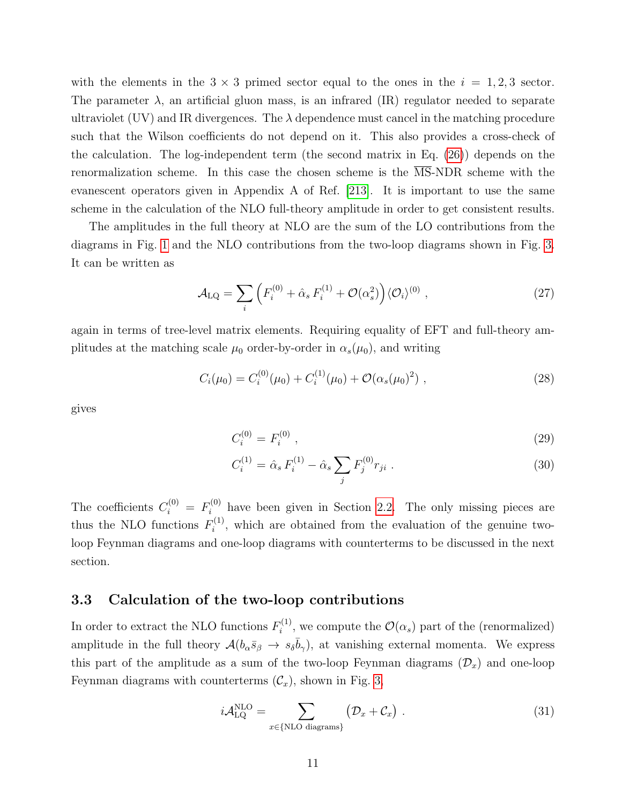with the elements in the  $3 \times 3$  primed sector equal to the ones in the  $i = 1, 2, 3$  sector. The parameter  $\lambda$ , an artificial gluon mass, is an infrared (IR) regulator needed to separate ultraviolet (UV) and IR divergences. The  $\lambda$  dependence must cancel in the matching procedure such that the Wilson coefficients do not depend on it. This also provides a cross-check of the calculation. The log-independent term (the second matrix in Eq. [\(26\)](#page-9-1)) depends on the renormalization scheme. In this case the chosen scheme is the MS-NDR scheme with the evanescent operators given in Appendix A of Ref. [\[213\]](#page-42-0). It is important to use the same scheme in the calculation of the NLO full-theory amplitude in order to get consistent results.

The amplitudes in the full theory at NLO are the sum of the LO contributions from the diagrams in Fig. [1](#page-5-0) and the NLO contributions from the two-loop diagrams shown in Fig. [3.](#page-13-0) It can be written as

$$
\mathcal{A}_{\text{LQ}} = \sum_{i} \left( F_i^{(0)} + \hat{\alpha}_s F_i^{(1)} + \mathcal{O}(\alpha_s^2) \right) \langle \mathcal{O}_i \rangle^{(0)} , \qquad (27)
$$

again in terms of tree-level matrix elements. Requiring equality of EFT and full-theory amplitudes at the matching scale  $\mu_0$  order-by-order in  $\alpha_s(\mu_0)$ , and writing

$$
C_i(\mu_0) = C_i^{(0)}(\mu_0) + C_i^{(1)}(\mu_0) + \mathcal{O}(\alpha_s(\mu_0)^2) , \qquad (28)
$$

gives

$$
C_i^{(0)} = F_i^{(0)} \t\t(29)
$$

$$
C_i^{(1)} = \hat{\alpha}_s F_i^{(1)} - \hat{\alpha}_s \sum_j F_j^{(0)} r_{ji} . \tag{30}
$$

The coefficients  $C_i^{(0)} = F_i^{(0)}$  have been given in Section [2.2.](#page-4-0) The only missing pieces are thus the NLO functions  $F_i^{(1)}$  $i^{(1)}$ , which are obtained from the evaluation of the genuine twoloop Feynman diagrams and one-loop diagrams with counterterms to be discussed in the next section.

#### <span id="page-10-0"></span>3.3 Calculation of the two-loop contributions

In order to extract the NLO functions  $F_i^{(1)}$  $\mathcal{O}(\alpha_s)$  part of the (renormalized) amplitude in the full theory  $\mathcal{A}(b_{\alpha}\bar{s}_{\beta} \to s_{\delta}\bar{b}_{\gamma})$ , at vanishing external momenta. We express this part of the amplitude as a sum of the two-loop Feynman diagrams  $(\mathcal{D}_x)$  and one-loop Feynman diagrams with counterterms  $(\mathcal{C}_x)$ , shown in Fig. [3,](#page-13-0)

$$
i\mathcal{A}_{\text{LQ}}^{\text{NLO}} = \sum_{x \in \{\text{NLO diagrams}\}} (\mathcal{D}_x + \mathcal{C}_x) . \tag{31}
$$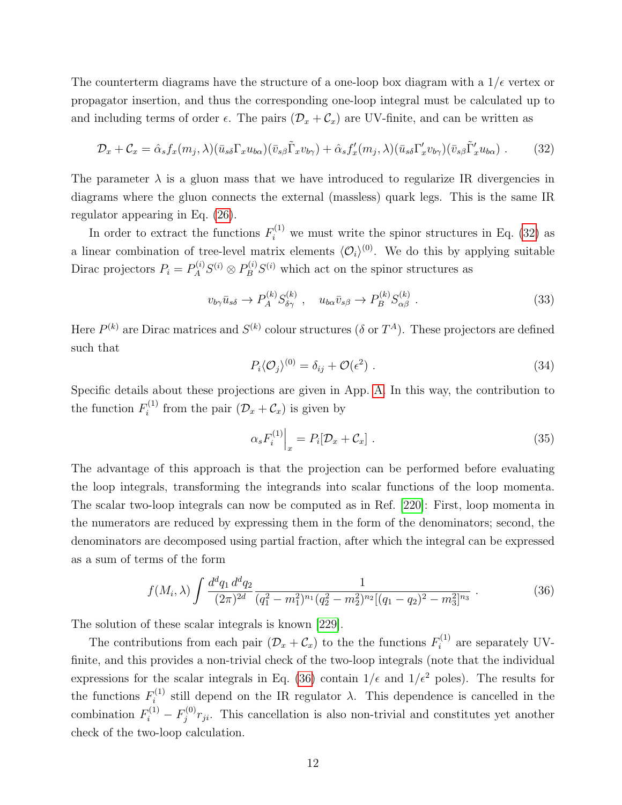The counterterm diagrams have the structure of a one-loop box diagram with a  $1/\epsilon$  vertex or propagator insertion, and thus the corresponding one-loop integral must be calculated up to and including terms of order  $\epsilon$ . The pairs  $(\mathcal{D}_x + \mathcal{C}_x)$  are UV-finite, and can be written as

<span id="page-11-0"></span>
$$
\mathcal{D}_x + \mathcal{C}_x = \hat{\alpha}_s f_x(m_j, \lambda) (\bar{u}_{s\delta} \Gamma_x u_{b\alpha}) (\bar{v}_{s\beta} \tilde{\Gamma}_x v_{b\gamma}) + \hat{\alpha}_s f'_x(m_j, \lambda) (\bar{u}_{s\delta} \Gamma'_x v_{b\gamma}) (\bar{v}_{s\beta} \tilde{\Gamma}'_x u_{b\alpha})
$$
 (32)

The parameter  $\lambda$  is a gluon mass that we have introduced to regularize IR divergencies in diagrams where the gluon connects the external (massless) quark legs. This is the same IR regulator appearing in Eq. [\(26\)](#page-9-1).

In order to extract the functions  $F_i^{(1)}$  we must write the spinor structures in Eq. [\(32\)](#page-11-0) as a linear combination of tree-level matrix elements  $\langle \mathcal{O}_i \rangle^{(0)}$ . We do this by applying suitable Dirac projectors  $P_i = P_A^{(i)} S^{(i)} \otimes P_B^{(i)} S^{(i)}$  which act on the spinor structures as

$$
v_{b\gamma}\bar{u}_{s\delta} \to P_A^{(k)} S_{\delta\gamma}^{(k)} , \quad u_{b\alpha}\bar{v}_{s\beta} \to P_B^{(k)} S_{\alpha\beta}^{(k)} . \tag{33}
$$

Here  $P^{(k)}$  are Dirac matrices and  $S^{(k)}$  colour structures ( $\delta$  or  $T^A$ ). These projectors are defined such that

$$
P_i \langle \mathcal{O}_j \rangle^{(0)} = \delta_{ij} + \mathcal{O}(\epsilon^2) \tag{34}
$$

Specific details about these projections are given in App. [A.](#page-20-0) In this way, the contribution to the function  $F_i^{(1)}$  $i^{(1)}$  from the pair  $(\mathcal{D}_x + \mathcal{C}_x)$  is given by

$$
\alpha_s F_i^{(1)}\Big|_x = P_i[\mathcal{D}_x + \mathcal{C}_x] \ . \tag{35}
$$

The advantage of this approach is that the projection can be performed before evaluating the loop integrals, transforming the integrands into scalar functions of the loop momenta. The scalar two-loop integrals can now be computed as in Ref. [\[220\]](#page-42-5): First, loop momenta in the numerators are reduced by expressing them in the form of the denominators; second, the denominators are decomposed using partial fraction, after which the integral can be expressed as a sum of terms of the form

<span id="page-11-1"></span>
$$
f(M_i, \lambda) \int \frac{d^d q_1 d^d q_2}{(2\pi)^{2d}} \frac{1}{(q_1^2 - m_1^2)^{n_1} (q_2^2 - m_2^2)^{n_2} [(q_1 - q_2)^2 - m_3^2]^{n_3}} \,. \tag{36}
$$

The solution of these scalar integrals is known [\[229\]](#page-43-4).

The contributions from each pair  $(\mathcal{D}_x + \mathcal{C}_x)$  to the the functions  $F_i^{(1)}$  $i^{(1)}$  are separately UVfinite, and this provides a non-trivial check of the two-loop integrals (note that the individual expressions for the scalar integrals in Eq. [\(36\)](#page-11-1) contain  $1/\epsilon$  and  $1/\epsilon^2$  poles). The results for the functions  $F_i^{(1)}$  $i^{(1)}$  still depend on the IR regulator  $\lambda$ . This dependence is cancelled in the combination  $F_i^{(1)} - F_j^{(0)}$  $j^{(0)}r_{ji}$ . This cancellation is also non-trivial and constitutes yet another check of the two-loop calculation.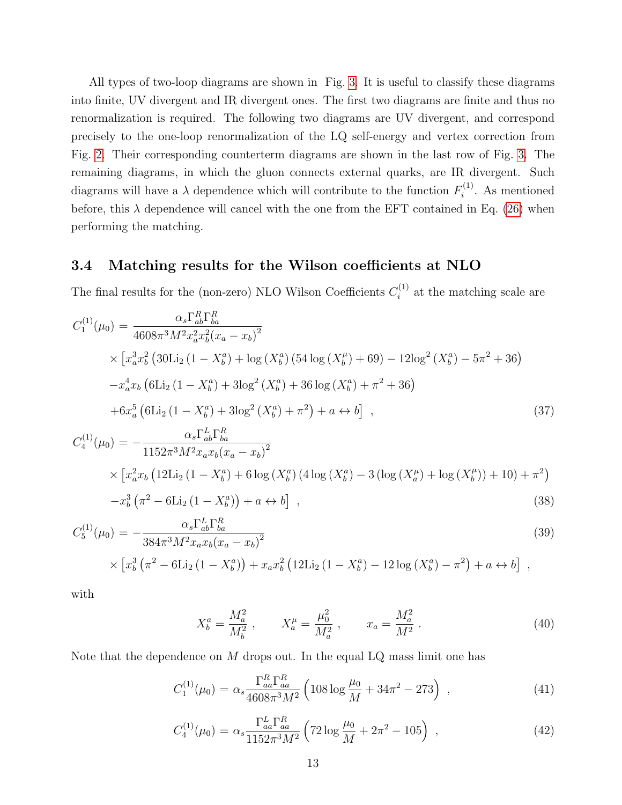All types of two-loop diagrams are shown in Fig. [3.](#page-13-0) It is useful to classify these diagrams into finite, UV divergent and IR divergent ones. The first two diagrams are finite and thus no renormalization is required. The following two diagrams are UV divergent, and correspond precisely to the one-loop renormalization of the LQ self-energy and vertex correction from Fig. [2.](#page-8-2) Their corresponding counterterm diagrams are shown in the last row of Fig. [3.](#page-13-0) The remaining diagrams, in which the gluon connects external quarks, are IR divergent. Such diagrams will have a  $\lambda$  dependence which will contribute to the function  $F_i^{(1)}$  $i^{(1)}$ . As mentioned before, this  $\lambda$  dependence will cancel with the one from the EFT contained in Eq. [\(26\)](#page-9-1) when performing the matching.

#### <span id="page-12-0"></span>3.4 Matching results for the Wilson coefficients at NLO

The final results for the (non-zero) NLO Wilson Coefficients  $C_i^{(1)}$  $i^{(1)}$  at the matching scale are

<span id="page-12-2"></span>
$$
C_{1}^{(1)}(\mu_{0}) = \frac{\alpha_{s} \Gamma_{ab}^{R} \Gamma_{ba}^{R}}{4608\pi^{3} M^{2} x_{a}^{2} x_{b}^{2} (x_{a} - x_{b})^{2}}
$$
  
 
$$
\times \left[x_{a}^{3} x_{b}^{2} (30 \text{Li}_{2} (1 - X_{b}^{a}) + \log (X_{b}^{a}) (54 \log (X_{b}^{\mu}) + 69) - 12 \log^{2} (X_{b}^{a}) - 5\pi^{2} + 36\right)
$$
  
- $x_{a}^{4} x_{b} (6 \text{Li}_{2} (1 - X_{b}^{a}) + 3 \log^{2} (X_{b}^{a}) + 36 \log (X_{b}^{a}) + \pi^{2} + 36)$   
+ $6x_{a}^{5} (6 \text{Li}_{2} (1 - X_{b}^{a}) + 3 \log^{2} (X_{b}^{a}) + \pi^{2}) + a \leftrightarrow b \right],$  (37)

$$
C_4^{(1)}(\mu_0) = -\frac{\alpha_s \Gamma_{ab}^L \Gamma_{ba}^R}{1152\pi^3 M^2 x_a x_b (x_a - x_b)^2}
$$
  
 
$$
\times \left[ x_a^2 x_b \left( 12 \text{Li}_2 \left( 1 - X_b^a \right) + 6 \log \left( X_b^a \right) \left( 4 \log \left( X_b^a \right) - 3 \left( \log \left( X_a^\mu \right) + \log \left( X_b^\mu \right) \right) + 10 \right) + \pi^2 \right)
$$
  
-
$$
x_b^3 \left( \pi^2 - 6 \text{Li}_2 \left( 1 - X_b^a \right) \right) + a \leftrightarrow b \right] , \qquad (38)
$$

$$
C_5^{(1)}(\mu_0) = -\frac{\alpha_s \Gamma_{ab}^L \Gamma_{ba}^R}{384\pi^3 M^2 x_a x_b (x_a - x_b)^2} \times \left[ x_b^3 \left( \pi^2 - 6 \text{Li}_2 \left( 1 - X_b^a \right) \right) + x_a x_b^2 \left( 12 \text{Li}_2 \left( 1 - X_b^a \right) - 12 \log \left( X_b^a \right) - \pi^2 \right) + a \leftrightarrow b \right] ,
$$
\n(39)

with

$$
X_b^a = \frac{M_a^2}{M_b^2} , \qquad X_a^\mu = \frac{\mu_0^2}{M_a^2} , \qquad x_a = \frac{M_a^2}{M^2} . \tag{40}
$$

Note that the dependence on  $M$  drops out. In the equal LQ mass limit one has

<span id="page-12-1"></span>
$$
C_1^{(1)}(\mu_0) = \alpha_s \frac{\Gamma_{aa}^R \Gamma_{aa}^R}{4608\pi^3 M^2} \left(108 \log \frac{\mu_0}{M} + 34\pi^2 - 273\right) ,\qquad (41)
$$

$$
C_4^{(1)}(\mu_0) = \alpha_s \frac{\Gamma_{aa}^L \Gamma_{aa}^R}{1152\pi^3 M^2} \left(72 \log \frac{\mu_0}{M} + 2\pi^2 - 105\right) ,\qquad (42)
$$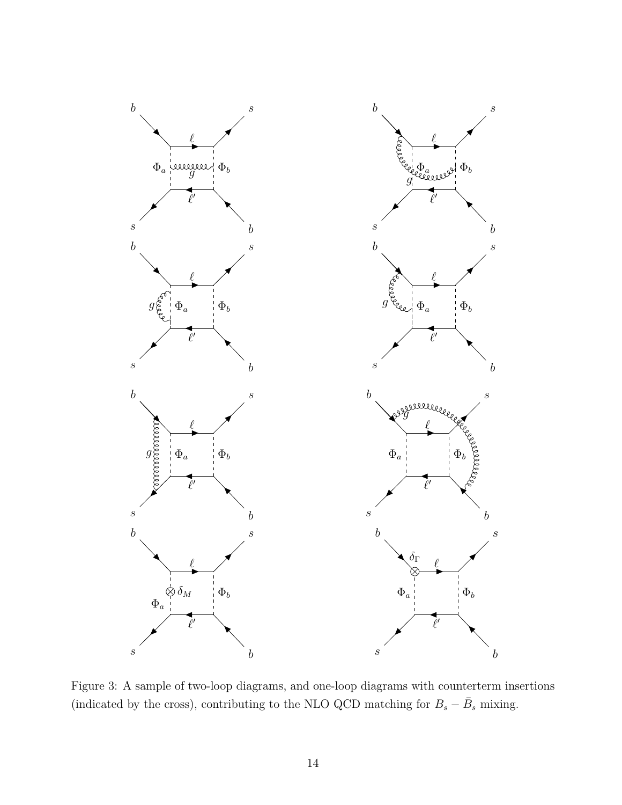

<span id="page-13-0"></span>Figure 3: A sample of two-loop diagrams, and one-loop diagrams with counterterm insertions (indicated by the cross), contributing to the NLO QCD matching for  $B_s - \bar{B}_s$  mixing.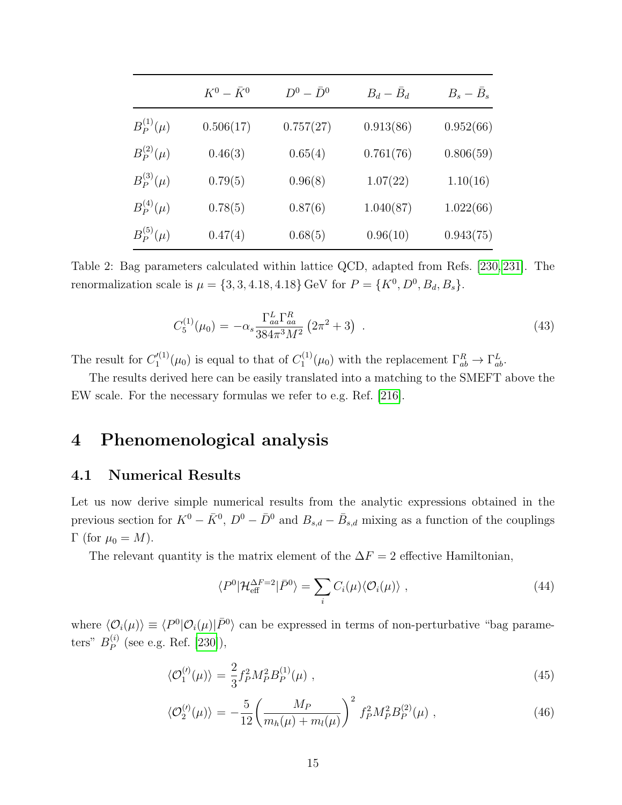|                  | $K^0 - \bar{K}^0$ | $D^0-\bar D^0$ | $B_d - \bar{B}_d$ | $B_s - B_s$ |
|------------------|-------------------|----------------|-------------------|-------------|
| $B_P^{(1)}(\mu)$ | 0.506(17)         | 0.757(27)      | 0.913(86)         | 0.952(66)   |
| $B_P^{(2)}(\mu)$ | 0.46(3)           | 0.65(4)        | 0.761(76)         | 0.806(59)   |
| $B_P^{(3)}(\mu)$ | 0.79(5)           | 0.96(8)        | 1.07(22)          | 1.10(16)    |
| $B_P^{(4)}(\mu)$ | 0.78(5)           | 0.87(6)        | 1.040(87)         | 1.022(66)   |
| $B_P^{(5)}(\mu)$ | 0.47(4)           | 0.68(5)        | 0.96(10)          | 0.943(75)   |

<span id="page-14-2"></span>Table 2: Bag parameters calculated within lattice QCD, adapted from Refs. [\[230,](#page-43-5) [231\]](#page-43-6). The renormalization scale is  $\mu = \{3, 3, 4.18, 4.18\}$  GeV for  $P = \{K^0, D^0, B_d, B_s\}.$ 

$$
C_5^{(1)}(\mu_0) = -\alpha_s \frac{\Gamma_{aa}^L \Gamma_{aa}^R}{384\pi^3 M^2} \left(2\pi^2 + 3\right) \ . \tag{43}
$$

The result for  $C_1^{\prime(1)}$  $C_1^{(1)}(\mu_0)$  is equal to that of  $C_1^{(1)}$  $\Gamma_{1}^{(1)}(\mu_0)$  with the replacement  $\Gamma_{ab}^R \to \Gamma_{ab}^L$ .

The results derived here can be easily translated into a matching to the SMEFT above the EW scale. For the necessary formulas we refer to e.g. Ref. [\[216\]](#page-42-2).

# <span id="page-14-0"></span>4 Phenomenological analysis

#### <span id="page-14-1"></span>4.1 Numerical Results

Let us now derive simple numerical results from the analytic expressions obtained in the previous section for  $K^0 - \bar{K}^0$ ,  $D^0 - \bar{D}^0$  and  $B_{s,d} - \bar{B}_{s,d}$  mixing as a function of the couplings Γ (for  $\mu_0 = M$ ).

The relevant quantity is the matrix element of the  $\Delta F = 2$  effective Hamiltonian,

<span id="page-14-4"></span>
$$
\langle P^{0} | \mathcal{H}_{\text{eff}}^{\Delta F=2} | \bar{P}^{0} \rangle = \sum_{i} C_{i}(\mu) \langle \mathcal{O}_{i}(\mu) \rangle , \qquad (44)
$$

where  $\langle \mathcal{O}_i(\mu) \rangle \equiv \langle P^0 | \mathcal{O}_i(\mu) | \bar{P}^0 \rangle$  can be expressed in terms of non-perturbative "bag parameters"  $B_P^{(i)}$  $P_P^{(i)}$  (see e.g. Ref. [\[230\]](#page-43-5)),

<span id="page-14-3"></span>
$$
\langle \mathcal{O}_1^{(l)}(\mu) \rangle = \frac{2}{3} f_P^2 M_P^2 B_P^{(1)}(\mu) , \qquad (45)
$$

$$
\langle \mathcal{O}_2^{(\prime)}(\mu) \rangle = -\frac{5}{12} \left( \frac{M_P}{m_h(\mu) + m_l(\mu)} \right)^2 f_P^2 M_P^2 B_P^{(2)}(\mu) , \qquad (46)
$$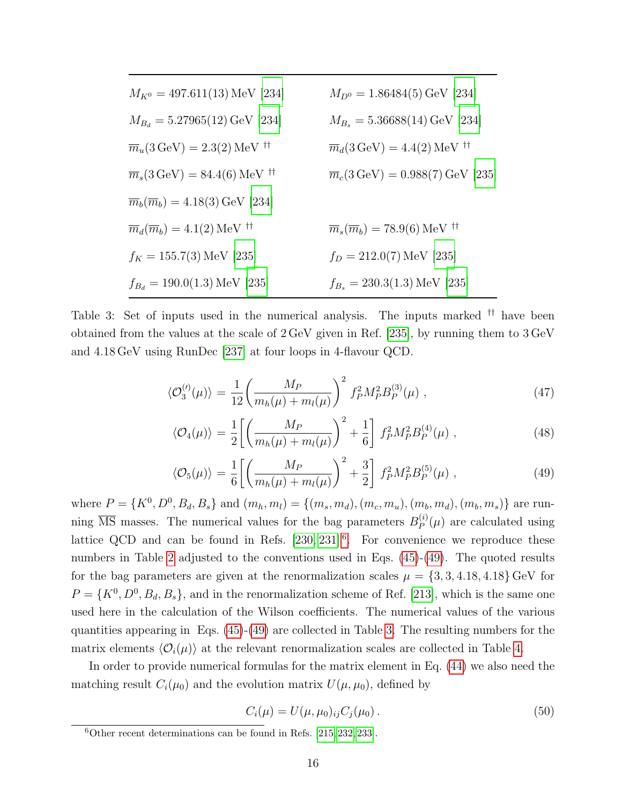| $M_{K^0} = 497.611(13) \,\text{MeV}$ [234]                            | $M_{D^0} = 1.86484(5) \,\text{GeV}$ [234]                             |
|-----------------------------------------------------------------------|-----------------------------------------------------------------------|
| $M_{B_d} = 5.27965(12) \,\text{GeV}$ [234]                            | $M_{B_s} = 5.36688(14) \,\text{GeV}$ [234]                            |
| $\overline{m}_u(3\,\text{GeV}) = 2.3(2)\,\text{MeV}$ <sup>††</sup>    | $\overline{m}_d(3 \,\text{GeV}) = 4.4(2) \,\text{MeV}$ <sup>††</sup>  |
| $\overline{m}_s(3 \,\text{GeV}) = 84.4(6) \,\text{MeV}$ <sup>††</sup> | $\overline{m}_c(3 \,\text{GeV}) = 0.988(7) \,\text{GeV}$ [235]        |
| $\overline{m}_b(\overline{m}_b) = 4.18(3) \,\mathrm{GeV}$ [234]       |                                                                       |
| $\overline{m}_d(\overline{m}_b) = 4.1(2) \,\textrm{MeV}$ if           | $\overline{m}_s(\overline{m}_b) = 78.9(6) \,\text{MeV}$ <sup>††</sup> |
| $f_K = 155.7(3) \,\text{MeV}$ [235]                                   | $f_D = 212.0(7) \,\text{MeV}$ [235]                                   |
| $f_{B_d} = 190.0(1.3) \,\text{MeV}$ [235]                             | $f_{B_s} = 230.3(1.3) \,\text{MeV}$ [235]                             |

<span id="page-15-1"></span>Table 3: Set of inputs used in the numerical analysis. The inputs marked †† have been obtained from the values at the scale of 2 GeV given in Ref. [\[235\]](#page-43-8), by running them to 3 GeV and 4.18 GeV using RunDec [\[237\]](#page-44-0) at four loops in 4-flavour QCD.

$$
\langle \mathcal{O}_3^{(\prime)}(\mu) \rangle = \frac{1}{12} \left( \frac{M_P}{m_h(\mu) + m_l(\mu)} \right)^2 f_P^2 M_P^2 B_P^{(3)}(\mu) , \qquad (47)
$$

$$
\langle \mathcal{O}_4(\mu) \rangle = \frac{1}{2} \left[ \left( \frac{M_P}{m_h(\mu) + m_l(\mu)} \right)^2 + \frac{1}{6} \right] f_P^2 M_P^2 B_P^{(4)}(\mu) , \qquad (48)
$$

$$
\langle \mathcal{O}_5(\mu) \rangle = \frac{1}{6} \left[ \left( \frac{M_P}{m_h(\mu) + m_l(\mu)} \right)^2 + \frac{3}{2} \right] f_P^2 M_P^2 B_P^{(5)}(\mu) , \qquad (49)
$$

where  $P = \{K^0, D^0, B_d, B_s\}$  and  $(m_h, m_l) = \{(m_s, m_d), (m_c, m_u), (m_b, m_d), (m_b, m_s)\}$  are running  $\overline{\text{MS}}$  masses. The numerical values for the bag parameters  $B_P^{(i)}$  $P^{(v)}(\mu)$  are calculated using lattice QCD and can be found in Refs.  $[230, 231]$  $[230, 231]$ <sup>[6](#page-15-0)</sup>. For convenience we reproduce these numbers in Table [2](#page-14-2) adjusted to the conventions used in Eqs.  $(45)-(49)$  $(45)-(49)$ . The quoted results for the bag parameters are given at the renormalization scales  $\mu = \{3, 3, 4.18, 4.18\}$  GeV for  $P = \{K^0, D^0, B_d, B_s\}$ , and in the renormalization scheme of Ref. [\[213\]](#page-42-0), which is the same one used here in the calculation of the Wilson coefficients. The numerical values of the various quantities appearing in Eqs. [\(45\)](#page-14-3)-[\(49\)](#page-14-3) are collected in Table [3.](#page-15-1) The resulting numbers for the matrix elements  $\langle \mathcal{O}_i(\mu) \rangle$  at the relevant renormalization scales are collected in Table [4.](#page-17-1)

In order to provide numerical formulas for the matrix element in Eq. [\(44\)](#page-14-4) we also need the matching result  $C_i(\mu_0)$  and the evolution matrix  $U(\mu, \mu_0)$ , defined by

$$
C_i(\mu) = U(\mu, \mu_0)_{ij} C_j(\mu_0).
$$
\n(50)

<span id="page-15-0"></span> ${}^{6}$ Other recent determinations can be found in Refs. [\[215,](#page-42-6) [232,](#page-43-9) [233\]](#page-43-10).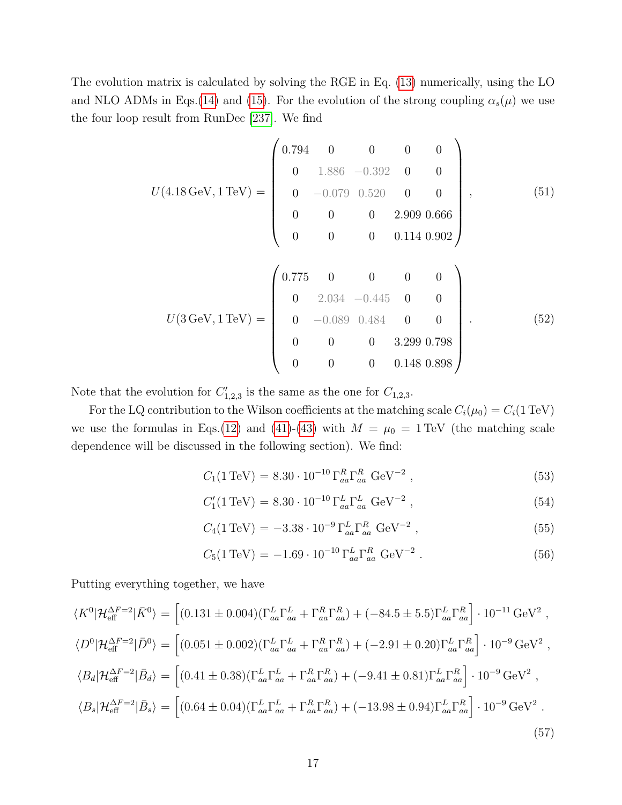The evolution matrix is calculated by solving the RGE in Eq. [\(13\)](#page-6-1) numerically, using the LO and NLO ADMs in Eqs.[\(14\)](#page-6-2) and [\(15\)](#page-6-3). For the evolution of the strong coupling  $\alpha_s(\mu)$  we use the four loop result from RunDec [\[237\]](#page-44-0). We find

$$
U(4.18 \text{ GeV}, 1 \text{ TeV}) = \begin{pmatrix} 0.794 & 0 & 0 & 0 & 0 \\ 0 & 1.886 & -0.392 & 0 & 0 \\ 0 & -0.079 & 0.520 & 0 & 0 \\ 0 & 0 & 0 & 2.909 & 0.666 \\ 0 & 0 & 0 & 0.114 & 0.902 \end{pmatrix}, \qquad (51)
$$

$$
U(3 \text{ GeV}, 1 \text{ TeV}) = \begin{pmatrix} 0.775 & 0 & 0 & 0 & 0 \\ 0 & 2.034 & -0.445 & 0 & 0 \\ 0 & -0.089 & 0.484 & 0 & 0 \\ 0 & 0 & 0 & 3.299 & 0.798 \\ 0 & 0 & 0 & 0.148 & 0.898 \end{pmatrix}. \qquad (52)
$$

Note that the evolution for  $C'_{1,2,3}$  is the same as the one for  $C_{1,2,3}$ .

For the LQ contribution to the Wilson coefficients at the matching scale  $C_i(\mu_0) = C_i(1 \text{ TeV})$ we use the formulas in Eqs.[\(12\)](#page-5-2) and [\(41\)](#page-12-1)-[\(43\)](#page-12-1) with  $M = \mu_0 = 1 \,\text{TeV}$  (the matching scale dependence will be discussed in the following section). We find:

$$
C_1(1 \,\text{TeV}) = 8.30 \cdot 10^{-10} \Gamma_{aa}^R \Gamma_{aa}^R \text{ GeV}^{-2} , \qquad (53)
$$

$$
C'_{1}(1 \,\text{TeV}) = 8.30 \cdot 10^{-10} \Gamma_{aa}^{L} \Gamma_{aa}^{L} \text{ GeV}^{-2} , \qquad (54)
$$

$$
C_4(1 \,\text{TeV}) = -3.38 \cdot 10^{-9} \Gamma_{aa}^L \Gamma_{aa}^R \text{ GeV}^{-2} , \qquad (55)
$$

$$
C_5(1 \,\text{TeV}) = -1.69 \cdot 10^{-10} \, \Gamma_{aa}^L \Gamma_{aa}^R \, \text{GeV}^{-2} \,. \tag{56}
$$

Putting everything together, we have

$$
\langle K^{0}|\mathcal{H}_{\text{eff}}^{\Delta F=2}|\bar{K}^{0}\rangle = \left[(0.131 \pm 0.004)(\Gamma_{aa}^{L}\Gamma_{aa}^{L} + \Gamma_{aa}^{R}\Gamma_{aa}^{R}) + (-84.5 \pm 5.5)\Gamma_{aa}^{L}\Gamma_{aa}^{R}\right] \cdot 10^{-11} \text{ GeV}^{2} ,
$$
  
\n
$$
\langle D^{0}|\mathcal{H}_{\text{eff}}^{\Delta F=2}|\bar{D}^{0}\rangle = \left[(0.051 \pm 0.002)(\Gamma_{aa}^{L}\Gamma_{aa}^{L} + \Gamma_{aa}^{R}\Gamma_{aa}^{R}) + (-2.91 \pm 0.20)\Gamma_{aa}^{L}\Gamma_{aa}^{R}\right] \cdot 10^{-9} \text{ GeV}^{2} ,
$$
  
\n
$$
\langle B_{d}|\mathcal{H}_{\text{eff}}^{\Delta F=2}|\bar{B}_{d}\rangle = \left[(0.41 \pm 0.38)(\Gamma_{aa}^{L}\Gamma_{aa}^{L} + \Gamma_{aa}^{R}\Gamma_{aa}^{R}) + (-9.41 \pm 0.81)\Gamma_{aa}^{L}\Gamma_{aa}^{R}\right] \cdot 10^{-9} \text{ GeV}^{2} ,
$$
  
\n
$$
\langle B_{s}|\mathcal{H}_{\text{eff}}^{\Delta F=2}|\bar{B}_{s}\rangle = \left[(0.64 \pm 0.04)(\Gamma_{aa}^{L}\Gamma_{aa}^{L} + \Gamma_{aa}^{R}\Gamma_{aa}^{R}) + (-13.98 \pm 0.94)\Gamma_{aa}^{L}\Gamma_{aa}^{R}\right] \cdot 10^{-9} \text{ GeV}^{2} .
$$
  
\n(57)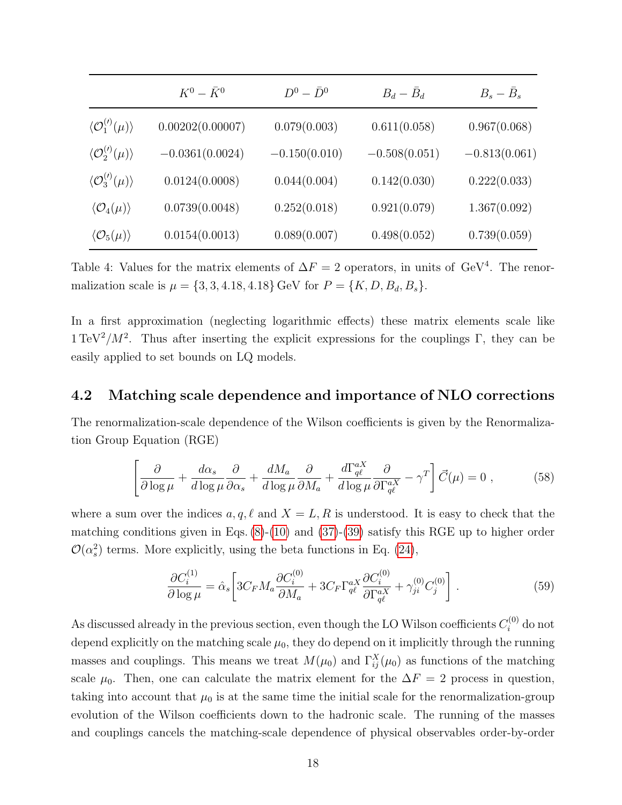|                                                 | $K^0 - \bar{K}^0$ | $D^0 - \bar{D}^0$ | $B_d - \bar{B}_d$ | $B_s - B_s$     |
|-------------------------------------------------|-------------------|-------------------|-------------------|-----------------|
| $\langle \mathcal{O}_1^{(\prime)}(\mu) \rangle$ | 0.00202(0.00007)  | 0.079(0.003)      | 0.611(0.058)      | 0.967(0.068)    |
| $\langle {\cal O}_2^{(\prime)}(\mu)\rangle$     | $-0.0361(0.0024)$ | $-0.150(0.010)$   | $-0.508(0.051)$   | $-0.813(0.061)$ |
| $\langle {\cal O}_3^{(\prime)} (\mu) \rangle$   | 0.0124(0.0008)    | 0.044(0.004)      | 0.142(0.030)      | 0.222(0.033)    |
| $\langle \mathcal{O}_4(\mu) \rangle$            | 0.0739(0.0048)    | 0.252(0.018)      | 0.921(0.079)      | 1.367(0.092)    |
| $\langle \mathcal{O}_5(\mu) \rangle$            | 0.0154(0.0013)    | 0.089(0.007)      | 0.498(0.052)      | 0.739(0.059)    |

<span id="page-17-1"></span>Table 4: Values for the matrix elements of  $\Delta F = 2$  operators, in units of GeV<sup>4</sup>. The renormalization scale is  $\mu = \{3, 3, 4.18, 4.18\}$  GeV for  $P = \{K, D, B_d, B_s\}.$ 

In a first approximation (neglecting logarithmic effects) these matrix elements scale like  $1 \text{TeV}^2/M^2$ . Thus after inserting the explicit expressions for the couplings Γ, they can be easily applied to set bounds on LQ models.

#### <span id="page-17-0"></span>4.2 Matching scale dependence and importance of NLO corrections

The renormalization-scale dependence of the Wilson coefficients is given by the Renormalization Group Equation (RGE)

$$
\left[\frac{\partial}{\partial \log \mu} + \frac{d\alpha_s}{d \log \mu} \frac{\partial}{\partial \alpha_s} + \frac{dM_a}{d \log \mu} \frac{\partial}{\partial M_a} + \frac{d\Gamma_{q\ell}^{aX}}{d \log \mu} \frac{\partial}{\partial \Gamma_{q\ell}^{aX}} - \gamma^T\right] \vec{C}(\mu) = 0 ,\qquad (58)
$$

where a sum over the indices  $a, q, \ell$  and  $X = L, R$  is understood. It is easy to check that the matching conditions given in Eqs.  $(8)-(10)$  $(8)-(10)$  and  $(37)-(39)$  $(37)-(39)$  satisfy this RGE up to higher order  $\mathcal{O}(\alpha_s^2)$  terms. More explicitly, using the beta functions in Eq. [\(24\)](#page-9-2),

$$
\frac{\partial C_i^{(1)}}{\partial \log \mu} = \hat{\alpha}_s \left[ 3C_F M_a \frac{\partial C_i^{(0)}}{\partial M_a} + 3C_F \Gamma_{q\ell}^{aX} \frac{\partial C_i^{(0)}}{\partial \Gamma_{q\ell}^{aX}} + \gamma_{ji}^{(0)} C_j^{(0)} \right] . \tag{59}
$$

As discussed already in the previous section, even though the LO Wilson coefficients  $C_i^{(0)}$  do not depend explicitly on the matching scale  $\mu_0$ , they do depend on it implicitly through the running masses and couplings. This means we treat  $M(\mu_0)$  and  $\Gamma_{ij}^X(\mu_0)$  as functions of the matching scale  $\mu_0$ . Then, one can calculate the matrix element for the  $\Delta F = 2$  process in question, taking into account that  $\mu_0$  is at the same time the initial scale for the renormalization-group evolution of the Wilson coefficients down to the hadronic scale. The running of the masses and couplings cancels the matching-scale dependence of physical observables order-by-order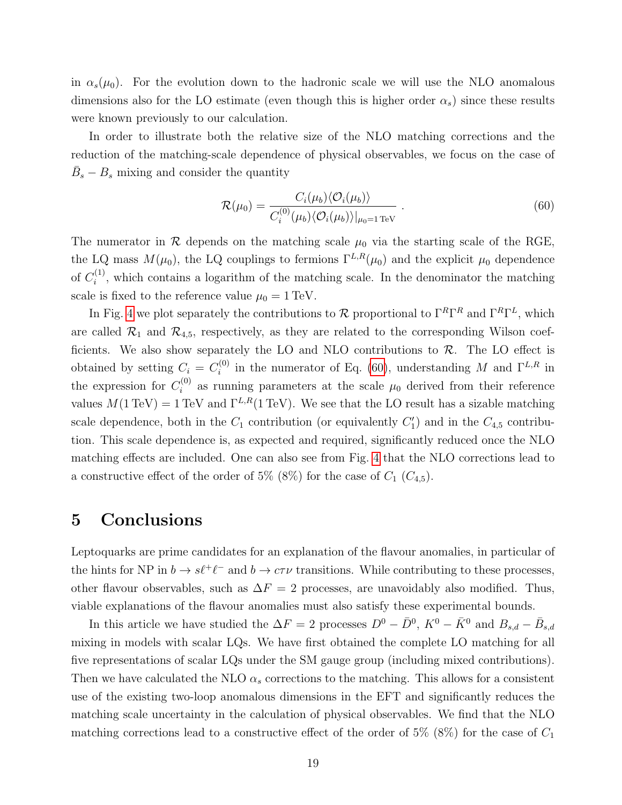in  $\alpha_s(\mu_0)$ . For the evolution down to the hadronic scale we will use the NLO anomalous dimensions also for the LO estimate (even though this is higher order  $\alpha_s$ ) since these results were known previously to our calculation.

In order to illustrate both the relative size of the NLO matching corrections and the reduction of the matching-scale dependence of physical observables, we focus on the case of  $\bar{B}_s - B_s$  mixing and consider the quantity

<span id="page-18-1"></span>
$$
\mathcal{R}(\mu_0) = \frac{C_i(\mu_b) \langle \mathcal{O}_i(\mu_b) \rangle}{C_i^{(0)}(\mu_b) \langle \mathcal{O}_i(\mu_b) \rangle|_{\mu_0=1 \text{ TeV}}}.
$$
\n(60)

The numerator in  $\mathcal R$  depends on the matching scale  $\mu_0$  via the starting scale of the RGE, the LQ mass  $M(\mu_0)$ , the LQ couplings to fermions  $\Gamma^{L,R}(\mu_0)$  and the explicit  $\mu_0$  dependence of  $C_i^{(1)}$  $i^{(1)}$ , which contains a logarithm of the matching scale. In the denominator the matching scale is fixed to the reference value  $\mu_0 = 1 \text{ TeV}$ .

In Fig. [4](#page-19-0) we plot separately the contributions to  $\mathcal{R}$  proportional to  $\Gamma^R\Gamma^R$  and  $\Gamma^R\Gamma^L$ , which are called  $\mathcal{R}_1$  and  $\mathcal{R}_{4,5}$ , respectively, as they are related to the corresponding Wilson coefficients. We also show separately the LO and NLO contributions to  $\mathcal{R}$ . The LO effect is obtained by setting  $C_i = C_i^{(0)}$ <sup>(0)</sup> in the numerator of Eq. [\(60\)](#page-18-1), understanding M and  $\Gamma^{L,R}$  in the expression for  $C_i^{(0)}$  $\mu_0^{(0)}$  as running parameters at the scale  $\mu_0$  derived from their reference values  $M(1 \text{ TeV}) = 1 \text{ TeV}$  and  $\Gamma^{L,R}(1 \text{ TeV})$ . We see that the LO result has a sizable matching scale dependence, both in the  $C_1$  contribution (or equivalently  $C_1'$ ) and in the  $C_{4,5}$  contribution. This scale dependence is, as expected and required, significantly reduced once the NLO matching effects are included. One can also see from Fig. [4](#page-19-0) that the NLO corrections lead to a constructive effect of the order of 5% (8%) for the case of  $C_1$  ( $C_{4,5}$ ).

### <span id="page-18-0"></span>5 Conclusions

Leptoquarks are prime candidates for an explanation of the flavour anomalies, in particular of the hints for NP in  $b \to s\ell^+\ell^-$  and  $b \to c\tau\nu$  transitions. While contributing to these processes, other flavour observables, such as  $\Delta F = 2$  processes, are unavoidably also modified. Thus, viable explanations of the flavour anomalies must also satisfy these experimental bounds.

In this article we have studied the  $\Delta F = 2$  processes  $D^0 - \bar{D}^0$ ,  $K^0 - \bar{K}^0$  and  $B_{s,d} - \bar{B}_{s,d}$ mixing in models with scalar LQs. We have first obtained the complete LO matching for all five representations of scalar LQs under the SM gauge group (including mixed contributions). Then we have calculated the NLO  $\alpha_s$  corrections to the matching. This allows for a consistent use of the existing two-loop anomalous dimensions in the EFT and significantly reduces the matching scale uncertainty in the calculation of physical observables. We find that the NLO matching corrections lead to a constructive effect of the order of 5% (8%) for the case of  $C_1$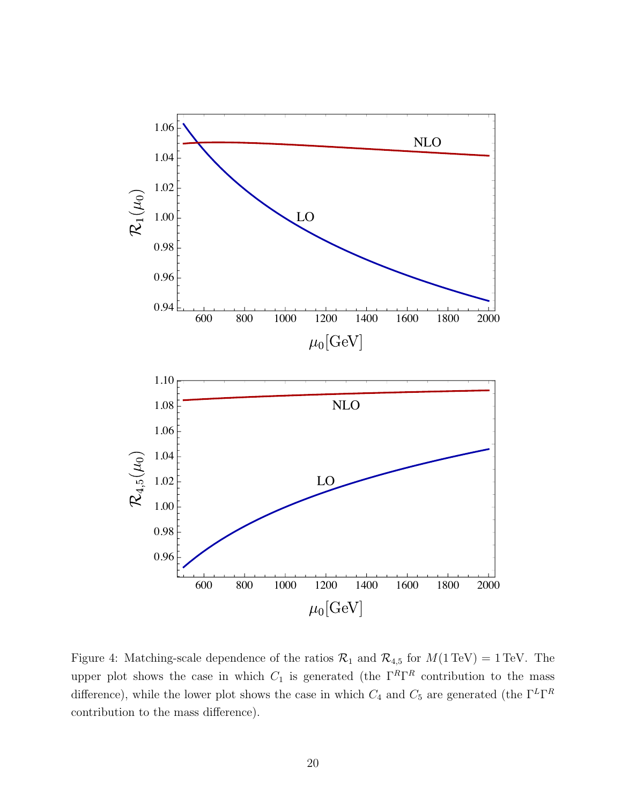

<span id="page-19-0"></span>Figure 4: Matching-scale dependence of the ratios  $\mathcal{R}_1$  and  $\mathcal{R}_{4,5}$  for  $M(1 \text{ TeV}) = 1 \text{ TeV}$ . The upper plot shows the case in which  $C_1$  is generated (the  $\Gamma^R \Gamma^R$  contribution to the mass difference), while the lower plot shows the case in which  $C_4$  and  $C_5$  are generated (the  $\Gamma^L\Gamma^R$ contribution to the mass difference).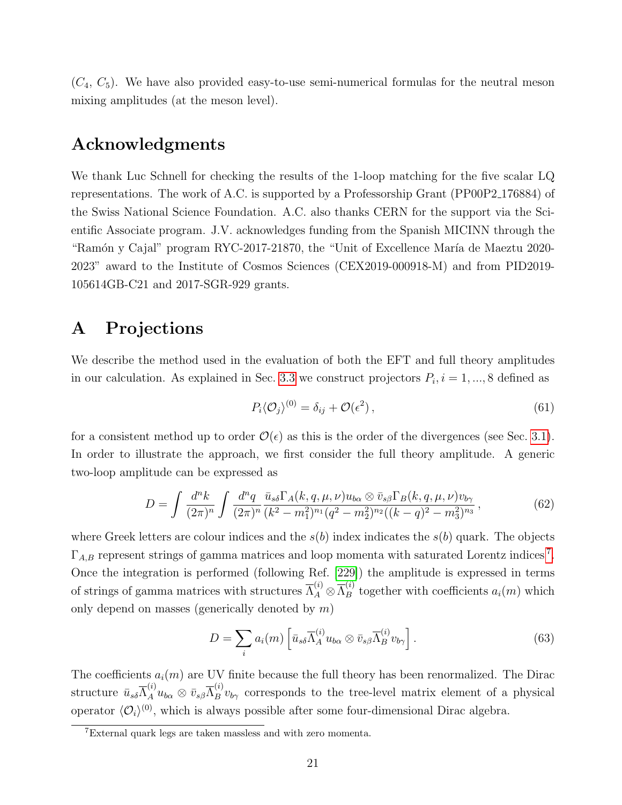$(C_4, C_5)$ . We have also provided easy-to-use semi-numerical formulas for the neutral meson mixing amplitudes (at the meson level).

### Acknowledgments

We thank Luc Schnell for checking the results of the 1-loop matching for the five scalar LQ representations. The work of A.C. is supported by a Professorship Grant (PP00P2 176884) of the Swiss National Science Foundation. A.C. also thanks CERN for the support via the Scientific Associate program. J.V. acknowledges funding from the Spanish MICINN through the "Ramón y Cajal" program RYC-2017-21870, the "Unit of Excellence María de Maeztu 2020-2023" award to the Institute of Cosmos Sciences (CEX2019-000918-M) and from PID2019- 105614GB-C21 and 2017-SGR-929 grants.

# <span id="page-20-0"></span>A Projections

We describe the method used in the evaluation of both the EFT and full theory amplitudes in our calculation. As explained in Sec. [3.3](#page-10-0) we construct projectors  $P_i$ ,  $i = 1, ..., 8$  defined as

<span id="page-20-3"></span>
$$
P_i \langle \mathcal{O}_j \rangle^{(0)} = \delta_{ij} + \mathcal{O}(\epsilon^2) \,, \tag{61}
$$

for a consistent method up to order  $\mathcal{O}(\epsilon)$  as this is the order of the divergences (see Sec. [3.1\)](#page-8-1). In order to illustrate the approach, we first consider the full theory amplitude. A generic two-loop amplitude can be expressed as

$$
D = \int \frac{d^n k}{(2\pi)^n} \int \frac{d^n q}{(2\pi)^n} \frac{\bar{u}_{s\delta} \Gamma_A(k, q, \mu, \nu) u_{b\alpha} \otimes \bar{v}_{s\beta} \Gamma_B(k, q, \mu, \nu) v_{b\gamma}}{(k^2 - m_1^2)^{n_1} (q^2 - m_2^2)^{n_2} ((k - q)^2 - m_3^2)^{n_3}},
$$
(62)

where Greek letters are colour indices and the  $s(b)$  index indicates the  $s(b)$  quark. The objects  $\Gamma_{A,B}$  represent strings of gamma matrices and loop momenta with saturated Lorentz indices<sup>[7](#page-20-1)</sup>. Once the integration is performed (following Ref. [\[229\]](#page-43-4)) the amplitude is expressed in terms of strings of gamma matrices with structures  $\overline{\Lambda}_A^{(i)} \otimes \overline{\Lambda}_B^{(i)}$  together with coefficients  $a_i(m)$  which only depend on masses (generically denoted by  $m$ )

<span id="page-20-2"></span>
$$
D = \sum_{i} a_i(m) \left[ \bar{u}_{s\delta} \overline{\Lambda}_A^{(i)} u_{b\alpha} \otimes \bar{v}_{s\beta} \overline{\Lambda}_B^{(i)} v_{b\gamma} \right]. \tag{63}
$$

The coefficients  $a_i(m)$  are UV finite because the full theory has been renormalized. The Dirac structure  $\bar{u}_{s\delta}\overline{\Lambda}_{A}^{(i)}u_{b\alpha}\otimes\bar{v}_{s\beta}\overline{\Lambda}_{B}^{(i)}v_{b\gamma}$  corresponds to the tree-level matrix element of a physical operator  $\langle \mathcal{O}_i \rangle^{(0)}$ , which is always possible after some four-dimensional Dirac algebra.

<span id="page-20-1"></span><sup>7</sup>External quark legs are taken massless and with zero momenta.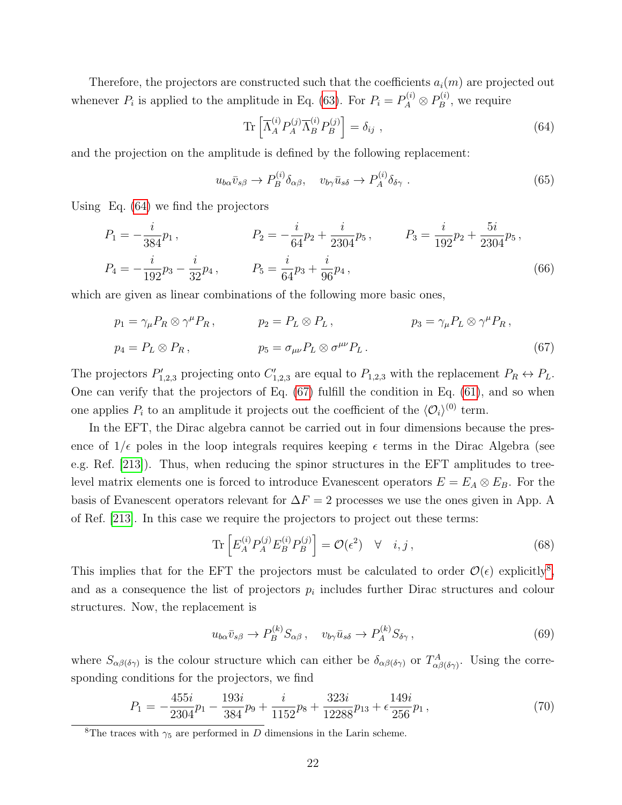Therefore, the projectors are constructed such that the coefficients  $a_i(m)$  are projected out whenever  $P_i$  is applied to the amplitude in Eq. [\(63\)](#page-20-2). For  $P_i = P_A^{(i)} \otimes P_B^{(i)}$  $B^{(i)}$ , we require

<span id="page-21-0"></span>
$$
\operatorname{Tr}\left[\overline{\Lambda}_{A}^{(i)}P_{A}^{(j)}\overline{\Lambda}_{B}^{(i)}P_{B}^{(j)}\right] = \delta_{ij} , \qquad (64)
$$

and the projection on the amplitude is defined by the following replacement:

<span id="page-21-1"></span>
$$
u_{b\alpha}\bar{v}_{s\beta} \to P_B^{(i)}\delta_{\alpha\beta}, \quad v_{b\gamma}\bar{u}_{s\delta} \to P_A^{(i)}\delta_{\delta\gamma} \ . \tag{65}
$$

Using Eq. [\(64\)](#page-21-0) we find the projectors

$$
P_1 = -\frac{i}{384}p_1, \qquad P_2 = -\frac{i}{64}p_2 + \frac{i}{2304}p_5, \qquad P_3 = \frac{i}{192}p_2 + \frac{5i}{2304}p_5,
$$
  

$$
P_4 = -\frac{i}{192}p_3 - \frac{i}{32}p_4, \qquad P_5 = \frac{i}{64}p_3 + \frac{i}{96}p_4,
$$
(66)

which are given as linear combinations of the following more basic ones,

 $p_1 = \gamma_\mu P_R \otimes \gamma^\mu P_R$ ,  $p_2 = P_L \otimes P_L$ ,  $p_3 = \gamma_\mu P_L \otimes \gamma$  $p_3 = \gamma_\mu P_L \otimes \gamma^\mu P_R$ ,  $p_4 = P_L \otimes P_R$ ,  $p_5 = \sigma_{\mu\nu} P_L \otimes \sigma^{\mu\nu} P_L$ . (67)

The projectors  $P'_{1,2,3}$  projecting onto  $C'_{1,2,3}$  are equal to  $P_{1,2,3}$  with the replacement  $P_R \leftrightarrow P_L$ . One can verify that the projectors of Eq. [\(67\)](#page-21-1) fulfill the condition in Eq. [\(61\)](#page-20-3), and so when one applies  $P_i$  to an amplitude it projects out the coefficient of the  $\langle \mathcal{O}_i \rangle^{(0)}$  term.

In the EFT, the Dirac algebra cannot be carried out in four dimensions because the presence of  $1/\epsilon$  poles in the loop integrals requires keeping  $\epsilon$  terms in the Dirac Algebra (see e.g. Ref. [\[213\]](#page-42-0)). Thus, when reducing the spinor structures in the EFT amplitudes to treelevel matrix elements one is forced to introduce Evanescent operators  $E = E_A \otimes E_B$ . For the basis of Evanescent operators relevant for  $\Delta F = 2$  processes we use the ones given in App. A of Ref. [\[213\]](#page-42-0). In this case we require the projectors to project out these terms:

$$
\operatorname{Tr}\left[E_A^{(i)}P_A^{(j)}E_B^{(i)}P_B^{(j)}\right] = \mathcal{O}(\epsilon^2) \quad \forall \quad i, j \,,\tag{68}
$$

This implies that for the EFT the projectors must be calculated to order  $\mathcal{O}(\epsilon)$  explicitly<sup>[8](#page-21-2)</sup>, and as a consequence the list of projectors  $p_i$  includes further Dirac structures and colour structures. Now, the replacement is

$$
u_{b\alpha}\bar{v}_{s\beta} \to P_B^{(k)}S_{\alpha\beta} \,, \quad v_{b\gamma}\bar{u}_{s\delta} \to P_A^{(k)}S_{\delta\gamma} \,, \tag{69}
$$

where  $S_{\alpha\beta(\delta\gamma)}$  is the colour structure which can either be  $\delta_{\alpha\beta(\delta\gamma)}$  or  $T_{\alpha\beta(\delta\gamma)}^A$ . Using the corresponding conditions for the projectors, we find

$$
P_1 = -\frac{455i}{2304}p_1 - \frac{193i}{384}p_9 + \frac{i}{1152}p_8 + \frac{323i}{12288}p_{13} + \epsilon \frac{149i}{256}p_1,
$$
\n<sup>(70)</sup>

<span id="page-21-2"></span><sup>&</sup>lt;sup>8</sup>The traces with  $\gamma_5$  are performed in D dimensions in the Larin scheme.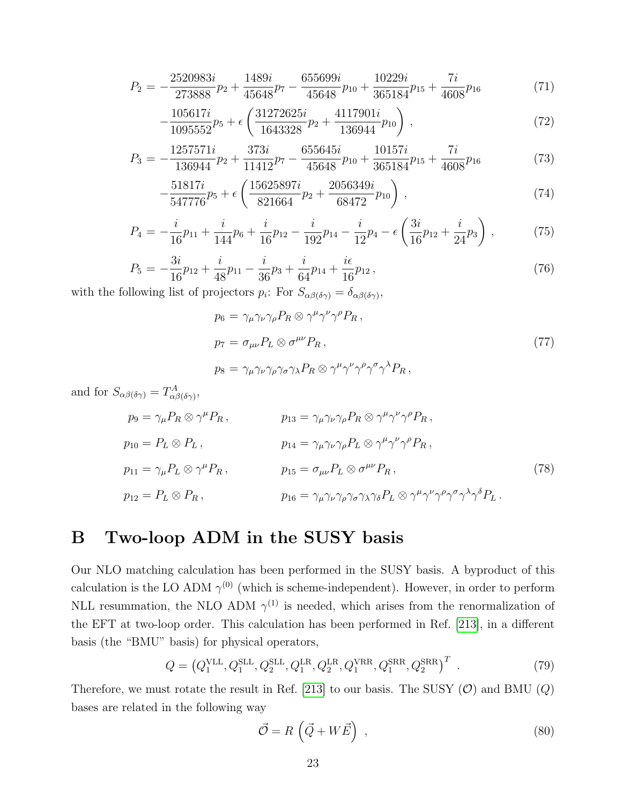$$
P_2 = -\frac{2520983i}{273888}p_2 + \frac{1489i}{45648}p_7 - \frac{655699i}{45648}p_{10} + \frac{10229i}{365184}p_{15} + \frac{7i}{4608}p_{16}
$$
(71)

$$
-\frac{105617i}{1095552}p_5 + \epsilon \left(\frac{31272625i}{1643328}p_2 + \frac{4117901i}{136944}p_{10}\right),\tag{72}
$$

$$
P_3 = -\frac{1257571i}{136944}p_2 + \frac{373i}{11412}p_7 - \frac{655645i}{45648}p_{10} + \frac{10157i}{365184}p_{15} + \frac{7i}{4608}p_{16}
$$
(73)

$$
-\frac{51817i}{547776}p_5 + \epsilon \left(\frac{15625897i}{821664}p_2 + \frac{2056349i}{68472}p_{10}\right),\tag{74}
$$

$$
P_4 = -\frac{i}{16}p_{11} + \frac{i}{144}p_6 + \frac{i}{16}p_{12} - \frac{i}{192}p_{14} - \frac{i}{12}p_4 - \epsilon \left(\frac{3i}{16}p_{12} + \frac{i}{24}p_3\right),\tag{75}
$$

$$
P_5 = -\frac{3i}{16}p_{12} + \frac{i}{48}p_{11} - \frac{i}{36}p_3 + \frac{i}{64}p_{14} + \frac{i\epsilon}{16}p_{12},\tag{76}
$$

with the following list of projectors  $p_i$ : For  $S_{\alpha\beta(\delta\gamma)} = \delta_{\alpha\beta(\delta\gamma)}$ ,

$$
p_6 = \gamma_\mu \gamma_\nu \gamma_\rho P_R \otimes \gamma^\mu \gamma^\nu \gamma^\rho P_R ,
$$
  
\n
$$
p_7 = \sigma_{\mu\nu} P_L \otimes \sigma^{\mu\nu} P_R ,
$$
\n(77)

and for  $S_{\alpha\beta(\delta\gamma)} = T_{\alpha\beta(\delta\gamma)}^A$ ,

$$
p_9 = \gamma_\mu P_R \otimes \gamma^\mu P_R, \qquad p_{13} = \gamma_\mu \gamma_\nu \gamma_\rho P_R \otimes \gamma^\mu \gamma^\nu \gamma^\rho P_R, \np_{10} = P_L \otimes P_L, \qquad p_{14} = \gamma_\mu \gamma_\nu \gamma_\rho P_L \otimes \gamma^\mu \gamma^\nu \gamma^\rho P_R, \np_{11} = \gamma_\mu P_L \otimes \gamma^\mu P_R, \qquad p_{15} = \sigma_{\mu\nu} P_L \otimes \sigma^{\mu\nu} P_R, \np_{12} = P_L \otimes P_R, \qquad p_{16} = \gamma_\mu \gamma_\nu \gamma_\rho \gamma_\sigma \gamma_\lambda \gamma_\delta P_L \otimes \gamma^\mu \gamma^\nu \gamma^\rho \gamma^\sigma \gamma^\lambda \gamma^\delta P_L.
$$
\n(78)

 $p_8 = \gamma_\mu \gamma_\nu \gamma_\rho \gamma_\sigma \gamma_\lambda P_R \otimes \gamma^\mu \gamma^\nu \gamma^\rho \gamma^\sigma \gamma^\lambda P_R \, ,$ 

## <span id="page-22-0"></span>B Two-loop ADM in the SUSY basis

Our NLO matching calculation has been performed in the SUSY basis. A byproduct of this calculation is the LO ADM  $\gamma^{(0)}$  (which is scheme-independent). However, in order to perform NLL resummation, the NLO ADM  $\gamma^{(1)}$  is needed, which arises from the renormalization of the EFT at two-loop order. This calculation has been performed in Ref. [\[213\]](#page-42-0), in a different basis (the "BMU" basis) for physical operators,

$$
Q = (Q_1^{\text{VLL}}, Q_1^{\text{SLL}}, Q_2^{\text{SLL}}, Q_1^{\text{LR}}, Q_2^{\text{LR}}, Q_1^{\text{VRR}}, Q_1^{\text{SRR}}, Q_2^{\text{SRR}})^T
$$
 (79)

Therefore, we must rotate the result in Ref. [\[213\]](#page-42-0) to our basis. The SUSY  $(\mathcal{O})$  and BMU  $(Q)$ bases are related in the following way

$$
\vec{\mathcal{O}} = R\left(\vec{Q} + W\vec{E}\right) \,,\tag{80}
$$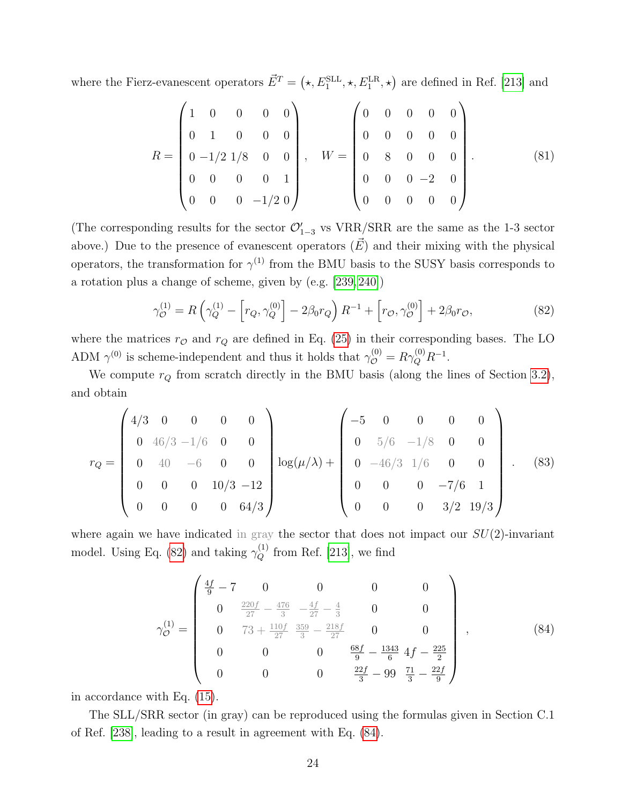where the Fierz-evanescent operators  $\vec{E}^T = (\star, E_1^{\text{SLL}}, \star, E_1^{\text{LR}}, \star)$  are defined in Ref. [\[213\]](#page-42-0) and

$$
R = \begin{pmatrix} 1 & 0 & 0 & 0 & 0 \\ 0 & 1 & 0 & 0 & 0 \\ 0 & -1/2 & 1/8 & 0 & 0 \\ 0 & 0 & 0 & 0 & 1 \\ 0 & 0 & 0 & -1/2 & 0 \end{pmatrix}, \quad W = \begin{pmatrix} 0 & 0 & 0 & 0 & 0 \\ 0 & 0 & 0 & 0 & 0 \\ 0 & 8 & 0 & 0 & 0 \\ 0 & 0 & 0 & -2 & 0 \\ 0 & 0 & 0 & 0 & 0 \end{pmatrix}.
$$
 (81)

(The corresponding results for the sector  $\mathcal{O}'_{1-3}$  vs VRR/SRR are the same as the 1-3 sector above.) Due to the presence of evanescent operators  $(\vec{E})$  and their mixing with the physical operators, the transformation for  $\gamma^{(1)}$  from the BMU basis to the SUSY basis corresponds to a rotation plus a change of scheme, given by (e.g. [\[239,](#page-44-1) [240\]](#page-44-2))

<span id="page-23-0"></span>
$$
\gamma_{\mathcal{O}}^{(1)} = R \left( \gamma_{Q}^{(1)} - \left[ r_Q, \gamma_{Q}^{(0)} \right] - 2\beta_0 r_Q \right) R^{-1} + \left[ r_{\mathcal{O}}, \gamma_{\mathcal{O}}^{(0)} \right] + 2\beta_0 r_{\mathcal{O}}, \tag{82}
$$

where the matrices  $r_{\mathcal{O}}$  and  $r_Q$  are defined in Eq. [\(25\)](#page-9-3) in their corresponding bases. The LO ADM  $\gamma^{(0)}$  is scheme-independent and thus it holds that  $\gamma_{\mathcal{O}}^{(0)} = R \gamma_Q^{(0)} R^{-1}$ .

We compute  $r_Q$  from scratch directly in the BMU basis (along the lines of Section [3.2\)](#page-9-0), and obtain

$$
r_Q = \begin{pmatrix} 4/3 & 0 & 0 & 0 & 0 \ 0 & 46/3 & -1/6 & 0 & 0 \ 0 & 40 & -6 & 0 & 0 \ 0 & 0 & 0 & 10/3 & -12 \ 0 & 0 & 0 & 64/3 \end{pmatrix} \log(\mu/\lambda) + \begin{pmatrix} -5 & 0 & 0 & 0 & 0 \ 0 & 5/6 & -1/8 & 0 & 0 \ 0 & -46/3 & 1/6 & 0 & 0 \ 0 & 0 & 0 & -7/6 & 1 \ 0 & 0 & 0 & 3/2 & 19/3 \end{pmatrix} . \tag{83}
$$

where again we have indicated in gray the sector that does not impact our  $SU(2)$ -invariant model. Using Eq. [\(82\)](#page-23-0) and taking  $\gamma_Q^{(1)}$  from Ref. [\[213\]](#page-42-0), we find

<span id="page-23-1"></span>
$$
\gamma_{\mathcal{O}}^{(1)} = \begin{pmatrix} \frac{4f}{9} - 7 & 0 & 0 & 0 & 0\\ 0 & \frac{220f}{27} - \frac{476}{3} & -\frac{4f}{27} - \frac{4}{3} & 0 & 0\\ 0 & 73 + \frac{110f}{27} & \frac{359}{3} - \frac{218f}{27} & 0 & 0\\ 0 & 0 & 0 & \frac{68f}{9} - \frac{1343}{6} & 4f - \frac{225}{2}\\ 0 & 0 & 0 & \frac{22f}{3} - 99 & \frac{71}{3} - \frac{22f}{9} \end{pmatrix},
$$
(84)

in accordance with Eq. [\(15\)](#page-6-3).

The SLL/SRR sector (in gray) can be reproduced using the formulas given in Section C.1 of Ref. [\[238\]](#page-44-3), leading to a result in agreement with Eq. [\(84\)](#page-23-1).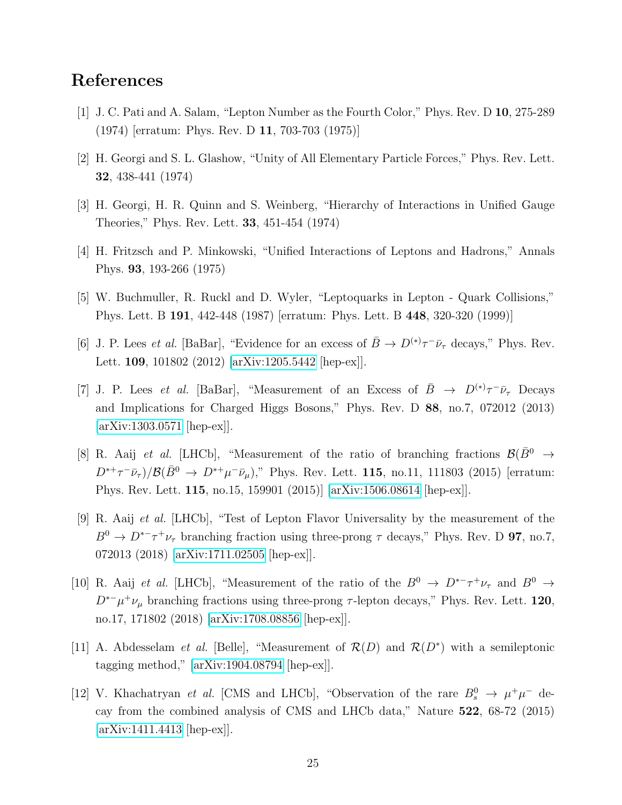## References

- <span id="page-24-0"></span>[1] J. C. Pati and A. Salam, "Lepton Number as the Fourth Color," Phys. Rev. D 10, 275-289 (1974) [erratum: Phys. Rev. D 11, 703-703 (1975)]
- [2] H. Georgi and S. L. Glashow, "Unity of All Elementary Particle Forces," Phys. Rev. Lett. 32, 438-441 (1974)
- [3] H. Georgi, H. R. Quinn and S. Weinberg, "Hierarchy of Interactions in Unified Gauge Theories," Phys. Rev. Lett. 33, 451-454 (1974)
- <span id="page-24-1"></span>[4] H. Fritzsch and P. Minkowski, "Unified Interactions of Leptons and Hadrons," Annals Phys. 93, 193-266 (1975)
- <span id="page-24-2"></span>[5] W. Buchmuller, R. Ruckl and D. Wyler, "Leptoquarks in Lepton - Quark Collisions," Phys. Lett. B 191, 442-448 (1987) [erratum: Phys. Lett. B 448, 320-320 (1999)]
- <span id="page-24-3"></span>[6] J. P. Lees *et al.* [BaBar], "Evidence for an excess of  $\bar{B} \to D^{(*)}\tau^-\bar{\nu}_{\tau}$  decays," Phys. Rev. Lett. 109, 101802 (2012) [\[arXiv:1205.5442](http://arxiv.org/abs/1205.5442) [hep-ex]].
- [7] J. P. Lees *et al.* [BaBar], "Measurement of an Excess of  $\bar{B} \to D^{(*)}\tau^-\bar{\nu}_{\tau}$  Decays and Implications for Charged Higgs Bosons," Phys. Rev. D 88, no.7, 072012 (2013) [\[arXiv:1303.0571](http://arxiv.org/abs/1303.0571) [hep-ex]].
- [8] R. Aaij *et al.* [LHCb], "Measurement of the ratio of branching fractions  $\mathcal{B}(\bar{B}^0 \to$  $D^{*+}\tau^-\bar{\nu}_{\tau}/\mathcal{B}(\bar{B}^0 \to D^{*+}\mu^-\bar{\nu}_{\mu}),$ " Phys. Rev. Lett. 115, no.11, 111803 (2015) [erratum: Phys. Rev. Lett. 115, no.15, 159901 (2015)] [\[arXiv:1506.08614](http://arxiv.org/abs/1506.08614) [hep-ex]].
- [9] R. Aaij et al. [LHCb], "Test of Lepton Flavor Universality by the measurement of the  $B^0 \to D^{*-}\tau^+\nu_{\tau}$  branching fraction using three-prong  $\tau$  decays," Phys. Rev. D 97, no.7, 072013 (2018) [\[arXiv:1711.02505](http://arxiv.org/abs/1711.02505) [hep-ex]].
- [10] R. Aaij et al. [LHCb], "Measurement of the ratio of the  $B^0 \to D^{*-} \tau^+ \nu_{\tau}$  and  $B^0 \to$  $D^{*}-\mu^+\nu_\mu$  branching fractions using three-prong  $\tau$ -lepton decays," Phys. Rev. Lett. 120, no.17, 171802 (2018) [\[arXiv:1708.08856](http://arxiv.org/abs/1708.08856) [hep-ex]].
- <span id="page-24-4"></span>[11] A. Abdesselam *et al.* [Belle], "Measurement of  $\mathcal{R}(D)$  and  $\mathcal{R}(D^*)$  with a semileptonic tagging method," [\[arXiv:1904.08794](http://arxiv.org/abs/1904.08794) [hep-ex]].
- <span id="page-24-5"></span>[12] V. Khachatryan *et al.* [CMS and LHCb], "Observation of the rare  $B_s^0 \rightarrow \mu^+\mu^-$  decay from the combined analysis of CMS and LHCb data," Nature 522, 68-72 (2015) [\[arXiv:1411.4413](http://arxiv.org/abs/1411.4413) [hep-ex]].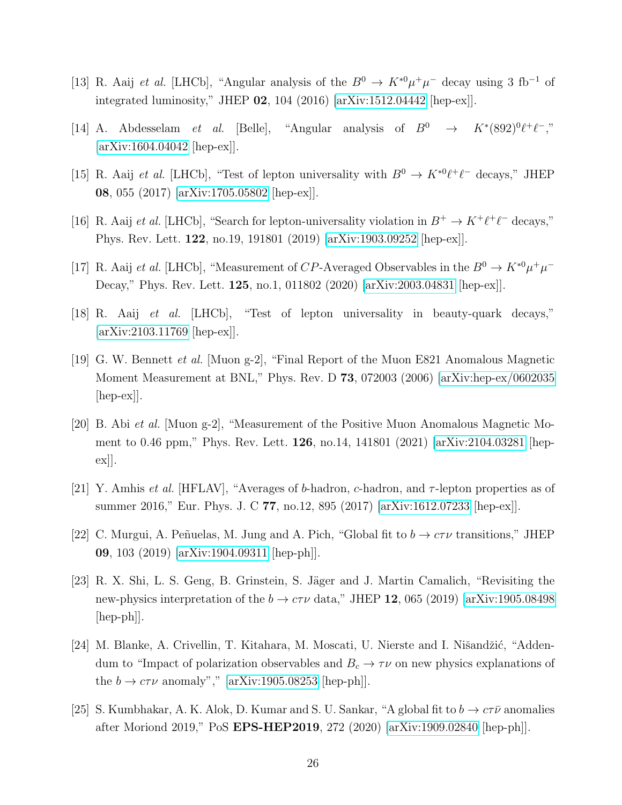- [13] R. Aaij *et al.* [LHCb], "Angular analysis of the  $B^0 \to K^{*0} \mu^+ \mu^-$  decay using 3 fb<sup>-1</sup> of integrated luminosity," JHEP 02, 104 (2016) [\[arXiv:1512.04442](http://arxiv.org/abs/1512.04442) [hep-ex]].
- [14] A. Abdesselam et al. [Belle], "Angular analysis of  $B^0 \rightarrow K^*(892)^0 \ell^+ \ell^-,$ " [\[arXiv:1604.04042](http://arxiv.org/abs/1604.04042) [hep-ex]].
- [15] R. Aaij et al. [LHCb], "Test of lepton universality with  $B^0 \to K^{*0}\ell^+\ell^-$  decays," JHEP 08, 055 (2017) [\[arXiv:1705.05802](http://arxiv.org/abs/1705.05802) [hep-ex]].
- [16] R. Aaij et al. [LHCb], "Search for lepton-universality violation in  $B^+ \to K^+\ell^+\ell^-$  decays," Phys. Rev. Lett. 122, no.19, 191801 (2019) [\[arXiv:1903.09252](http://arxiv.org/abs/1903.09252) [hep-ex]].
- [17] R. Aaij et al. [LHCb], "Measurement of CP-Averaged Observables in the  $B^0 \to K^{*0} \mu^+ \mu^-$ Decay," Phys. Rev. Lett. 125, no.1, 011802 (2020) [\[arXiv:2003.04831](http://arxiv.org/abs/2003.04831) [hep-ex]].
- <span id="page-25-0"></span>[18] R. Aaij et al. [LHCb], "Test of lepton universality in beauty-quark decays," [\[arXiv:2103.11769](http://arxiv.org/abs/2103.11769) [hep-ex]].
- <span id="page-25-1"></span>[19] G. W. Bennett et al. [Muon g-2], "Final Report of the Muon E821 Anomalous Magnetic Moment Measurement at BNL," Phys. Rev. D 73, 072003 (2006) [\[arXiv:hep-ex/0602035](http://arxiv.org/abs/hep-ex/0602035) [hep-ex]].
- <span id="page-25-2"></span>[20] B. Abi et al. [Muon g-2], "Measurement of the Positive Muon Anomalous Magnetic Moment to 0.46 ppm," Phys. Rev. Lett. 126, no.14, 141801 (2021) [\[arXiv:2104.03281](http://arxiv.org/abs/2104.03281) [hepex]].
- <span id="page-25-3"></span>[21] Y. Amhis *et al.* [HFLAV], "Averages of b-hadron, c-hadron, and  $\tau$ -lepton properties as of summer 2016," Eur. Phys. J. C 77, no.12, 895 (2017) [\[arXiv:1612.07233](http://arxiv.org/abs/1612.07233) [hep-ex]].
- [22] C. Murgui, A. Peñuelas, M. Jung and A. Pich, "Global fit to  $b \to c\tau\nu$  transitions," JHEP 09, 103 (2019) [\[arXiv:1904.09311](http://arxiv.org/abs/1904.09311) [hep-ph]].
- [23] R. X. Shi, L. S. Geng, B. Grinstein, S. Jäger and J. Martin Camalich, "Revisiting the new-physics interpretation of the  $b \to c\tau\nu$  data," JHEP 12, 065 (2019) [\[arXiv:1905.08498](http://arxiv.org/abs/1905.08498) [hep-ph]].
- [24] M. Blanke, A. Crivellin, T. Kitahara, M. Moscati, U. Nierste and I. Nišandžić, "Addendum to "Impact of polarization observables and  $B_c \to \tau \nu$  on new physics explanations of the  $b \to c\tau\nu$  anomaly"," [\[arXiv:1905.08253](http://arxiv.org/abs/1905.08253) [hep-ph]].
- <span id="page-25-4"></span>[25] S. Kumbhakar, A. K. Alok, D. Kumar and S. U. Sankar, "A global fit to  $b \to c\tau\bar{\nu}$  anomalies after Moriond 2019," PoS EPS-HEP2019, 272 (2020) [\[arXiv:1909.02840](http://arxiv.org/abs/1909.02840) [hep-ph]].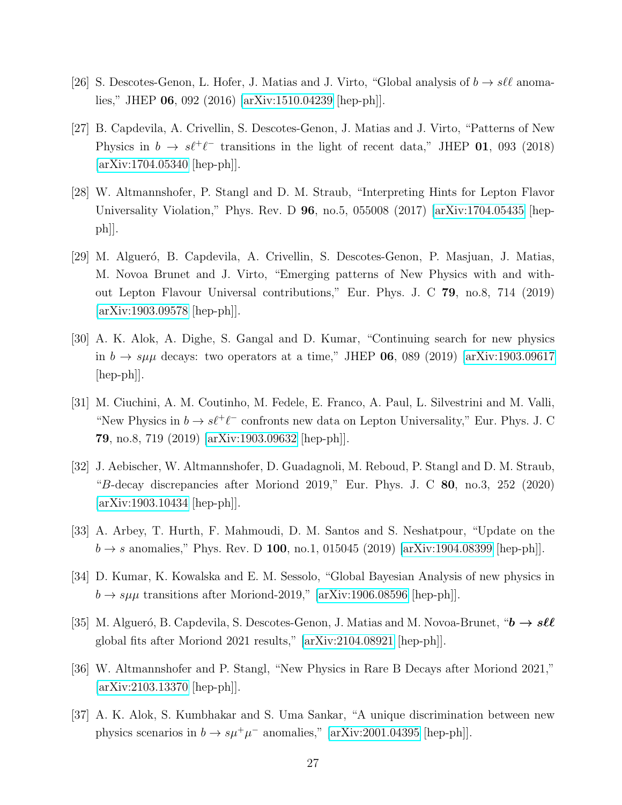- <span id="page-26-0"></span>[26] S. Descotes-Genon, L. Hofer, J. Matias and J. Virto, "Global analysis of  $b \to s\ell\ell$  anomalies," JHEP 06, 092 (2016) [\[arXiv:1510.04239](http://arxiv.org/abs/1510.04239) [hep-ph]].
- [27] B. Capdevila, A. Crivellin, S. Descotes-Genon, J. Matias and J. Virto, "Patterns of New Physics in  $b \to s\ell^+\ell^-$  transitions in the light of recent data," JHEP 01, 093 (2018) [\[arXiv:1704.05340](http://arxiv.org/abs/1704.05340) [hep-ph]].
- [28] W. Altmannshofer, P. Stangl and D. M. Straub, "Interpreting Hints for Lepton Flavor Universality Violation," Phys. Rev. D 96, no.5, 055008 (2017) [\[arXiv:1704.05435](http://arxiv.org/abs/1704.05435) [hep $ph$ .
- [29] M. Algueró, B. Capdevila, A. Crivellin, S. Descotes-Genon, P. Masjuan, J. Matias, M. Novoa Brunet and J. Virto, "Emerging patterns of New Physics with and without Lepton Flavour Universal contributions," Eur. Phys. J. C 79, no.8, 714 (2019) [\[arXiv:1903.09578](http://arxiv.org/abs/1903.09578) [hep-ph]].
- [30] A. K. Alok, A. Dighe, S. Gangal and D. Kumar, "Continuing search for new physics in  $b \rightarrow s\mu\mu$  decays: two operators at a time," JHEP 06, 089 (2019) [\[arXiv:1903.09617](http://arxiv.org/abs/1903.09617) [hep-ph]].
- [31] M. Ciuchini, A. M. Coutinho, M. Fedele, E. Franco, A. Paul, L. Silvestrini and M. Valli, "New Physics in  $b \to s\ell^+\ell^-$  confronts new data on Lepton Universality," Eur. Phys. J. C 79, no.8, 719 (2019) [\[arXiv:1903.09632](http://arxiv.org/abs/1903.09632) [hep-ph]].
- [32] J. Aebischer, W. Altmannshofer, D. Guadagnoli, M. Reboud, P. Stangl and D. M. Straub, "B-decay discrepancies after Moriond 2019," Eur. Phys. J. C  $80$ , no.3, 252 (2020) [\[arXiv:1903.10434](http://arxiv.org/abs/1903.10434) [hep-ph]].
- [33] A. Arbey, T. Hurth, F. Mahmoudi, D. M. Santos and S. Neshatpour, "Update on the  $b \to s$  anomalies," Phys. Rev. D 100, no.1, 015045 (2019) [\[arXiv:1904.08399](http://arxiv.org/abs/1904.08399) [hep-ph]].
- [34] D. Kumar, K. Kowalska and E. M. Sessolo, "Global Bayesian Analysis of new physics in  $b \rightarrow s\mu\mu$  transitions after Moriond-2019," [\[arXiv:1906.08596](http://arxiv.org/abs/1906.08596) [hep-ph]].
- [35] M. Algueró, B. Capdevila, S. Descotes-Genon, J. Matias and M. Novoa-Brunet, " $b \rightarrow s \ell \ell$ global fits after Moriond 2021 results," [\[arXiv:2104.08921](http://arxiv.org/abs/2104.08921) [hep-ph]].
- [36] W. Altmannshofer and P. Stangl, "New Physics in Rare B Decays after Moriond 2021," [\[arXiv:2103.13370](http://arxiv.org/abs/2103.13370) [hep-ph]].
- [37] A. K. Alok, S. Kumbhakar and S. Uma Sankar, "A unique discrimination between new physics scenarios in  $b \to s\mu^+\mu^-$  anomalies," [\[arXiv:2001.04395](http://arxiv.org/abs/2001.04395) [hep-ph]].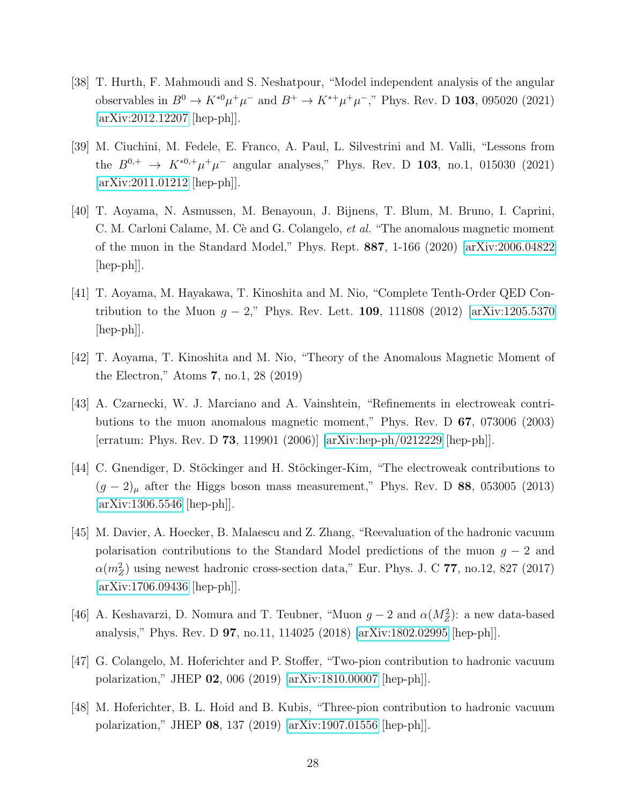- [38] T. Hurth, F. Mahmoudi and S. Neshatpour, "Model independent analysis of the angular observables in  $B^0 \to K^{*0} \mu^+ \mu^-$  and  $B^+ \to K^{*+} \mu^+ \mu^-$ ," Phys. Rev. D 103, 095020 (2021) [\[arXiv:2012.12207](http://arxiv.org/abs/2012.12207) [hep-ph]].
- <span id="page-27-0"></span>[39] M. Ciuchini, M. Fedele, E. Franco, A. Paul, L. Silvestrini and M. Valli, "Lessons from the  $B^{0,+} \to K^{*0,+} \mu^+ \mu^-$  angular analyses," Phys. Rev. D 103, no.1, 015030 (2021) [\[arXiv:2011.01212](http://arxiv.org/abs/2011.01212) [hep-ph]].
- <span id="page-27-1"></span>[40] T. Aoyama, N. Asmussen, M. Benayoun, J. Bijnens, T. Blum, M. Bruno, I. Caprini, C. M. Carloni Calame, M. Cè and G. Colangelo, et al. "The anomalous magnetic moment of the muon in the Standard Model," Phys. Rept. 887, 1-166 (2020) [\[arXiv:2006.04822](http://arxiv.org/abs/2006.04822)  $\vert \text{hep-ph} \vert$ .
- [41] T. Aoyama, M. Hayakawa, T. Kinoshita and M. Nio, "Complete Tenth-Order QED Contribution to the Muon  $g - 2$ ," Phys. Rev. Lett. 109, 111808 (2012) [\[arXiv:1205.5370](http://arxiv.org/abs/1205.5370) [hep-ph]].
- [42] T. Aoyama, T. Kinoshita and M. Nio, "Theory of the Anomalous Magnetic Moment of the Electron," Atoms 7, no.1, 28 (2019)
- [43] A. Czarnecki, W. J. Marciano and A. Vainshtein, "Refinements in electroweak contributions to the muon anomalous magnetic moment," Phys. Rev. D 67, 073006 (2003) [erratum: Phys. Rev. D 73, 119901 (2006)] [\[arXiv:hep-ph/0212229](http://arxiv.org/abs/hep-ph/0212229) [hep-ph]].
- [44] C. Gnendiger, D. Stöckinger and H. Stöckinger-Kim, "The electroweak contributions to  $(g - 2)_{\mu}$  after the Higgs boson mass measurement," Phys. Rev. D 88, 053005 (2013) [\[arXiv:1306.5546](http://arxiv.org/abs/1306.5546) [hep-ph]].
- [45] M. Davier, A. Hoecker, B. Malaescu and Z. Zhang, "Reevaluation of the hadronic vacuum polarisation contributions to the Standard Model predictions of the muon  $g - 2$  and  $\alpha(m_Z^2)$  using newest hadronic cross-section data," Eur. Phys. J. C 77, no.12, 827 (2017) [\[arXiv:1706.09436](http://arxiv.org/abs/1706.09436) [hep-ph]].
- [46] A. Keshavarzi, D. Nomura and T. Teubner, "Muon  $g-2$  and  $\alpha(M_Z^2)$ : a new data-based analysis," Phys. Rev. D 97, no.11, 114025 (2018) [\[arXiv:1802.02995](http://arxiv.org/abs/1802.02995) [hep-ph]].
- [47] G. Colangelo, M. Hoferichter and P. Stoffer, "Two-pion contribution to hadronic vacuum polarization," JHEP 02, 006 (2019) [\[arXiv:1810.00007](http://arxiv.org/abs/1810.00007) [hep-ph]].
- [48] M. Hoferichter, B. L. Hoid and B. Kubis, "Three-pion contribution to hadronic vacuum polarization," JHEP 08, 137 (2019) [\[arXiv:1907.01556](http://arxiv.org/abs/1907.01556) [hep-ph]].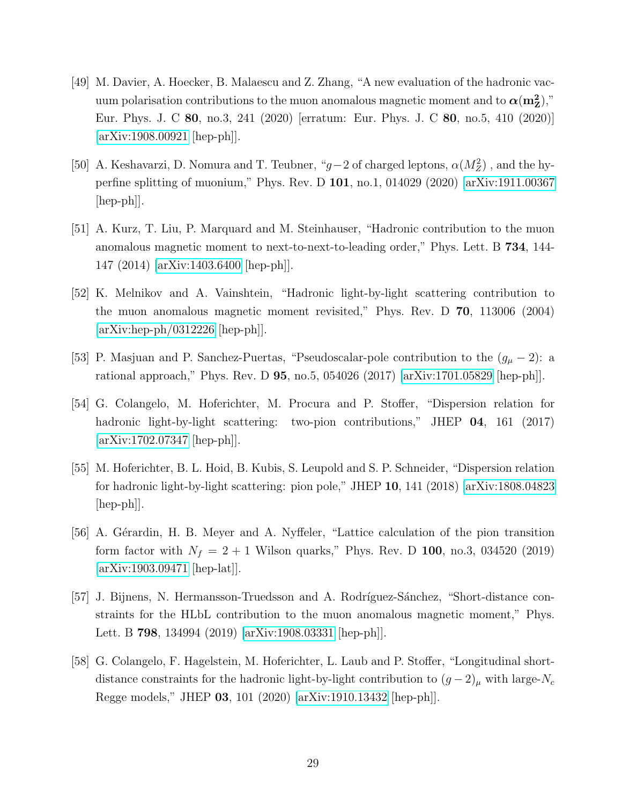- [49] M. Davier, A. Hoecker, B. Malaescu and Z. Zhang, "A new evaluation of the hadronic vacuum polarisation contributions to the muon anomalous magnetic moment and to  $\alpha(\mathbf{m_Z^2})$ ," Eur. Phys. J. C 80, no.3, 241 (2020) [erratum: Eur. Phys. J. C 80, no.5, 410 (2020)] [\[arXiv:1908.00921](http://arxiv.org/abs/1908.00921) [hep-ph]].
- [50] A. Keshavarzi, D. Nomura and T. Teubner, " $g-2$  of charged leptons,  $\alpha(M_Z^2)$ , and the hyperfine splitting of muonium," Phys. Rev. D 101, no.1, 014029 (2020) [\[arXiv:1911.00367](http://arxiv.org/abs/1911.00367) [hep-ph]].
- [51] A. Kurz, T. Liu, P. Marquard and M. Steinhauser, "Hadronic contribution to the muon anomalous magnetic moment to next-to-next-to-leading order," Phys. Lett. B 734, 144- 147 (2014) [\[arXiv:1403.6400](http://arxiv.org/abs/1403.6400) [hep-ph]].
- [52] K. Melnikov and A. Vainshtein, "Hadronic light-by-light scattering contribution to the muon anomalous magnetic moment revisited," Phys. Rev. D 70, 113006 (2004) [\[arXiv:hep-ph/0312226](http://arxiv.org/abs/hep-ph/0312226) [hep-ph]].
- [53] P. Masjuan and P. Sanchez-Puertas, "Pseudoscalar-pole contribution to the  $(g_{\mu} 2)$ : a rational approach," Phys. Rev. D 95, no.5, 054026 (2017) [\[arXiv:1701.05829](http://arxiv.org/abs/1701.05829) [hep-ph]].
- [54] G. Colangelo, M. Hoferichter, M. Procura and P. Stoffer, "Dispersion relation for hadronic light-by-light scattering: two-pion contributions," JHEP 04, 161 (2017) [\[arXiv:1702.07347](http://arxiv.org/abs/1702.07347) [hep-ph]].
- [55] M. Hoferichter, B. L. Hoid, B. Kubis, S. Leupold and S. P. Schneider, "Dispersion relation for hadronic light-by-light scattering: pion pole," JHEP 10, 141 (2018) [\[arXiv:1808.04823](http://arxiv.org/abs/1808.04823) [hep-ph]].
- [56] A. Gérardin, H. B. Meyer and A. Nyffeler, "Lattice calculation of the pion transition form factor with  $N_f = 2 + 1$  Wilson quarks," Phys. Rev. D 100, no.3, 034520 (2019) [\[arXiv:1903.09471](http://arxiv.org/abs/1903.09471) [hep-lat]].
- [57] J. Bijnens, N. Hermansson-Truedsson and A. Rodríguez-Sánchez, "Short-distance constraints for the HLbL contribution to the muon anomalous magnetic moment," Phys. Lett. B 798, 134994 (2019) [\[arXiv:1908.03331](http://arxiv.org/abs/1908.03331) [hep-ph]].
- [58] G. Colangelo, F. Hagelstein, M. Hoferichter, L. Laub and P. Stoffer, "Longitudinal shortdistance constraints for the hadronic light-by-light contribution to  $(g-2)_{\mu}$  with large-N<sub>c</sub> Regge models," JHEP 03, 101 (2020) [\[arXiv:1910.13432](http://arxiv.org/abs/1910.13432) [hep-ph]].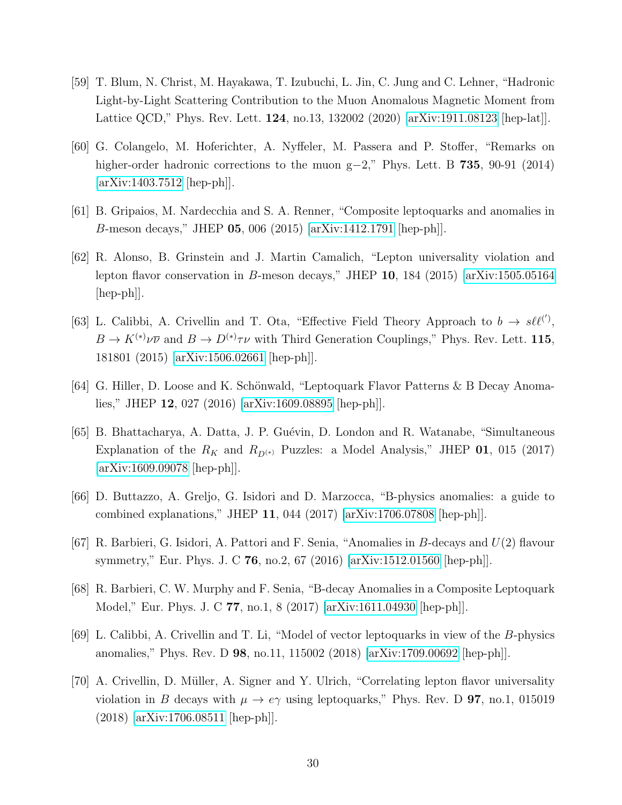- [59] T. Blum, N. Christ, M. Hayakawa, T. Izubuchi, L. Jin, C. Jung and C. Lehner, "Hadronic Light-by-Light Scattering Contribution to the Muon Anomalous Magnetic Moment from Lattice QCD," Phys. Rev. Lett. 124, no.13, 132002 (2020) [\[arXiv:1911.08123](http://arxiv.org/abs/1911.08123) [hep-lat]].
- <span id="page-29-0"></span>[60] G. Colangelo, M. Hoferichter, A. Nyffeler, M. Passera and P. Stoffer, "Remarks on higher-order hadronic corrections to the muon g−2," Phys. Lett. B 735, 90-91 (2014) [\[arXiv:1403.7512](http://arxiv.org/abs/1403.7512) [hep-ph]].
- <span id="page-29-1"></span>[61] B. Gripaios, M. Nardecchia and S. A. Renner, "Composite leptoquarks and anomalies in B-meson decays," JHEP 05, 006 (2015) [\[arXiv:1412.1791](http://arxiv.org/abs/1412.1791) [hep-ph]].
- <span id="page-29-2"></span>[62] R. Alonso, B. Grinstein and J. Martin Camalich, "Lepton universality violation and lepton flavor conservation in B-meson decays," JHEP 10, 184 (2015)  $arXiv:1505.05164$  $\vert \text{hep-ph} \vert$ .
- <span id="page-29-3"></span>[63] L. Calibbi, A. Crivellin and T. Ota, "Effective Field Theory Approach to  $b \to s\ell\ell^{(')}$ ,  $B \to K^{(*)}\nu\overline{\nu}$  and  $B \to D^{(*)}\tau\nu$  with Third Generation Couplings," Phys. Rev. Lett. 115, 181801 (2015) [\[arXiv:1506.02661](http://arxiv.org/abs/1506.02661) [hep-ph]].
- [64] G. Hiller, D. Loose and K. Schönwald, "Leptoquark Flavor Patterns  $\&$  B Decay Anomalies," JHEP 12, 027 (2016) [\[arXiv:1609.08895](http://arxiv.org/abs/1609.08895) [hep-ph]].
- <span id="page-29-4"></span>[65] B. Bhattacharya, A. Datta, J. P. Guévin, D. London and R. Watanabe, "Simultaneous Explanation of the  $R_K$  and  $R_{D(*)}$  Puzzles: a Model Analysis," JHEP 01, 015 (2017) [\[arXiv:1609.09078](http://arxiv.org/abs/1609.09078) [hep-ph]].
- [66] D. Buttazzo, A. Greljo, G. Isidori and D. Marzocca, "B-physics anomalies: a guide to combined explanations," JHEP 11, 044 (2017) [\[arXiv:1706.07808](http://arxiv.org/abs/1706.07808) [hep-ph]].
- [67] R. Barbieri, G. Isidori, A. Pattori and F. Senia, "Anomalies in B-decays and U(2) flavour symmetry," Eur. Phys. J. C 76, no.2, 67 (2016) [\[arXiv:1512.01560](http://arxiv.org/abs/1512.01560) [hep-ph]].
- [68] R. Barbieri, C. W. Murphy and F. Senia, "B-decay Anomalies in a Composite Leptoquark Model," Eur. Phys. J. C 77, no.1, 8 (2017) [\[arXiv:1611.04930](http://arxiv.org/abs/1611.04930) [hep-ph]].
- <span id="page-29-5"></span> $[69]$  L. Calibbi, A. Crivellin and T. Li, "Model of vector leptoquarks in view of the B-physics anomalies," Phys. Rev. D 98, no.11, 115002 (2018) [\[arXiv:1709.00692](http://arxiv.org/abs/1709.00692) [hep-ph]].
- [70] A. Crivellin, D. Müller, A. Signer and Y. Ulrich, "Correlating lepton flavor universality violation in B decays with  $\mu \to e\gamma$  using leptoquarks," Phys. Rev. D **97**, no.1, 015019 (2018) [\[arXiv:1706.08511](http://arxiv.org/abs/1706.08511) [hep-ph]].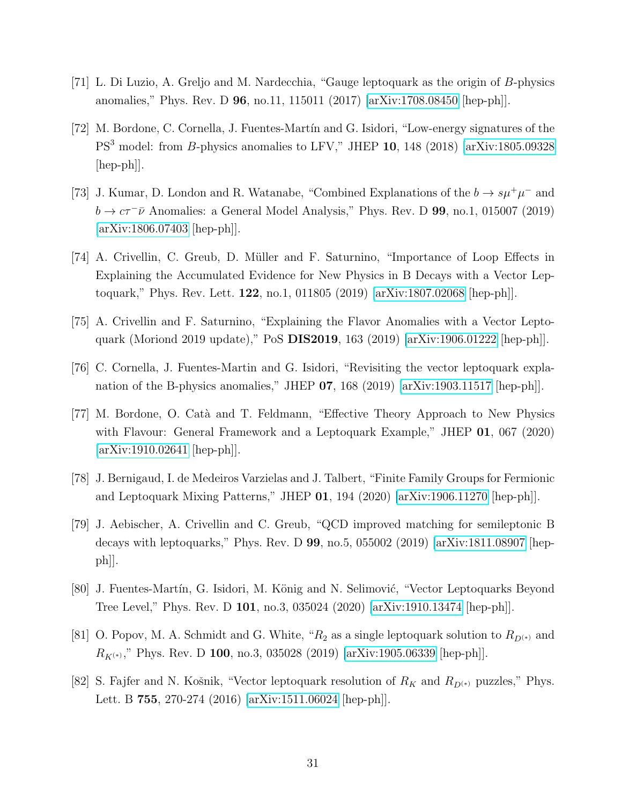- [71] L. Di Luzio, A. Greljo and M. Nardecchia, "Gauge leptoquark as the origin of B-physics anomalies," Phys. Rev. D 96, no.11, 115011 (2017) [\[arXiv:1708.08450](http://arxiv.org/abs/1708.08450) [hep-ph]].
- <span id="page-30-0"></span>[72] M. Bordone, C. Cornella, J. Fuentes-Martín and G. Isidori, "Low-energy signatures of the PS<sup>3</sup> model: from B-physics anomalies to LFV," JHEP 10, 148 (2018) [\[arXiv:1805.09328](http://arxiv.org/abs/1805.09328) [hep-ph]].
- [73] J. Kumar, D. London and R. Watanabe, "Combined Explanations of the  $b \to s\mu^+\mu^-$  and  $b \to c\tau^-\bar{\nu}$  Anomalies: a General Model Analysis," Phys. Rev. D 99, no.1, 015007 (2019) [\[arXiv:1806.07403](http://arxiv.org/abs/1806.07403) [hep-ph]].
- <span id="page-30-1"></span>[74] A. Crivellin, C. Greub, D. Müller and F. Saturnino, "Importance of Loop Effects in Explaining the Accumulated Evidence for New Physics in B Decays with a Vector Leptoquark," Phys. Rev. Lett. 122, no.1, 011805 (2019) [\[arXiv:1807.02068](http://arxiv.org/abs/1807.02068) [hep-ph]].
- [75] A. Crivellin and F. Saturnino, "Explaining the Flavor Anomalies with a Vector Leptoquark (Moriond 2019 update)," PoS DIS2019, 163 (2019) [\[arXiv:1906.01222](http://arxiv.org/abs/1906.01222) [hep-ph]].
- <span id="page-30-2"></span>[76] C. Cornella, J. Fuentes-Martin and G. Isidori, "Revisiting the vector leptoquark explanation of the B-physics anomalies," JHEP 07, 168 (2019) [\[arXiv:1903.11517](http://arxiv.org/abs/1903.11517) [hep-ph]].
- <span id="page-30-3"></span>[77] M. Bordone, O. Catà and T. Feldmann, "Effective Theory Approach to New Physics with Flavour: General Framework and a Leptoquark Example," JHEP 01, 067 (2020)  $\arXiv:1910.02641$  [hep-ph].
- [78] J. Bernigaud, I. de Medeiros Varzielas and J. Talbert, "Finite Family Groups for Fermionic and Leptoquark Mixing Patterns," JHEP 01, 194 (2020) [\[arXiv:1906.11270](http://arxiv.org/abs/1906.11270) [hep-ph]].
- <span id="page-30-5"></span>[79] J. Aebischer, A. Crivellin and C. Greub, "QCD improved matching for semileptonic B decays with leptoquarks," Phys. Rev. D 99, no.5, 055002 (2019) [\[arXiv:1811.08907](http://arxiv.org/abs/1811.08907) [hep $ph$ ].
- [80] J. Fuentes-Martín, G. Isidori, M. König and N. Selimović, "Vector Leptoquarks Beyond Tree Level," Phys. Rev. D 101, no.3, 035024 (2020) [\[arXiv:1910.13474](http://arxiv.org/abs/1910.13474) [hep-ph]].
- <span id="page-30-4"></span>[81] O. Popov, M. A. Schmidt and G. White, " $R_2$  as a single leptoquark solution to  $R_{D^{(*)}}$  and  $R_{K^{(*)}}$ ," Phys. Rev. D 100, no.3, 035028 (2019) [\[arXiv:1905.06339](http://arxiv.org/abs/1905.06339) [hep-ph]].
- [82] S. Fajfer and N. Košnik, "Vector leptoquark resolution of  $R_K$  and  $R_{D^{(*)}}$  puzzles," Phys. Lett. B 755, 270-274 (2016) [\[arXiv:1511.06024](http://arxiv.org/abs/1511.06024) [hep-ph]].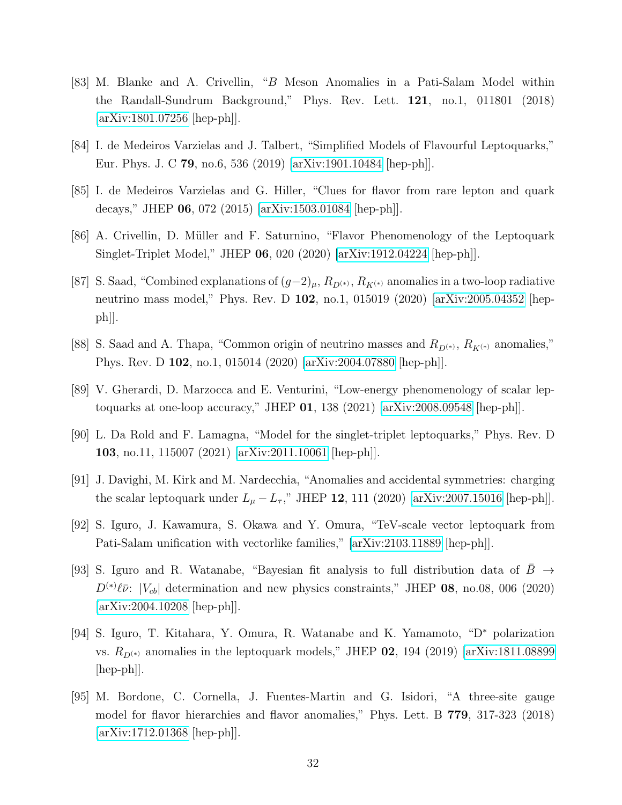- [83] M. Blanke and A. Crivellin, "B Meson Anomalies in a Pati-Salam Model within the Randall-Sundrum Background," Phys. Rev. Lett. 121, no.1, 011801 (2018) [\[arXiv:1801.07256](http://arxiv.org/abs/1801.07256) [hep-ph]].
- <span id="page-31-1"></span>[84] I. de Medeiros Varzielas and J. Talbert, "Simplified Models of Flavourful Leptoquarks," Eur. Phys. J. C 79, no.6, 536 (2019) [\[arXiv:1901.10484](http://arxiv.org/abs/1901.10484) [hep-ph]].
- [85] I. de Medeiros Varzielas and G. Hiller, "Clues for flavor from rare lepton and quark decays," JHEP 06, 072 (2015) [\[arXiv:1503.01084](http://arxiv.org/abs/1503.01084) [hep-ph]].
- <span id="page-31-2"></span>[86] A. Crivellin, D. Müller and F. Saturnino, "Flavor Phenomenology of the Leptoquark Singlet-Triplet Model," JHEP 06, 020 (2020) [\[arXiv:1912.04224](http://arxiv.org/abs/1912.04224) [hep-ph]].
- <span id="page-31-5"></span>[87] S. Saad, "Combined explanations of  $(g-2)_{\mu}$ ,  $R_{D^{(*)}}$ ,  $R_{K^{(*)}}$  anomalies in a two-loop radiative neutrino mass model," Phys. Rev. D 102, no.1, 015019 (2020) [\[arXiv:2005.04352](http://arxiv.org/abs/2005.04352) [hep $ph$ .
- [88] S. Saad and A. Thapa, "Common origin of neutrino masses and  $R_{D^{(*)}}$ ,  $R_{K^{(*)}}$  anomalies," Phys. Rev. D 102, no.1, 015014 (2020) [\[arXiv:2004.07880](http://arxiv.org/abs/2004.07880) [hep-ph]].
- <span id="page-31-6"></span>[89] V. Gherardi, D. Marzocca and E. Venturini, "Low-energy phenomenology of scalar leptoquarks at one-loop accuracy," JHEP 01, 138 (2021) [\[arXiv:2008.09548](http://arxiv.org/abs/2008.09548) [hep-ph]].
- <span id="page-31-3"></span>[90] L. Da Rold and F. Lamagna, "Model for the singlet-triplet leptoquarks," Phys. Rev. D 103, no.11, 115007 (2021) [\[arXiv:2011.10061](http://arxiv.org/abs/2011.10061) [hep-ph]].
- [91] J. Davighi, M. Kirk and M. Nardecchia, "Anomalies and accidental symmetries: charging the scalar leptoquark under  $L_{\mu} - L_{\tau}$ ," JHEP 12, 111 (2020) [\[arXiv:2007.15016](http://arxiv.org/abs/2007.15016) [hep-ph]].
- <span id="page-31-0"></span>[92] S. Iguro, J. Kawamura, S. Okawa and Y. Omura, "TeV-scale vector leptoquark from Pati-Salam unification with vectorlike families," [\[arXiv:2103.11889](http://arxiv.org/abs/2103.11889) [hep-ph]].
- <span id="page-31-4"></span>[93] S. Iguro and R. Watanabe, "Bayesian fit analysis to full distribution data of  $\bar{B} \rightarrow$  $D^{(*)}\ell\bar{\nu}$ :  $|V_{cb}|$  determination and new physics constraints," JHEP 08, no.08, 006 (2020) [\[arXiv:2004.10208](http://arxiv.org/abs/2004.10208) [hep-ph]].
- [94] S. Iguro, T. Kitahara, Y. Omura, R. Watanabe and K. Yamamoto, "D<sup>∗</sup> polarization vs.  $R_{D^{(*)}}$  anomalies in the leptoquark models," JHEP 02, 194 (2019) [\[arXiv:1811.08899](http://arxiv.org/abs/1811.08899) [hep-ph]].
- [95] M. Bordone, C. Cornella, J. Fuentes-Martin and G. Isidori, "A three-site gauge model for flavor hierarchies and flavor anomalies," Phys. Lett. B 779, 317-323 (2018) [\[arXiv:1712.01368](http://arxiv.org/abs/1712.01368) [hep-ph]].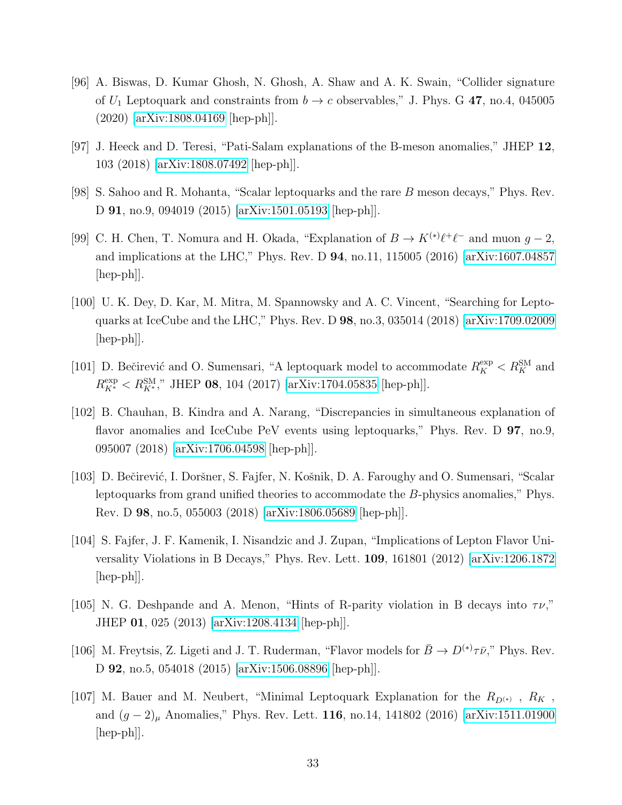- [96] A. Biswas, D. Kumar Ghosh, N. Ghosh, A. Shaw and A. K. Swain, "Collider signature of  $U_1$  Leptoquark and constraints from  $b \to c$  observables," J. Phys. G 47, no.4, 045005 (2020) [\[arXiv:1808.04169](http://arxiv.org/abs/1808.04169) [hep-ph]].
- [97] J. Heeck and D. Teresi, "Pati-Salam explanations of the B-meson anomalies," JHEP 12, 103 (2018) [\[arXiv:1808.07492](http://arxiv.org/abs/1808.07492) [hep-ph]].
- [98] S. Sahoo and R. Mohanta, "Scalar leptoquarks and the rare B meson decays," Phys. Rev. D 91, no.9, 094019 (2015) [\[arXiv:1501.05193](http://arxiv.org/abs/1501.05193) [hep-ph]].
- <span id="page-32-0"></span>[99] C. H. Chen, T. Nomura and H. Okada, "Explanation of  $B \to K^{(*)}\ell^+\ell^-$  and muon  $g - 2$ , and implications at the LHC," Phys. Rev. D 94, no.11, 115005 (2016) [\[arXiv:1607.04857](http://arxiv.org/abs/1607.04857)  $\vert \text{hep-ph} \vert$ .
- [100] U. K. Dey, D. Kar, M. Mitra, M. Spannowsky and A. C. Vincent, "Searching for Leptoquarks at IceCube and the LHC," Phys. Rev. D 98, no.3, 035014 (2018) [\[arXiv:1709.02009](http://arxiv.org/abs/1709.02009)  $\vert \text{hep-ph} \vert$ .
- [101] D. Bečirević and O. Sumensari, "A leptoquark model to accommodate  $R_K^{\text{exp}} < R_K^{\text{SM}}$  and  $R_{K^*}^{\text{exp}} < R_{K^*}^{\text{SM}},$ " JHEP 08, 104 (2017) [\[arXiv:1704.05835](http://arxiv.org/abs/1704.05835) [hep-ph]].
- [102] B. Chauhan, B. Kindra and A. Narang, "Discrepancies in simultaneous explanation of flavor anomalies and IceCube PeV events using leptoquarks," Phys. Rev. D **97**, no.9, 095007 (2018) [\[arXiv:1706.04598](http://arxiv.org/abs/1706.04598) [hep-ph]].
- [103] D. Bečirević, I. Doršner, S. Fajfer, N. Košnik, D. A. Faroughy and O. Sumensari, "Scalar" leptoquarks from grand unified theories to accommodate the B-physics anomalies," Phys. Rev. D 98, no.5, 055003 (2018) [\[arXiv:1806.05689](http://arxiv.org/abs/1806.05689) [hep-ph]].
- [104] S. Fajfer, J. F. Kamenik, I. Nisandzic and J. Zupan, "Implications of Lepton Flavor Universality Violations in B Decays," Phys. Rev. Lett. 109, 161801 (2012) [\[arXiv:1206.1872](http://arxiv.org/abs/1206.1872) [hep-ph]].
- [105] N. G. Deshpande and A. Menon, "Hints of R-parity violation in B decays into  $\tau \nu$ ," JHEP 01, 025 (2013) [\[arXiv:1208.4134](http://arxiv.org/abs/1208.4134) [hep-ph]].
- [106] M. Freytsis, Z. Ligeti and J. T. Ruderman, "Flavor models for  $\bar{B} \to D^{(*)}\tau\bar{\nu}$ ," Phys. Rev. D 92, no.5, 054018 (2015) [\[arXiv:1506.08896](http://arxiv.org/abs/1506.08896) [hep-ph]].
- <span id="page-32-1"></span>[107] M. Bauer and M. Neubert, "Minimal Leptoquark Explanation for the  $R_{D^{(\ast)}}$  ,  $R_K$  , and  $(g-2)_{\mu}$  Anomalies," Phys. Rev. Lett. 116, no.14, 141802 (2016) [\[arXiv:1511.01900](http://arxiv.org/abs/1511.01900) [hep-ph]].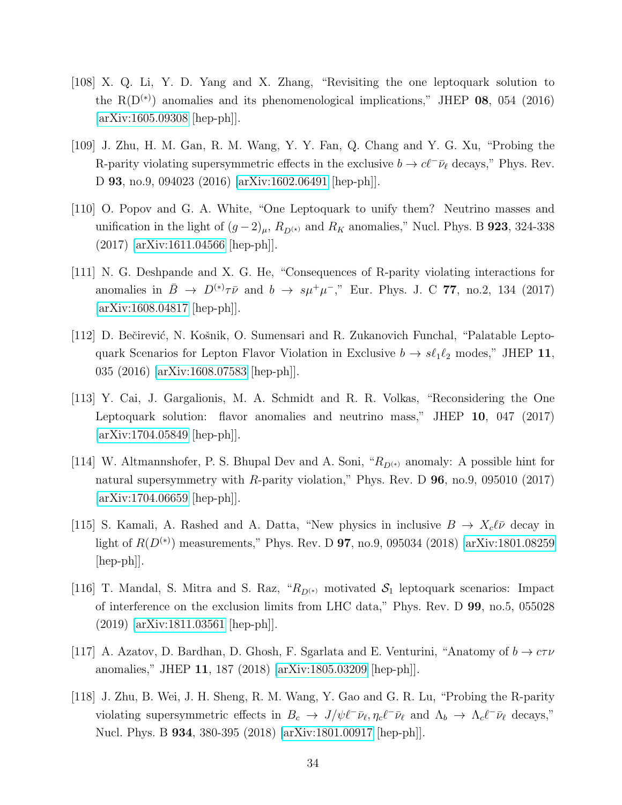- [108] X. Q. Li, Y. D. Yang and X. Zhang, "Revisiting the one leptoquark solution to the  $R(D<sup>(*)</sup>)$  anomalies and its phenomenological implications," JHEP 08, 054 (2016) [\[arXiv:1605.09308](http://arxiv.org/abs/1605.09308) [hep-ph]].
- [109] J. Zhu, H. M. Gan, R. M. Wang, Y. Y. Fan, Q. Chang and Y. G. Xu, "Probing the R-parity violating supersymmetric effects in the exclusive  $b \to c\ell^-\bar{\nu}_\ell$  decays," Phys. Rev. D 93, no.9, 094023 (2016) [\[arXiv:1602.06491](http://arxiv.org/abs/1602.06491) [hep-ph]].
- <span id="page-33-0"></span>[110] O. Popov and G. A. White, "One Leptoquark to unify them? Neutrino masses and unification in the light of  $(g-2)_{\mu}$ ,  $R_{D^{(\star)}}$  and  $R_K$  anomalies," Nucl. Phys. B **923**, 324-338 (2017) [\[arXiv:1611.04566](http://arxiv.org/abs/1611.04566) [hep-ph]].
- [111] N. G. Deshpande and X. G. He, "Consequences of R-parity violating interactions for anomalies in  $\bar{B} \to D^{(*)}\tau\bar{\nu}$  and  $b \to s\mu^+\mu^-$ ," Eur. Phys. J. C 77, no.2, 134 (2017) [\[arXiv:1608.04817](http://arxiv.org/abs/1608.04817) [hep-ph]].
- [112] D. Bečirević, N. Košnik, O. Sumensari and R. Zukanovich Funchal, "Palatable Leptoquark Scenarios for Lepton Flavor Violation in Exclusive  $b \to s\ell_1\ell_2$  modes," JHEP 11, 035 (2016) [\[arXiv:1608.07583](http://arxiv.org/abs/1608.07583) [hep-ph]].
- <span id="page-33-1"></span>[113] Y. Cai, J. Gargalionis, M. A. Schmidt and R. R. Volkas, "Reconsidering the One Leptoquark solution: flavor anomalies and neutrino mass," JHEP 10, 047 (2017) [\[arXiv:1704.05849](http://arxiv.org/abs/1704.05849) [hep-ph]].
- [114] W. Altmannshofer, P. S. Bhupal Dev and A. Soni, " $R_{D^{(*)}}$  anomaly: A possible hint for natural supersymmetry with R-parity violation," Phys. Rev. D  $96$ , no.9, 095010 (2017) [\[arXiv:1704.06659](http://arxiv.org/abs/1704.06659) [hep-ph]].
- [115] S. Kamali, A. Rashed and A. Datta, "New physics in inclusive  $B \to X_c \ell \bar{\nu}$  decay in light of  $R(D^{(*)})$  measurements," Phys. Rev. D **97**, no.9, 095034 (2018) [\[arXiv:1801.08259](http://arxiv.org/abs/1801.08259) [hep-ph]].
- [116] T. Mandal, S. Mitra and S. Raz, " $R_{D^{(*)}}$  motivated  $S_1$  leptoquark scenarios: Impact of interference on the exclusion limits from LHC data," Phys. Rev. D 99, no.5, 055028 (2019) [\[arXiv:1811.03561](http://arxiv.org/abs/1811.03561) [hep-ph]].
- [117] A. Azatov, D. Bardhan, D. Ghosh, F. Sgarlata and E. Venturini, "Anatomy of  $b \to c\tau\nu$ anomalies," JHEP 11, 187 (2018) [\[arXiv:1805.03209](http://arxiv.org/abs/1805.03209) [hep-ph]].
- [118] J. Zhu, B. Wei, J. H. Sheng, R. M. Wang, Y. Gao and G. R. Lu, "Probing the R-parity violating supersymmetric effects in  $B_c \to J/\psi \ell^- \bar{\nu}_{\ell}$ ,  $\eta_c \ell^- \bar{\nu}_{\ell}$  and  $\Lambda_b \to \Lambda_c \ell^- \bar{\nu}_{\ell}$  decays," Nucl. Phys. B 934, 380-395 (2018) [\[arXiv:1801.00917](http://arxiv.org/abs/1801.00917) [hep-ph]].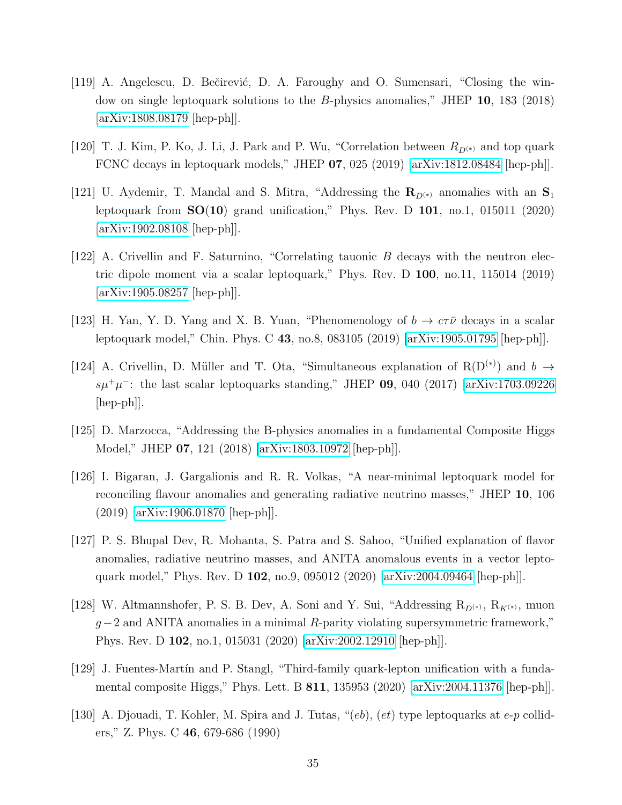- [119] A. Angelescu, D. Bečirević, D. A. Faroughy and O. Sumensari, "Closing the window on single leptoquark solutions to the B-physics anomalies," JHEP 10, 183 (2018) [\[arXiv:1808.08179](http://arxiv.org/abs/1808.08179) [hep-ph]].
- [120] T. J. Kim, P. Ko, J. Li, J. Park and P. Wu, "Correlation between  $R_{D^{(*)}}$  and top quark FCNC decays in leptoquark models," JHEP 07, 025 (2019) [\[arXiv:1812.08484](http://arxiv.org/abs/1812.08484) [hep-ph]].
- [121] U. Aydemir, T. Mandal and S. Mitra, "Addressing the  $\mathbf{R}_{D^{(*)}}$  anomalies with an  $\mathbf{S}_1$ leptoquark from  $SO(10)$  grand unification," Phys. Rev. D 101, no.1, 015011 (2020) [\[arXiv:1902.08108](http://arxiv.org/abs/1902.08108) [hep-ph]].
- [122] A. Crivellin and F. Saturnino, "Correlating tauonic B decays with the neutron electric dipole moment via a scalar leptoquark," Phys. Rev. D 100, no.11, 115014 (2019) [\[arXiv:1905.08257](http://arxiv.org/abs/1905.08257) [hep-ph]].
- [123] H. Yan, Y. D. Yang and X. B. Yuan, "Phenomenology of  $b \to c\tau\bar{\nu}$  decays in a scalar leptoquark model," Chin. Phys. C 43, no.8, 083105 (2019) [\[arXiv:1905.01795](http://arxiv.org/abs/1905.01795) [hep-ph]].
- <span id="page-34-1"></span>[124] A. Crivellin, D. Müller and T. Ota, "Simultaneous explanation of  $R(D^{(*)})$  and  $b \rightarrow$  $s\mu^+\mu^-$ : the last scalar leptoquarks standing," JHEP 09, 040 (2017) [\[arXiv:1703.09226](http://arxiv.org/abs/1703.09226) [hep-ph]].
- [125] D. Marzocca, "Addressing the B-physics anomalies in a fundamental Composite Higgs Model," JHEP 07, 121 (2018) [\[arXiv:1803.10972](http://arxiv.org/abs/1803.10972) [hep-ph]].
- [126] I. Bigaran, J. Gargalionis and R. R. Volkas, "A near-minimal leptoquark model for reconciling flavour anomalies and generating radiative neutrino masses," JHEP 10, 106 (2019) [\[arXiv:1906.01870](http://arxiv.org/abs/1906.01870) [hep-ph]].
- [127] P. S. Bhupal Dev, R. Mohanta, S. Patra and S. Sahoo, "Unified explanation of flavor anomalies, radiative neutrino masses, and ANITA anomalous events in a vector leptoquark model," Phys. Rev. D 102, no.9, 095012 (2020) [\[arXiv:2004.09464](http://arxiv.org/abs/2004.09464) [hep-ph]].
- [128] W. Altmannshofer, P. S. B. Dev, A. Soni and Y. Sui, "Addressing  $R_{D^{(*)}}, R_{K^{(*)}},$  muon  $g-2$  and ANITA anomalies in a minimal R-parity violating supersymmetric framework," Phys. Rev. D 102, no.1, 015031 (2020) [\[arXiv:2002.12910](http://arxiv.org/abs/2002.12910) [hep-ph]].
- <span id="page-34-0"></span>[129] J. Fuentes-Martín and P. Stangl, "Third-family quark-lepton unification with a fundamental composite Higgs," Phys. Lett. B 811, 135953 (2020) [\[arXiv:2004.11376](http://arxiv.org/abs/2004.11376) [hep-ph]].
- [130] A. Djouadi, T. Kohler, M. Spira and J. Tutas, "(eb), (et) type leptoquarks at  $e$ -p colliders," Z. Phys. C 46, 679-686 (1990)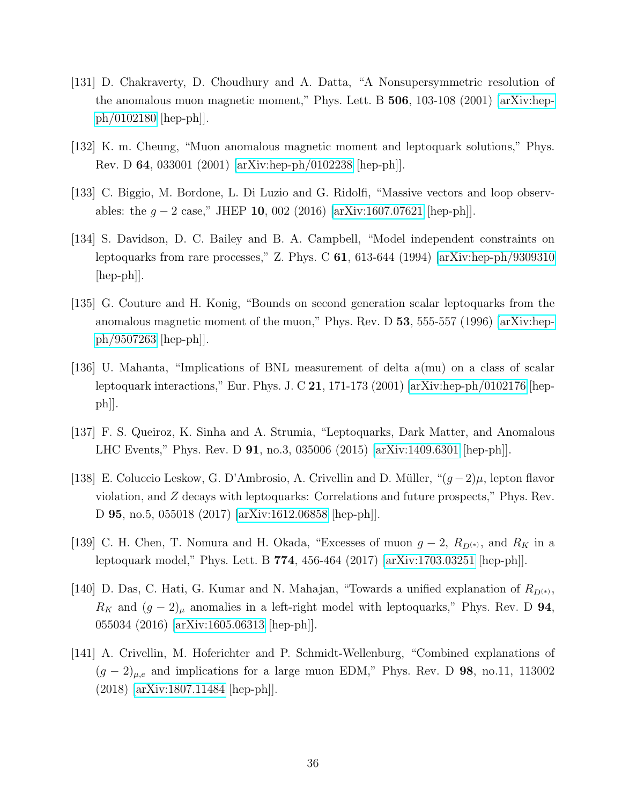- [131] D. Chakraverty, D. Choudhury and A. Datta, "A Nonsupersymmetric resolution of the anomalous muon magnetic moment," Phys. Lett. B 506, 103-108 (2001) [\[arXiv:hep](http://arxiv.org/abs/hep-ph/0102180)[ph/0102180](http://arxiv.org/abs/hep-ph/0102180) [hep-ph]].
- [132] K. m. Cheung, "Muon anomalous magnetic moment and leptoquark solutions," Phys. Rev. D 64, 033001 (2001) [\[arXiv:hep-ph/0102238](http://arxiv.org/abs/hep-ph/0102238) [hep-ph]].
- [133] C. Biggio, M. Bordone, L. Di Luzio and G. Ridolfi, "Massive vectors and loop observables: the  $g - 2$  case," JHEP 10, 002 (2016) [\[arXiv:1607.07621](http://arxiv.org/abs/1607.07621) [hep-ph]].
- <span id="page-35-0"></span>[134] S. Davidson, D. C. Bailey and B. A. Campbell, "Model independent constraints on leptoquarks from rare processes," Z. Phys. C  $61$ , 613-644 (1994) [\[arXiv:hep-ph/9309310](http://arxiv.org/abs/hep-ph/9309310)  $\vert \text{hep-ph} \vert$ .
- [135] G. Couture and H. Konig, "Bounds on second generation scalar leptoquarks from the anomalous magnetic moment of the muon," Phys. Rev. D 53, 555-557 (1996) [\[arXiv:hep](http://arxiv.org/abs/hep-ph/9507263)[ph/9507263](http://arxiv.org/abs/hep-ph/9507263) [hep-ph]].
- [136] U. Mahanta, "Implications of BNL measurement of delta a(mu) on a class of scalar leptoquark interactions," Eur. Phys. J. C 21, 171-173 (2001) [\[arXiv:hep-ph/0102176](http://arxiv.org/abs/hep-ph/0102176) [hep $ph$ .
- [137] F. S. Queiroz, K. Sinha and A. Strumia, "Leptoquarks, Dark Matter, and Anomalous LHC Events," Phys. Rev. D 91, no.3, 035006 (2015) [\[arXiv:1409.6301](http://arxiv.org/abs/1409.6301) [hep-ph]].
- [138] E. Coluccio Leskow, G. D'Ambrosio, A. Crivellin and D. Müller, " $(g-2)\mu$ , lepton flavor violation, and Z decays with leptoquarks: Correlations and future prospects," Phys. Rev. D 95, no.5, 055018 (2017) [\[arXiv:1612.06858](http://arxiv.org/abs/1612.06858) [hep-ph]].
- [139] C. H. Chen, T. Nomura and H. Okada, "Excesses of muon  $g-2$ ,  $R_{D^{(*)}}$ , and  $R_K$  in a leptoquark model," Phys. Lett. B 774, 456-464 (2017) [\[arXiv:1703.03251](http://arxiv.org/abs/1703.03251) [hep-ph]].
- [140] D. Das, C. Hati, G. Kumar and N. Mahajan, "Towards a unified explanation of  $R_{D^{(*)}}$ ,  $R_K$  and  $(g-2)_{\mu}$  anomalies in a left-right model with leptoquarks," Phys. Rev. D 94, 055034 (2016) [\[arXiv:1605.06313](http://arxiv.org/abs/1605.06313) [hep-ph]].
- [141] A. Crivellin, M. Hoferichter and P. Schmidt-Wellenburg, "Combined explanations of  $(g - 2)_{\mu,e}$  and implications for a large muon EDM," Phys. Rev. D 98, no.11, 113002 (2018) [\[arXiv:1807.11484](http://arxiv.org/abs/1807.11484) [hep-ph]].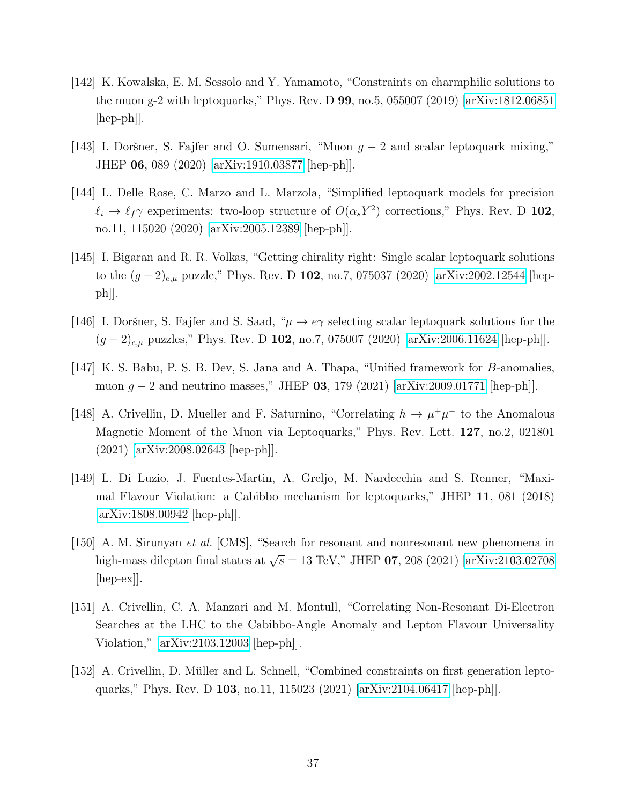- [142] K. Kowalska, E. M. Sessolo and Y. Yamamoto, "Constraints on charmphilic solutions to the muon g-2 with leptoquarks," Phys. Rev. D 99, no.5, 055007 (2019) [\[arXiv:1812.06851](http://arxiv.org/abs/1812.06851) [hep-ph]].
- [143] I. Doršner, S. Fajfer and O. Sumensari, "Muon  $q-2$  and scalar leptoquark mixing," JHEP 06, 089 (2020) [\[arXiv:1910.03877](http://arxiv.org/abs/1910.03877) [hep-ph]].
- <span id="page-36-2"></span>[144] L. Delle Rose, C. Marzo and L. Marzola, "Simplified leptoquark models for precision  $\ell_i \to \ell_f \gamma$  experiments: two-loop structure of  $O(\alpha_s Y^2)$  corrections," Phys. Rev. D 102, no.11, 115020 (2020) [\[arXiv:2005.12389](http://arxiv.org/abs/2005.12389) [hep-ph]].
- [145] I. Bigaran and R. R. Volkas, "Getting chirality right: Single scalar leptoquark solutions to the  $(g-2)_{e,\mu}$  puzzle," Phys. Rev. D 102, no.7, 075037 (2020) [\[arXiv:2002.12544](http://arxiv.org/abs/2002.12544) [hep $ph$ .
- [146] I. Doršner, S. Fajfer and S. Saad, " $\mu \rightarrow e\gamma$  selecting scalar leptoquark solutions for the  $(g-2)_{e,\mu}$  puzzles," Phys. Rev. D 102, no.7, 075007 (2020) [\[arXiv:2006.11624](http://arxiv.org/abs/2006.11624) [hep-ph]].
- [147] K. S. Babu, P. S. B. Dev, S. Jana and A. Thapa, "Unified framework for B-anomalies, muon  $q - 2$  and neutrino masses," JHEP 03, 179 (2021) [\[arXiv:2009.01771](http://arxiv.org/abs/2009.01771) [hep-ph]].
- [148] A. Crivellin, D. Mueller and F. Saturnino, "Correlating  $h \to \mu^+\mu^-$  to the Anomalous Magnetic Moment of the Muon via Leptoquarks," Phys. Rev. Lett. 127, no.2, 021801 (2021) [\[arXiv:2008.02643](http://arxiv.org/abs/2008.02643) [hep-ph]].
- <span id="page-36-0"></span>[149] L. Di Luzio, J. Fuentes-Martin, A. Greljo, M. Nardecchia and S. Renner, "Maximal Flavour Violation: a Cabibbo mechanism for leptoquarks," JHEP 11, 081 (2018) [\[arXiv:1808.00942](http://arxiv.org/abs/1808.00942) [hep-ph]].
- <span id="page-36-3"></span>[150] A. M. Sirunyan et al. [CMS], "Search for resonant and nonresonant new phenomena in high-mass dilepton final states at  $\sqrt{s} = 13$  TeV," JHEP 07, 208 (2021) [\[arXiv:2103.02708](http://arxiv.org/abs/2103.02708) [hep-ex]].
- <span id="page-36-4"></span>[151] A. Crivellin, C. A. Manzari and M. Montull, "Correlating Non-Resonant Di-Electron Searches at the LHC to the Cabibbo-Angle Anomaly and Lepton Flavour Universality Violation," [\[arXiv:2103.12003](http://arxiv.org/abs/2103.12003) [hep-ph]].
- <span id="page-36-1"></span>[152] A. Crivellin, D. Müller and L. Schnell, "Combined constraints on first generation leptoquarks," Phys. Rev. D 103, no.11, 115023 (2021) [\[arXiv:2104.06417](http://arxiv.org/abs/2104.06417) [hep-ph]].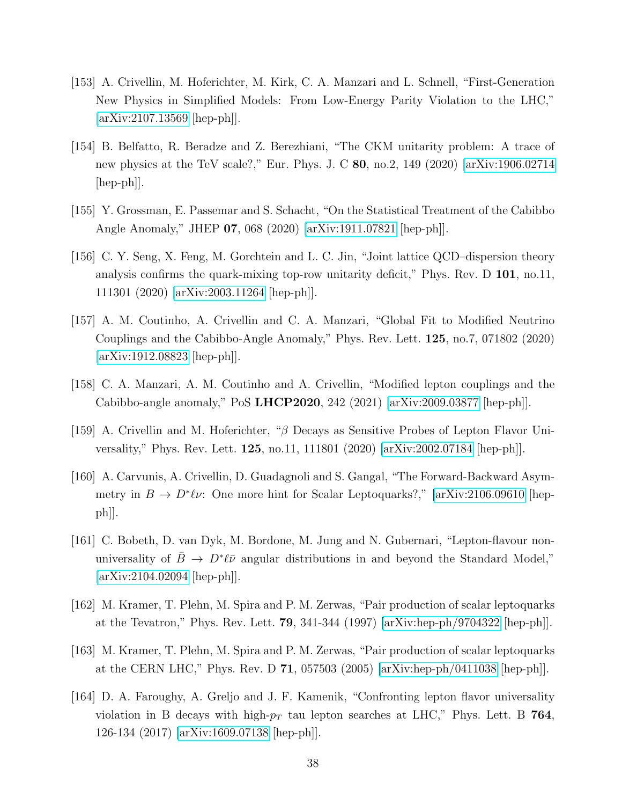- <span id="page-37-6"></span>[153] A. Crivellin, M. Hoferichter, M. Kirk, C. A. Manzari and L. Schnell, "First-Generation New Physics in Simplified Models: From Low-Energy Parity Violation to the LHC," [\[arXiv:2107.13569](http://arxiv.org/abs/2107.13569) [hep-ph]].
- <span id="page-37-1"></span>[154] B. Belfatto, R. Beradze and Z. Berezhiani, "The CKM unitarity problem: A trace of new physics at the TeV scale?," Eur. Phys. J. C 80, no.2, 149 (2020) [\[arXiv:1906.02714](http://arxiv.org/abs/1906.02714) [hep-ph]].
- [155] Y. Grossman, E. Passemar and S. Schacht, "On the Statistical Treatment of the Cabibbo Angle Anomaly," JHEP 07, 068 (2020) [\[arXiv:1911.07821](http://arxiv.org/abs/1911.07821) [hep-ph]].
- [156] C. Y. Seng, X. Feng, M. Gorchtein and L. C. Jin, "Joint lattice QCD–dispersion theory analysis confirms the quark-mixing top-row unitarity deficit," Phys. Rev. D 101, no.11, 111301 (2020) [\[arXiv:2003.11264](http://arxiv.org/abs/2003.11264) [hep-ph]].
- <span id="page-37-2"></span>[157] A. M. Coutinho, A. Crivellin and C. A. Manzari, "Global Fit to Modified Neutrino Couplings and the Cabibbo-Angle Anomaly," Phys. Rev. Lett. 125, no.7, 071802 (2020) [\[arXiv:1912.08823](http://arxiv.org/abs/1912.08823) [hep-ph]].
- [158] C. A. Manzari, A. M. Coutinho and A. Crivellin, "Modified lepton couplings and the Cabibbo-angle anomaly," PoS LHCP2020, 242 (2021) [\[arXiv:2009.03877](http://arxiv.org/abs/2009.03877) [hep-ph]].
- <span id="page-37-3"></span>[159] A. Crivellin and M. Hoferichter, "β Decays as Sensitive Probes of Lepton Flavor Universality," Phys. Rev. Lett. 125, no.11, 111801 (2020) [\[arXiv:2002.07184](http://arxiv.org/abs/2002.07184) [hep-ph]].
- <span id="page-37-7"></span>[160] A. Carvunis, A. Crivellin, D. Guadagnoli and S. Gangal, "The Forward-Backward Asymmetry in  $B \to D^*\ell\nu$ : One more hint for Scalar Leptoquarks?," [\[arXiv:2106.09610](http://arxiv.org/abs/2106.09610) [hepph]].
- <span id="page-37-8"></span>[161] C. Bobeth, D. van Dyk, M. Bordone, M. Jung and N. Gubernari, "Lepton-flavour nonuniversality of  $\bar{B} \to D^*\ell\bar{\nu}$  angular distributions in and beyond the Standard Model," [\[arXiv:2104.02094](http://arxiv.org/abs/2104.02094) [hep-ph]].
- <span id="page-37-0"></span>[162] M. Kramer, T. Plehn, M. Spira and P. M. Zerwas, "Pair production of scalar leptoquarks at the Tevatron," Phys. Rev. Lett. 79, 341-344 (1997) [\[arXiv:hep-ph/9704322](http://arxiv.org/abs/hep-ph/9704322) [hep-ph]].
- <span id="page-37-4"></span>[163] M. Kramer, T. Plehn, M. Spira and P. M. Zerwas, "Pair production of scalar leptoquarks at the CERN LHC," Phys. Rev. D 71, 057503 (2005) [\[arXiv:hep-ph/0411038](http://arxiv.org/abs/hep-ph/0411038) [hep-ph]].
- <span id="page-37-5"></span>[164] D. A. Faroughy, A. Greljo and J. F. Kamenik, "Confronting lepton flavor universality violation in B decays with high- $p_T$  tau lepton searches at LHC," Phys. Lett. B 764, 126-134 (2017) [\[arXiv:1609.07138](http://arxiv.org/abs/1609.07138) [hep-ph]].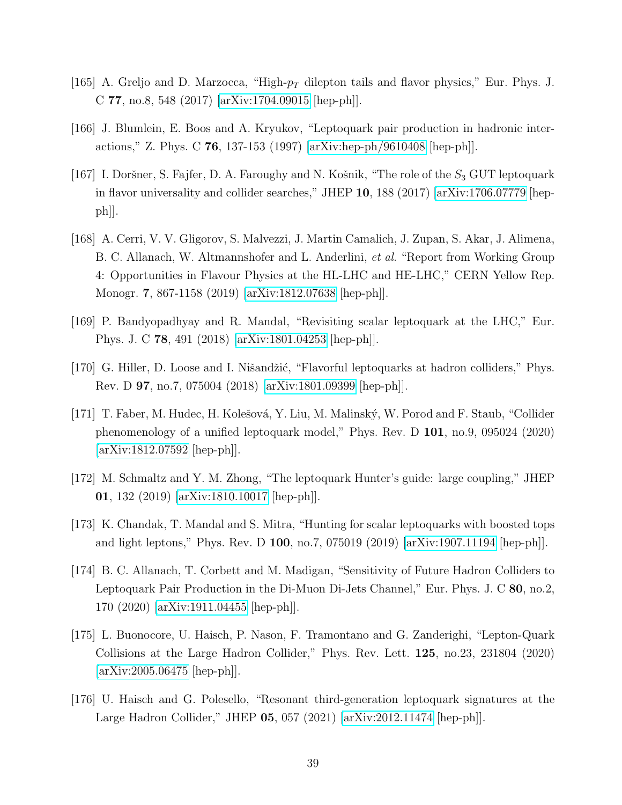- [165] A. Greljo and D. Marzocca, "High- $p<sub>T</sub>$  dilepton tails and flavor physics," Eur. Phys. J. C 77, no.8, 548 (2017) [\[arXiv:1704.09015](http://arxiv.org/abs/1704.09015) [hep-ph]].
- [166] J. Blumlein, E. Boos and A. Kryukov, "Leptoquark pair production in hadronic interactions," Z. Phys. C 76, 137-153 (1997) [\[arXiv:hep-ph/9610408](http://arxiv.org/abs/hep-ph/9610408) [hep-ph]].
- <span id="page-38-0"></span>[167] I. Doršner, S. Fajfer, D. A. Faroughy and N. Košnik, "The role of the  $S_3$  GUT leptoquark in flavor universality and collider searches," JHEP 10, 188 (2017) [\[arXiv:1706.07779](http://arxiv.org/abs/1706.07779) [hep $ph$ .
- [168] A. Cerri, V. V. Gligorov, S. Malvezzi, J. Martin Camalich, J. Zupan, S. Akar, J. Alimena, B. C. Allanach, W. Altmannshofer and L. Anderlini, et al. "Report from Working Group 4: Opportunities in Flavour Physics at the HL-LHC and HE-LHC," CERN Yellow Rep. Monogr. 7, 867-1158 (2019) [\[arXiv:1812.07638](http://arxiv.org/abs/1812.07638) [hep-ph]].
- [169] P. Bandyopadhyay and R. Mandal, "Revisiting scalar leptoquark at the LHC," Eur. Phys. J. C 78, 491 (2018) [\[arXiv:1801.04253](http://arxiv.org/abs/1801.04253) [hep-ph]].
- <span id="page-38-1"></span>[170] G. Hiller, D. Loose and I. Nišandžić, "Flavorful leptoquarks at hadron colliders," Phys. Rev. D 97, no.7, 075004 (2018) [\[arXiv:1801.09399](http://arxiv.org/abs/1801.09399) [hep-ph]].
- [171] T. Faber, M. Hudec, H. Kolešová, Y. Liu, M. Malinský, W. Porod and F. Staub, "Collider" phenomenology of a unified leptoquark model," Phys. Rev. D 101, no.9, 095024 (2020) [\[arXiv:1812.07592](http://arxiv.org/abs/1812.07592) [hep-ph]].
- <span id="page-38-2"></span>[172] M. Schmaltz and Y. M. Zhong, "The leptoquark Hunter's guide: large coupling," JHEP 01, 132 (2019) [\[arXiv:1810.10017](http://arxiv.org/abs/1810.10017) [hep-ph]].
- [173] K. Chandak, T. Mandal and S. Mitra, "Hunting for scalar leptoquarks with boosted tops and light leptons," Phys. Rev. D 100, no.7, 075019 (2019) [\[arXiv:1907.11194](http://arxiv.org/abs/1907.11194) [hep-ph]].
- [174] B. C. Allanach, T. Corbett and M. Madigan, "Sensitivity of Future Hadron Colliders to Leptoquark Pair Production in the Di-Muon Di-Jets Channel," Eur. Phys. J. C 80, no.2, 170 (2020) [\[arXiv:1911.04455](http://arxiv.org/abs/1911.04455) [hep-ph]].
- [175] L. Buonocore, U. Haisch, P. Nason, F. Tramontano and G. Zanderighi, "Lepton-Quark Collisions at the Large Hadron Collider," Phys. Rev. Lett. 125, no.23, 231804 (2020) [\[arXiv:2005.06475](http://arxiv.org/abs/2005.06475) [hep-ph]].
- [176] U. Haisch and G. Polesello, "Resonant third-generation leptoquark signatures at the Large Hadron Collider," JHEP 05, 057 (2021) [\[arXiv:2012.11474](http://arxiv.org/abs/2012.11474) [hep-ph]].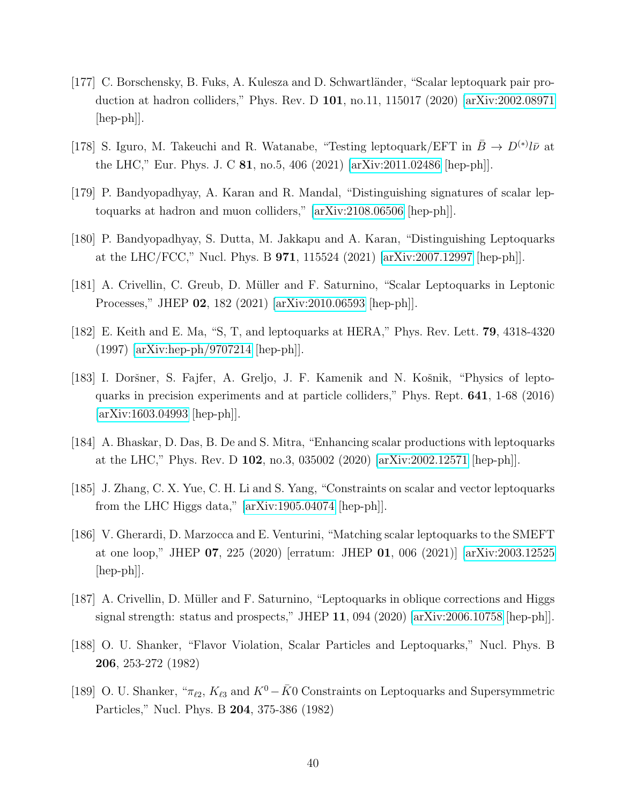- [177] C. Borschensky, B. Fuks, A. Kulesza and D. Schwartländer, "Scalar leptoquark pair production at hadron colliders," Phys. Rev. D 101, no.11, 115017 (2020) [\[arXiv:2002.08971](http://arxiv.org/abs/2002.08971) [hep-ph]].
- [178] S. Iguro, M. Takeuchi and R. Watanabe, "Testing leptoquark/EFT in  $\bar{B} \to D^{(*)} l \bar{\nu}$  at the LHC," Eur. Phys. J. C 81, no.5, 406 (2021) [\[arXiv:2011.02486](http://arxiv.org/abs/2011.02486) [hep-ph]].
- [179] P. Bandyopadhyay, A. Karan and R. Mandal, "Distinguishing signatures of scalar leptoquarks at hadron and muon colliders," [\[arXiv:2108.06506](http://arxiv.org/abs/2108.06506) [hep-ph]].
- <span id="page-39-0"></span>[180] P. Bandyopadhyay, S. Dutta, M. Jakkapu and A. Karan, "Distinguishing Leptoquarks at the LHC/FCC," Nucl. Phys. B 971, 115524 (2021) [\[arXiv:2007.12997](http://arxiv.org/abs/2007.12997) [hep-ph]].
- <span id="page-39-1"></span>[181] A. Crivellin, C. Greub, D. Müller and F. Saturnino, "Scalar Leptoquarks in Leptonic Processes," JHEP 02, 182 (2021) [\[arXiv:2010.06593](http://arxiv.org/abs/2010.06593) [hep-ph]].
- <span id="page-39-2"></span>[182] E. Keith and E. Ma, "S, T, and leptoquarks at HERA," Phys. Rev. Lett. 79, 4318-4320 (1997) [\[arXiv:hep-ph/9707214](http://arxiv.org/abs/hep-ph/9707214) [hep-ph]].
- [183] I. Doršner, S. Fajfer, A. Greljo, J. F. Kamenik and N. Košnik, "Physics of leptoquarks in precision experiments and at particle colliders," Phys. Rept. 641, 1-68 (2016) [\[arXiv:1603.04993](http://arxiv.org/abs/1603.04993) [hep-ph]].
- [184] A. Bhaskar, D. Das, B. De and S. Mitra, "Enhancing scalar productions with leptoquarks at the LHC," Phys. Rev. D 102, no.3, 035002 (2020) [\[arXiv:2002.12571](http://arxiv.org/abs/2002.12571) [hep-ph]].
- [185] J. Zhang, C. X. Yue, C. H. Li and S. Yang, "Constraints on scalar and vector leptoquarks from the LHC Higgs data," [\[arXiv:1905.04074](http://arxiv.org/abs/1905.04074) [hep-ph]].
- [186] V. Gherardi, D. Marzocca and E. Venturini, "Matching scalar leptoquarks to the SMEFT at one loop," JHEP 07, 225 (2020) [erratum: JHEP 01, 006 (2021)] [\[arXiv:2003.12525](http://arxiv.org/abs/2003.12525)  $\vert \text{hep-ph} \vert$ .
- <span id="page-39-3"></span>[187] A. Crivellin, D. Müller and F. Saturnino, "Leptoquarks in oblique corrections and Higgs signal strength: status and prospects," JHEP 11, 094 (2020)  $\arXiv:2006.10758$  [hep-ph].
- <span id="page-39-4"></span>[188] O. U. Shanker, "Flavor Violation, Scalar Particles and Leptoquarks," Nucl. Phys. B 206, 253-272 (1982)
- [189] O. U. Shanker, " $\pi_{2}$ ,  $K_{23}$  and  $K^0-\bar{K}0$  Constraints on Leptoquarks and Supersymmetric Particles," Nucl. Phys. B 204, 375-386 (1982)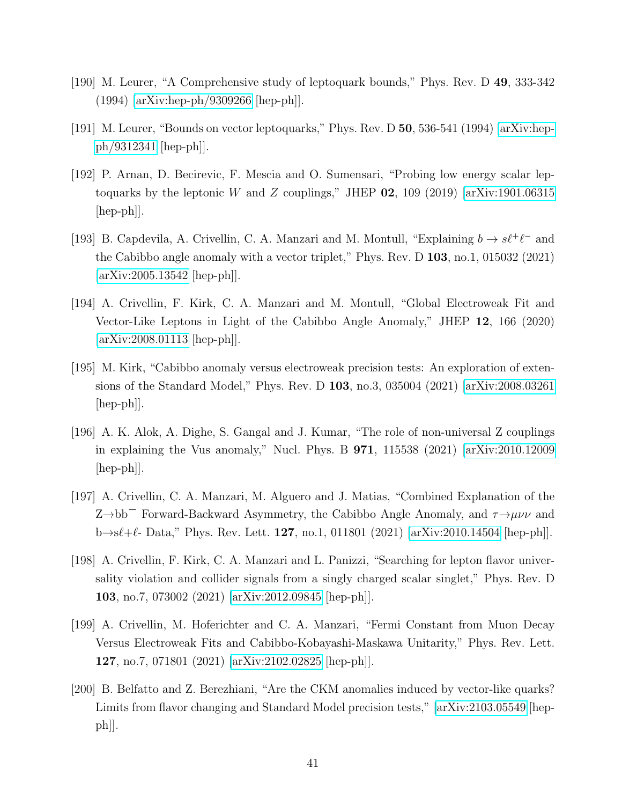- [190] M. Leurer, "A Comprehensive study of leptoquark bounds," Phys. Rev. D 49, 333-342 (1994) [\[arXiv:hep-ph/9309266](http://arxiv.org/abs/hep-ph/9309266) [hep-ph]].
- [191] M. Leurer, "Bounds on vector leptoquarks," Phys. Rev. D 50, 536-541 (1994) [\[arXiv:hep](http://arxiv.org/abs/hep-ph/9312341)[ph/9312341](http://arxiv.org/abs/hep-ph/9312341) [hep-ph]].
- [192] P. Arnan, D. Becirevic, F. Mescia and O. Sumensari, "Probing low energy scalar leptoquarks by the leptonic W and Z couplings," JHEP  $\overline{02}$ , 109 (2019) [\[arXiv:1901.06315](http://arxiv.org/abs/1901.06315) [hep-ph]].
- [193] B. Capdevila, A. Crivellin, C. A. Manzari and M. Montull, "Explaining  $b \to s\ell^+\ell^-$  and the Cabibbo angle anomaly with a vector triplet," Phys. Rev. D 103, no.1, 015032 (2021)  $\arXiv:2005.13542$  [hep-ph].
- [194] A. Crivellin, F. Kirk, C. A. Manzari and M. Montull, "Global Electroweak Fit and Vector-Like Leptons in Light of the Cabibbo Angle Anomaly," JHEP 12, 166 (2020) [\[arXiv:2008.01113](http://arxiv.org/abs/2008.01113) [hep-ph]].
- [195] M. Kirk, "Cabibbo anomaly versus electroweak precision tests: An exploration of extensions of the Standard Model," Phys. Rev. D 103, no.3, 035004 (2021) [\[arXiv:2008.03261](http://arxiv.org/abs/2008.03261)  $\vert \text{hep-ph} \vert$ .
- [196] A. K. Alok, A. Dighe, S. Gangal and J. Kumar, "The role of non-universal Z couplings in explaining the Vus anomaly," Nucl. Phys. B 971, 115538 (2021) [\[arXiv:2010.12009](http://arxiv.org/abs/2010.12009)  $\vert \text{hep-ph} \vert$ .
- [197] A. Crivellin, C. A. Manzari, M. Alguero and J. Matias, "Combined Explanation of the Z $\rightarrow$ bb<sup> $-$ </sup> Forward-Backward Asymmetry, the Cabibbo Angle Anomaly, and  $\tau \rightarrow \mu \nu \nu$  and  $b \rightarrow s\ell+\ell$ - Data," Phys. Rev. Lett. 127, no.1, 011801 (2021) [\[arXiv:2010.14504](http://arxiv.org/abs/2010.14504) [hep-ph]].
- [198] A. Crivellin, F. Kirk, C. A. Manzari and L. Panizzi, "Searching for lepton flavor universality violation and collider signals from a singly charged scalar singlet," Phys. Rev. D 103, no.7, 073002 (2021) [\[arXiv:2012.09845](http://arxiv.org/abs/2012.09845) [hep-ph]].
- [199] A. Crivellin, M. Hoferichter and C. A. Manzari, "Fermi Constant from Muon Decay Versus Electroweak Fits and Cabibbo-Kobayashi-Maskawa Unitarity," Phys. Rev. Lett. 127, no.7, 071801 (2021) [\[arXiv:2102.02825](http://arxiv.org/abs/2102.02825) [hep-ph]].
- [200] B. Belfatto and Z. Berezhiani, "Are the CKM anomalies induced by vector-like quarks? Limits from flavor changing and Standard Model precision tests," [\[arXiv:2103.05549](http://arxiv.org/abs/2103.05549) [hepph]].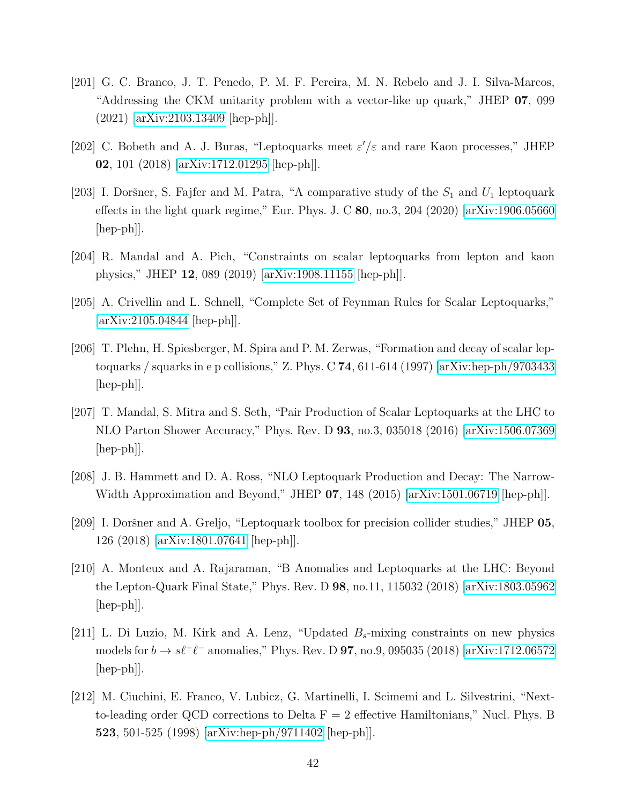- [201] G. C. Branco, J. T. Penedo, P. M. F. Pereira, M. N. Rebelo and J. I. Silva-Marcos, "Addressing the CKM unitarity problem with a vector-like up quark," JHEP 07, 099 (2021) [\[arXiv:2103.13409](http://arxiv.org/abs/2103.13409) [hep-ph]].
- <span id="page-41-9"></span>[202] C. Bobeth and A. J. Buras, "Leptoquarks meet  $\varepsilon'/\varepsilon$  and rare Kaon processes," JHEP 02, 101 (2018) [\[arXiv:1712.01295](http://arxiv.org/abs/1712.01295) [hep-ph]].
- [203] I. Doršner, S. Fajfer and M. Patra, "A comparative study of the  $S_1$  and  $U_1$  leptoquark effects in the light quark regime," Eur. Phys. J. C  $80$ , no.3, 204 (2020) [\[arXiv:1906.05660](http://arxiv.org/abs/1906.05660)] [hep-ph]].
- <span id="page-41-0"></span>[204] R. Mandal and A. Pich, "Constraints on scalar leptoquarks from lepton and kaon physics," JHEP 12, 089 (2019) [\[arXiv:1908.11155](http://arxiv.org/abs/1908.11155) [hep-ph]].
- <span id="page-41-1"></span>[205] A. Crivellin and L. Schnell, "Complete Set of Feynman Rules for Scalar Leptoquarks," [\[arXiv:2105.04844](http://arxiv.org/abs/2105.04844) [hep-ph]].
- <span id="page-41-2"></span>[206] T. Plehn, H. Spiesberger, M. Spira and P. M. Zerwas, "Formation and decay of scalar leptoquarks / squarks in e p collisions," Z. Phys. C  $74$ , 611-614 (1997) [\[arXiv:hep-ph/9703433](http://arxiv.org/abs/hep-ph/9703433) [hep-ph]].
- <span id="page-41-3"></span>[207] T. Mandal, S. Mitra and S. Seth, "Pair Production of Scalar Leptoquarks at the LHC to NLO Parton Shower Accuracy," Phys. Rev. D 93, no.3, 035018 (2016) [\[arXiv:1506.07369](http://arxiv.org/abs/1506.07369) [hep-ph]].
- <span id="page-41-4"></span>[208] J. B. Hammett and D. A. Ross, "NLO Leptoquark Production and Decay: The Narrow-Width Approximation and Beyond," JHEP  $07$ , 148 (2015) [\[arXiv:1501.06719](http://arxiv.org/abs/1501.06719) [hep-ph]].
- <span id="page-41-5"></span>[209] I. Doršner and A. Greljo, "Leptoquark toolbox for precision collider studies," JHEP  $05$ , 126 (2018) [\[arXiv:1801.07641](http://arxiv.org/abs/1801.07641) [hep-ph]].
- <span id="page-41-6"></span>[210] A. Monteux and A. Rajaraman, "B Anomalies and Leptoquarks at the LHC: Beyond the Lepton-Quark Final State," Phys. Rev. D 98, no.11, 115032 (2018) [\[arXiv:1803.05962](http://arxiv.org/abs/1803.05962) [hep-ph]].
- <span id="page-41-7"></span>[211] L. Di Luzio, M. Kirk and A. Lenz, "Updated  $B_s$ -mixing constraints on new physics models for  $b \to s\ell^+\ell^-$  anomalies," Phys. Rev. D **97**, no.9, 095035 (2018) [\[arXiv:1712.06572](http://arxiv.org/abs/1712.06572) [hep-ph]].
- <span id="page-41-8"></span>[212] M. Ciuchini, E. Franco, V. Lubicz, G. Martinelli, I. Scimemi and L. Silvestrini, "Nextto-leading order QCD corrections to Delta  $F = 2$  effective Hamiltonians," Nucl. Phys. B 523, 501-525 (1998) [\[arXiv:hep-ph/9711402](http://arxiv.org/abs/hep-ph/9711402) [hep-ph]].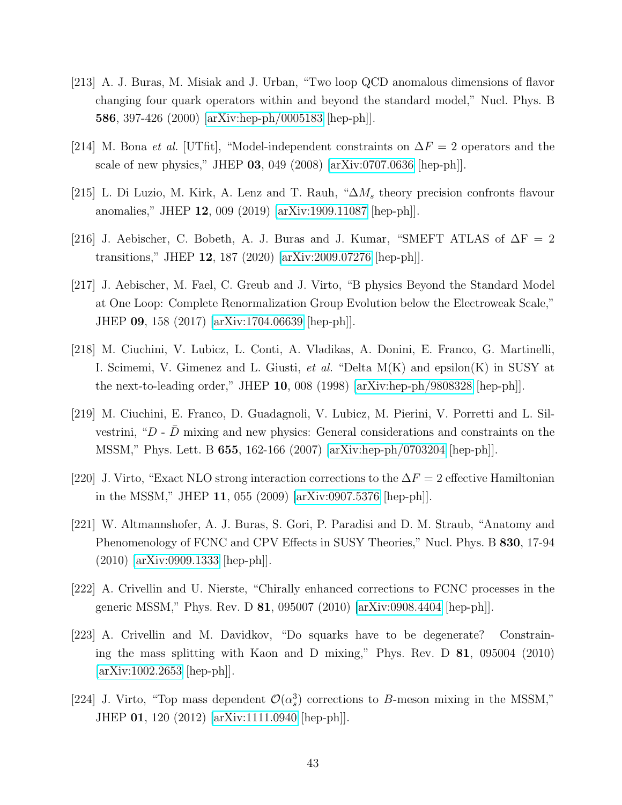- <span id="page-42-0"></span>[213] A. J. Buras, M. Misiak and J. Urban, "Two loop QCD anomalous dimensions of flavor changing four quark operators within and beyond the standard model," Nucl. Phys. B 586, 397-426 (2000) [\[arXiv:hep-ph/0005183](http://arxiv.org/abs/hep-ph/0005183) [hep-ph]].
- <span id="page-42-1"></span>[214] M. Bona *et al.* [UTfit], "Model-independent constraints on  $\Delta F = 2$  operators and the scale of new physics," JHEP 03, 049 (2008) [\[arXiv:0707.0636](http://arxiv.org/abs/0707.0636) [hep-ph]].
- <span id="page-42-6"></span>[215] L. Di Luzio, M. Kirk, A. Lenz and T. Rauh, " $\Delta M_s$  theory precision confronts flavour anomalies," JHEP 12, 009 (2019) [\[arXiv:1909.11087](http://arxiv.org/abs/1909.11087) [hep-ph]].
- <span id="page-42-2"></span>[216] J. Aebischer, C. Bobeth, A. J. Buras and J. Kumar, "SMEFT ATLAS of  $\Delta F = 2$ transitions," JHEP 12, 187 (2020) [\[arXiv:2009.07276](http://arxiv.org/abs/2009.07276) [hep-ph]].
- <span id="page-42-3"></span>[217] J. Aebischer, M. Fael, C. Greub and J. Virto, "B physics Beyond the Standard Model at One Loop: Complete Renormalization Group Evolution below the Electroweak Scale," JHEP 09, 158 (2017) [\[arXiv:1704.06639](http://arxiv.org/abs/1704.06639) [hep-ph]].
- <span id="page-42-4"></span>[218] M. Ciuchini, V. Lubicz, L. Conti, A. Vladikas, A. Donini, E. Franco, G. Martinelli, I. Scimemi, V. Gimenez and L. Giusti, et al. "Delta  $M(K)$  and epsilon(K) in SUSY at the next-to-leading order," JHEP 10, 008 (1998) [\[arXiv:hep-ph/9808328](http://arxiv.org/abs/hep-ph/9808328) [hep-ph]].
- [219] M. Ciuchini, E. Franco, D. Guadagnoli, V. Lubicz, M. Pierini, V. Porretti and L. Silvestrini, " $D$  -  $D$  mixing and new physics: General considerations and constraints on the MSSM," Phys. Lett. B 655, 162-166 (2007) [\[arXiv:hep-ph/0703204](http://arxiv.org/abs/hep-ph/0703204) [hep-ph]].
- <span id="page-42-5"></span>[220] J. Virto, "Exact NLO strong interaction corrections to the  $\Delta F = 2$  effective Hamiltonian in the MSSM," JHEP 11, 055 (2009) [\[arXiv:0907.5376](http://arxiv.org/abs/0907.5376) [hep-ph]].
- [221] W. Altmannshofer, A. J. Buras, S. Gori, P. Paradisi and D. M. Straub, "Anatomy and Phenomenology of FCNC and CPV Effects in SUSY Theories," Nucl. Phys. B 830, 17-94 (2010) [\[arXiv:0909.1333](http://arxiv.org/abs/0909.1333) [hep-ph]].
- [222] A. Crivellin and U. Nierste, "Chirally enhanced corrections to FCNC processes in the generic MSSM," Phys. Rev. D 81, 095007 (2010) [\[arXiv:0908.4404](http://arxiv.org/abs/0908.4404) [hep-ph]].
- [223] A. Crivellin and M. Davidkov, "Do squarks have to be degenerate? Constraining the mass splitting with Kaon and D mixing," Phys. Rev. D 81, 095004 (2010) [\[arXiv:1002.2653](http://arxiv.org/abs/1002.2653) [hep-ph]].
- [224] J. Virto, "Top mass dependent  $\mathcal{O}(\alpha_s^3)$  corrections to B-meson mixing in the MSSM," JHEP 01, 120 (2012) [\[arXiv:1111.0940](http://arxiv.org/abs/1111.0940) [hep-ph]].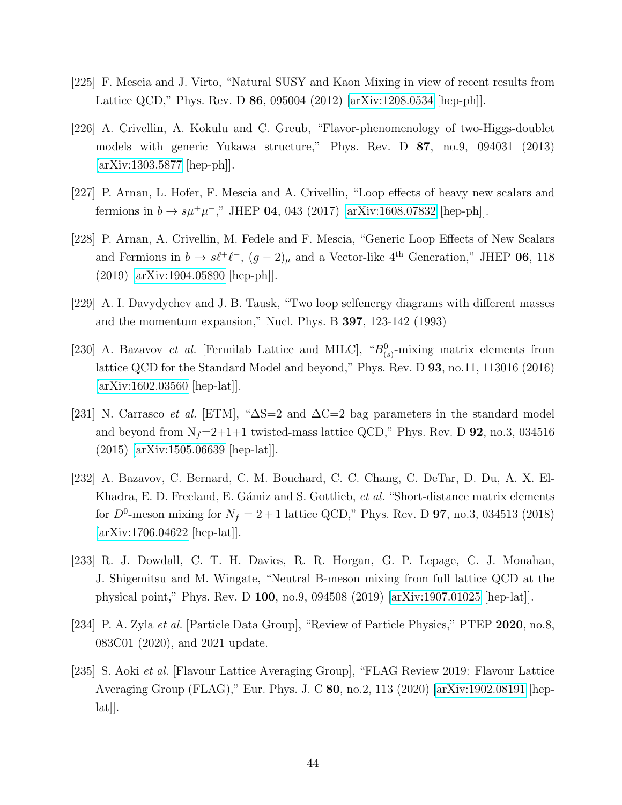- <span id="page-43-0"></span>[225] F. Mescia and J. Virto, "Natural SUSY and Kaon Mixing in view of recent results from Lattice QCD," Phys. Rev. D 86, 095004 (2012) [\[arXiv:1208.0534](http://arxiv.org/abs/1208.0534) [hep-ph]].
- <span id="page-43-1"></span>[226] A. Crivellin, A. Kokulu and C. Greub, "Flavor-phenomenology of two-Higgs-doublet models with generic Yukawa structure," Phys. Rev. D 87, no.9, 094031 (2013) [\[arXiv:1303.5877](http://arxiv.org/abs/1303.5877) [hep-ph]].
- <span id="page-43-2"></span>[227] P. Arnan, L. Hofer, F. Mescia and A. Crivellin, "Loop effects of heavy new scalars and fermions in  $b \to s\mu^+\mu^-$ ," JHEP 04, 043 (2017) [\[arXiv:1608.07832](http://arxiv.org/abs/1608.07832) [hep-ph]].
- <span id="page-43-3"></span>[228] P. Arnan, A. Crivellin, M. Fedele and F. Mescia, "Generic Loop Effects of New Scalars and Fermions in  $b \to s\ell^+\ell^-$ ,  $(g-2)_{\mu}$  and a Vector-like 4<sup>th</sup> Generation," JHEP 06, 118 (2019) [\[arXiv:1904.05890](http://arxiv.org/abs/1904.05890) [hep-ph]].
- <span id="page-43-4"></span>[229] A. I. Davydychev and J. B. Tausk, "Two loop selfenergy diagrams with different masses and the momentum expansion," Nucl. Phys. B 397, 123-142 (1993)
- <span id="page-43-5"></span>[230] A. Bazavov *et al.* [Fermilab Lattice and MILC], " $B_{(s)}^0$ -mixing matrix elements from lattice QCD for the Standard Model and beyond," Phys. Rev. D 93, no.11, 113016 (2016) [\[arXiv:1602.03560](http://arxiv.org/abs/1602.03560) [hep-lat]].
- <span id="page-43-6"></span>[231] N. Carrasco *et al.* [ETM], " $\Delta S=2$  and  $\Delta C=2$  bag parameters in the standard model and beyond from  $N_f=2+1+1$  twisted-mass lattice QCD," Phys. Rev. D 92, no.3, 034516 (2015) [\[arXiv:1505.06639](http://arxiv.org/abs/1505.06639) [hep-lat]].
- <span id="page-43-9"></span>[232] A. Bazavov, C. Bernard, C. M. Bouchard, C. C. Chang, C. DeTar, D. Du, A. X. El-Khadra, E. D. Freeland, E. Gámiz and S. Gottlieb, et al. "Short-distance matrix elements for  $D^0$ -meson mixing for  $N_f = 2 + 1$  lattice QCD," Phys. Rev. D **97**, no.3, 034513 (2018) [\[arXiv:1706.04622](http://arxiv.org/abs/1706.04622) [hep-lat]].
- <span id="page-43-10"></span>[233] R. J. Dowdall, C. T. H. Davies, R. R. Horgan, G. P. Lepage, C. J. Monahan, J. Shigemitsu and M. Wingate, "Neutral B-meson mixing from full lattice QCD at the physical point," Phys. Rev. D 100, no.9, 094508 (2019) [\[arXiv:1907.01025](http://arxiv.org/abs/1907.01025) [hep-lat]].
- <span id="page-43-7"></span>[234] P. A. Zyla et al. [Particle Data Group], "Review of Particle Physics," PTEP 2020, no.8, 083C01 (2020), and 2021 update.
- <span id="page-43-8"></span>[235] S. Aoki et al. [Flavour Lattice Averaging Group], "FLAG Review 2019: Flavour Lattice Averaging Group (FLAG)," Eur. Phys. J. C 80, no.2, 113 (2020) [\[arXiv:1902.08191](http://arxiv.org/abs/1902.08191) [hep- $|hat||.$